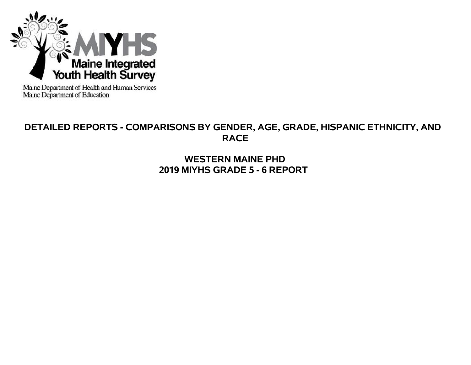

Maine Department of Health and Human Services<br>Maine Department of Education

# **DETAILED REPORTS - COMPARISONS BY GENDER, AGE, GRADE, HISPANIC ETHNICITY, AND RACE**

**WESTERN MAINE PHD 2019 MIYHS GRADE 5 - 6 REPORT**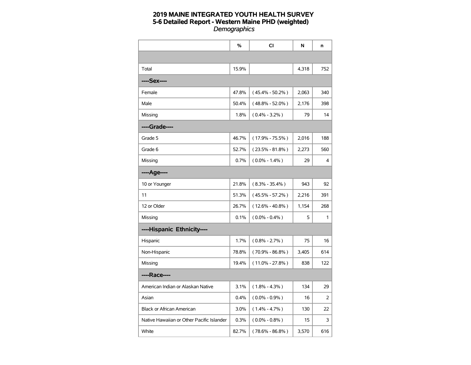|                                           | %     | CI                  | N     | n   |
|-------------------------------------------|-------|---------------------|-------|-----|
|                                           |       |                     |       |     |
| Total                                     | 15.9% |                     | 4,318 | 752 |
| ----Sex----                               |       |                     |       |     |
| Female                                    | 47.8% | $(45.4\% - 50.2\%)$ | 2,063 | 340 |
| Male                                      | 50.4% | $(48.8\% - 52.0\%)$ | 2,176 | 398 |
| Missing                                   | 1.8%  | $(0.4\% - 3.2\%)$   | 79    | 14  |
| ----Grade----                             |       |                     |       |     |
| Grade 5                                   | 46.7% | $(17.9\% - 75.5\%)$ | 2,016 | 188 |
| Grade 6                                   | 52.7% | $(23.5\% - 81.8\%)$ | 2,273 | 560 |
| Missing                                   | 0.7%  | $(0.0\% - 1.4\%)$   | 29    | 4   |
| ----Age----                               |       |                     |       |     |
| 10 or Younger                             | 21.8% | $(8.3\% - 35.4\%)$  | 943   | 92  |
| 11                                        | 51.3% | $(45.5\% - 57.2\%)$ | 2,216 | 391 |
| 12 or Older                               | 26.7% | $(12.6\% - 40.8\%)$ | 1,154 | 268 |
| Missing                                   | 0.1%  | $(0.0\% - 0.4\%)$   | 5     | 1   |
| ----Hispanic Ethnicity----                |       |                     |       |     |
| Hispanic                                  | 1.7%  | $(0.8\% - 2.7\%)$   | 75    | 16  |
| Non-Hispanic                              | 78.8% | $(70.9\% - 86.8\%)$ | 3,405 | 614 |
| Missing                                   | 19.4% | $(11.0\% - 27.8\%)$ | 838   | 122 |
| ----Race----                              |       |                     |       |     |
| American Indian or Alaskan Native         | 3.1%  | $(1.8\% - 4.3\%)$   | 134   | 29  |
| Asian                                     | 0.4%  | $(0.0\% - 0.9\%)$   | 16    | 2   |
| <b>Black or African American</b>          | 3.0%  | $(1.4\% - 4.7\%)$   | 130   | 22  |
| Native Hawaiian or Other Pacific Islander | 0.3%  | $(0.0\% - 0.8\%)$   | 15    | 3   |
| White                                     | 82.7% | $(78.6\% - 86.8\%)$ | 3,570 | 616 |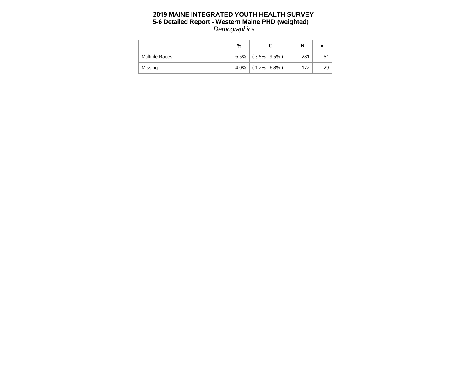|                       | %    | CI                | N   |      |
|-----------------------|------|-------------------|-----|------|
| <b>Multiple Races</b> | 6.5% | $(3.5\% - 9.5\%)$ | 281 | 51 I |
| Missing               | 4.0% | $(1.2\% - 6.8\%)$ | 172 | 29 l |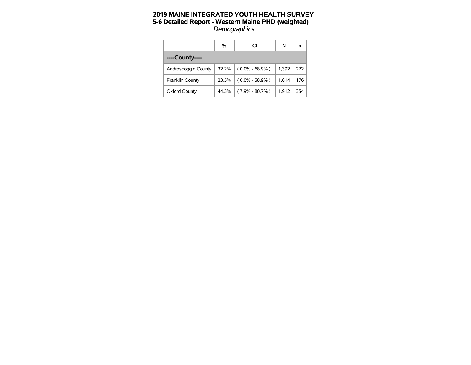|                     | %     | СI                 | N     | n   |
|---------------------|-------|--------------------|-------|-----|
| ----County----      |       |                    |       |     |
| Androscoggin County | 32.2% | $(0.0\% - 68.9\%)$ | 1.392 | 222 |
| Franklin County     | 23.5% | $(0.0\% - 58.9\%)$ | 1,014 | 176 |
| Oxford County       | 44.3% | $(7.9\% - 80.7\%)$ | 1,912 | 354 |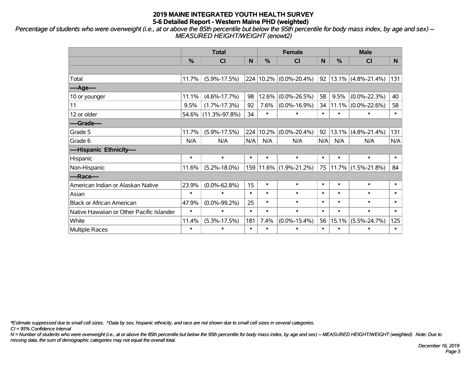*Percentage of students who were overweight (i.e., at or above the 85th percentile but below the 95th percentile for body mass index, by age and sex) -- MEASURED HEIGHT/WEIGHT (enowt2)*

|                                           |               | <b>Total</b>        |        |        | <b>Female</b>              |        |               | <b>Male</b>           |        |
|-------------------------------------------|---------------|---------------------|--------|--------|----------------------------|--------|---------------|-----------------------|--------|
|                                           | $\frac{0}{0}$ | CI                  | N      | %      | <b>CI</b>                  | N      | $\frac{0}{0}$ | <b>CI</b>             | N.     |
|                                           |               |                     |        |        |                            |        |               |                       |        |
| Total                                     | 11.7%         | $(5.9\% - 17.5\%)$  |        |        | 224 10.2% (0.0%-20.4%)     | 92     |               | $13.1\%$ (4.8%-21.4%) | 131    |
| ---- Age----                              |               |                     |        |        |                            |        |               |                       |        |
| 10 or younger                             | 11.1%         | $(4.6\% - 17.7\%)$  | 98     | 12.6%  | $(0.0\% - 26.5\%)$         | 58     | 9.5%          | $(0.0\% - 22.3\%)$    | 40     |
| 11                                        | 9.5%          | $(1.7\% - 17.3\%)$  | 92     | 7.6%   | $(0.0\% - 16.9\%)$         | 34     |               | $11.1\%$ (0.0%-22.6%) | 58     |
| 12 or older                               |               | 54.6% (11.3%-97.8%) | 34     | $\ast$ | $\ast$                     | $\ast$ | $\ast$        | $\ast$                | $\ast$ |
| ----Grade----                             |               |                     |        |        |                            |        |               |                       |        |
| Grade 5                                   | 11.7%         | $(5.9\% - 17.5\%)$  | 224    | 10.2%  | $(0.0\% - 20.4\%)$         | 92     | 13.1%         | $(4.8\% - 21.4\%)$    | 131    |
| Grade 6                                   | N/A           | N/A                 | N/A    | N/A    | N/A                        | N/A    | N/A           | N/A                   | N/A    |
| ----Hispanic Ethnicity----                |               |                     |        |        |                            |        |               |                       |        |
| Hispanic                                  | $\ast$        | $\ast$              | $\ast$ | $\ast$ | $\ast$                     | $\ast$ | $\ast$        | $\ast$                | $\ast$ |
| Non-Hispanic                              | 11.6%         | $(5.2\% - 18.0\%)$  |        |        | 159   11.6%   (1.9%-21.2%) | 75     |               | $11.7\%$ (1.5%-21.8%) | 84     |
| ----Race----                              |               |                     |        |        |                            |        |               |                       |        |
| American Indian or Alaskan Native         | 23.9%         | $(0.0\% - 62.8\%)$  | 15     | $\ast$ | $\ast$                     | $\ast$ | $\ast$        | $\ast$                | $\ast$ |
| Asian                                     | $\ast$        | $\ast$              | $\ast$ | $\ast$ | $\ast$                     | $\ast$ | $\ast$        | $\ast$                | $\ast$ |
| <b>Black or African American</b>          | 47.9%         | $(0.0\% - 99.2\%)$  | 25     | $\ast$ | $\ast$                     | $\ast$ | $\ast$        | $\ast$                | $\ast$ |
| Native Hawaiian or Other Pacific Islander | $\ast$        | $\ast$              | $\ast$ | $\ast$ | $\ast$                     | $\ast$ | $\ast$        | $\ast$                | $\ast$ |
| White                                     | 11.4%         | $(5.3\% - 17.5\%)$  | 181    | 7.4%   | $(0.0\% - 15.4\%)$         | 56     | 15.1%         | $(5.5\% - 24.7\%)$    | 125    |
| Multiple Races                            | $\ast$        | $\ast$              | $\ast$ | $\ast$ | $\ast$                     | $\ast$ | $\ast$        | $\ast$                | $\ast$ |

*\*Estimate suppressed due to small cell sizes. ^Data by sex, hispanic ethnicity, and race are not shown due to small cell sizes in several categories.*

*CI = 95% Confidence Interval*

*N = Number of students who were overweight (i.e., at or above the 85th percentile but below the 95th percentile for body mass index, by age and sex) -- MEASURED HEIGHT/WEIGHT (weighted). Note: Due to missing data, the sum of demographic categories may not equal the overall total.*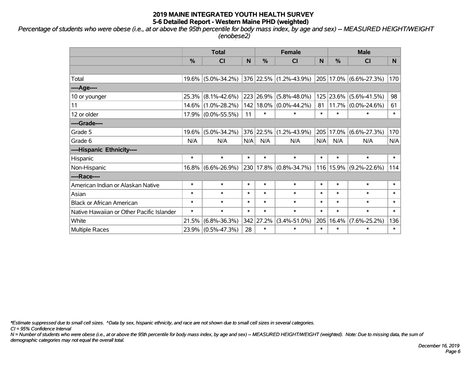*Percentage of students who were obese (i.e., at or above the 95th percentile for body mass index, by age and sex) -- MEASURED HEIGHT/WEIGHT (enobese2)*

|                                           |               | <b>Total</b>       |        |               | <b>Female</b>                  |        | <b>Male</b>   |                            |        |  |
|-------------------------------------------|---------------|--------------------|--------|---------------|--------------------------------|--------|---------------|----------------------------|--------|--|
|                                           | $\frac{0}{0}$ | CI                 | N      | $\frac{9}{6}$ | CI                             | N      | $\frac{0}{0}$ | CI                         | N      |  |
|                                           |               |                    |        |               |                                |        |               |                            |        |  |
| Total                                     | 19.6%         | $(5.0\% - 34.2\%)$ |        |               | $ 376 22.5\% (1.2\% - 43.9\%)$ |        |               | 205   17.0%   (6.6%-27.3%) | 170    |  |
| ----Age----                               |               |                    |        |               |                                |        |               |                            |        |  |
| 10 or younger                             | 25.3%         | $(8.1\% - 42.6\%)$ |        | 223 26.9%     | $(5.8\% - 48.0\%)$             | 125    | 23.6%         | $(5.6\% - 41.5\%)$         | 98     |  |
| 11                                        |               | 14.6% (1.0%-28.2%) |        | 142 18.0%     | $(0.0\% - 44.2\%)$             | 81     | 11.7%         | $(0.0\% - 24.6\%)$         | 61     |  |
| 12 or older                               |               | 17.9% (0.0%-55.5%) | 11     | $\ast$        | $\ast$                         | $\ast$ | $\ast$        | $\ast$                     | $\ast$ |  |
| ----Grade----                             |               |                    |        |               |                                |        |               |                            |        |  |
| Grade 5                                   | 19.6%         | $(5.0\% - 34.2\%)$ |        | 376 22.5%     | $(1.2\% - 43.9\%)$             | 205    | 17.0%         | $(6.6\% - 27.3\%)$         | 170    |  |
| Grade 6                                   | N/A           | N/A                | N/A    | N/A           | N/A                            | N/A    | N/A           | N/A                        | N/A    |  |
| ----Hispanic Ethnicity----                |               |                    |        |               |                                |        |               |                            |        |  |
| Hispanic                                  | $\ast$        | $\ast$             | $\ast$ | $\ast$        | $\ast$                         | $\ast$ | $\ast$        | $\ast$                     | $\ast$ |  |
| Non-Hispanic                              |               | 16.8% (6.6%-26.9%) |        | 230 17.8%     | $(0.8\% - 34.7\%)$             |        |               | 116   15.9%   (9.2%-22.6%) | 114    |  |
| ----Race----                              |               |                    |        |               |                                |        |               |                            |        |  |
| American Indian or Alaskan Native         | $\ast$        | $\ast$             | $\ast$ | $\ast$        | $\ast$                         | $\ast$ | $\ast$        | $\ast$                     | $\ast$ |  |
| Asian                                     | $\ast$        | $\ast$             | $\ast$ | $\ast$        | $\ast$                         | $\ast$ | $\ast$        | $\ast$                     | $\ast$ |  |
| <b>Black or African American</b>          | $\ast$        | $\ast$             | $\ast$ | $\ast$        | $\ast$                         | $\ast$ | $\ast$        | $\ast$                     | $\ast$ |  |
| Native Hawaiian or Other Pacific Islander | $\ast$        | $\ast$             | $\ast$ | $\ast$        | $\ast$                         | $\ast$ | $\ast$        | $\ast$                     | $\ast$ |  |
| White                                     | 21.5%         | $(6.8\% - 36.3\%)$ |        | 342 27.2%     | $(3.4\% - 51.0\%)$             | 205    | 16.4%         | $(7.6\% - 25.2\%)$         | 136    |  |
| <b>Multiple Races</b>                     |               | 23.9% (0.5%-47.3%) | 28     | $\ast$        | $\ast$                         | $\ast$ | $\ast$        | $\ast$                     | $\ast$ |  |

*\*Estimate suppressed due to small cell sizes. ^Data by sex, hispanic ethnicity, and race are not shown due to small cell sizes in several categories.*

*CI = 95% Confidence Interval*

*N = Number of students who were obese (i.e., at or above the 95th percentile for body mass index, by age and sex) -- MEASURED HEIGHT/WEIGHT (weighted). Note: Due to missing data, the sum of demographic categories may not equal the overall total.*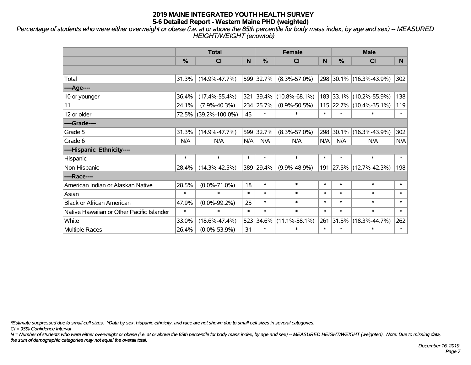*Percentage of students who were either overweight or obese (i.e. at or above the 85th percentile for body mass index, by age and sex) -- MEASURED HEIGHT/WEIGHT (enowtob)*

|                                           |               | <b>Total</b>         |        |           | <b>Female</b>       |              |               | <b>Male</b>             |        |
|-------------------------------------------|---------------|----------------------|--------|-----------|---------------------|--------------|---------------|-------------------------|--------|
|                                           | $\frac{0}{0}$ | <b>CI</b>            | N      | %         | <b>CI</b>           | <sub>N</sub> | $\frac{0}{0}$ | <b>CI</b>               | N.     |
|                                           |               |                      |        |           |                     |              |               |                         |        |
| Total                                     | 31.3%         | $(14.9\% - 47.7\%)$  |        | 599 32.7% | $(8.3\% - 57.0\%)$  |              |               | 298 30.1% (16.3%-43.9%) | 302    |
| ----Age----                               |               |                      |        |           |                     |              |               |                         |        |
| 10 or younger                             | 36.4%         | $(17.4\% - 55.4\%)$  | 321    | 39.4%     | $(10.8\% - 68.1\%)$ |              | 183 33.1%     | $(10.2\% - 55.9\%)$     | 138    |
| 11                                        | 24.1%         | $(7.9\% - 40.3\%)$   |        | 234 25.7% | $(0.9\% - 50.5\%)$  |              | $115$ 22.7%   | $(10.4\% - 35.1\%)$     | 119    |
| 12 or older                               |               | 72.5% (39.2%-100.0%) | 45     | $\ast$    | $\ast$              | $\ast$       | $\ast$        | $\ast$                  | $\ast$ |
| ----Grade----                             |               |                      |        |           |                     |              |               |                         |        |
| Grade 5                                   | 31.3%         | $(14.9\% - 47.7\%)$  | 599    | 32.7%     | $(8.3\% - 57.0\%)$  | 298          | 30.1%         | $(16.3\% - 43.9\%)$     | 302    |
| Grade 6                                   | N/A           | N/A                  | N/A    | N/A       | N/A                 | N/A          | N/A           | N/A                     | N/A    |
| ----Hispanic Ethnicity----                |               |                      |        |           |                     |              |               |                         |        |
| Hispanic                                  | $\ast$        | $\ast$               | $\ast$ | $\ast$    | $\ast$              | $\ast$       | $\ast$        | $\ast$                  | $\ast$ |
| Non-Hispanic                              | 28.4%         | $(14.3\% - 42.5\%)$  | 389    | 29.4%     | $(9.9\% - 48.9\%)$  |              | 191 27.5%     | $(12.7\% - 42.3\%)$     | 198    |
| ----Race----                              |               |                      |        |           |                     |              |               |                         |        |
| American Indian or Alaskan Native         | 28.5%         | $(0.0\% - 71.0\%)$   | 18     | $\ast$    | $\ast$              | $\ast$       | $\ast$        | $\ast$                  | $\ast$ |
| Asian                                     | $\ast$        | $\ast$               | $\ast$ | $\ast$    | $\ast$              | $\ast$       | $\ast$        | $\ast$                  | $\ast$ |
| <b>Black or African American</b>          | 47.9%         | $(0.0\% - 99.2\%)$   | 25     | $\ast$    | $\ast$              | $\ast$       | $\ast$        | $\ast$                  | $\ast$ |
| Native Hawaiian or Other Pacific Islander | $\ast$        | $\ast$               | $\ast$ | $\ast$    | $\ast$              | $\ast$       | $\ast$        | $\ast$                  | $\ast$ |
| White                                     | 33.0%         | $(18.6\% - 47.4\%)$  | 523    | 34.6%     | $(11.1\% - 58.1\%)$ | 261          | 31.5%         | $(18.3\% - 44.7\%)$     | 262    |
| Multiple Races                            | 26.4%         | $(0.0\% - 53.9\%)$   | 31     | $\ast$    | $\ast$              | $\ast$       | $\ast$        | $\ast$                  | $\ast$ |

*\*Estimate suppressed due to small cell sizes. ^Data by sex, hispanic ethnicity, and race are not shown due to small cell sizes in several categories.*

*CI = 95% Confidence Interval*

*N = Number of students who were either overweight or obese (i.e. at or above the 85th percentile for body mass index, by age and sex) -- MEASURED HEIGHT/WEIGHT (weighted). Note: Due to missing data, the sum of demographic categories may not equal the overall total.*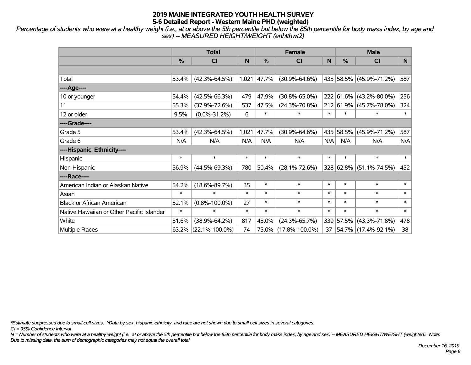*Percentage of students who were at a healthy weight (i.e., at or above the 5th percentile but below the 85th percentile for body mass index, by age and sex) -- MEASURED HEIGHT/WEIGHT (enhlthwt2)*

|                                           |        | <b>Total</b><br><b>Female</b><br><b>Male</b><br>$\frac{0}{0}$<br>$\frac{0}{0}$<br>CI<br>N<br>N<br><b>CI</b><br><b>CI</b><br>$(42.3\% - 64.5\%)$<br>435 58.5% (45.9%-71.2%)<br>1,021<br> 47.7%<br>$(30.9\% - 64.6\%)$<br>$(42.5\% - 66.3\%)$<br>479<br>47.9%<br>$(30.8\% - 65.0\%)$<br>222 61.6% (43.2%-80.0%)<br>212 61.9% (45.7%-78.0%)<br>$(37.9\% - 72.6\%)$<br>537<br>47.5%<br>$(24.3\% - 70.8\%)$<br>$\ast$<br>$(0.0\% - 31.2\%)$<br>6<br>$\ast$<br>$\ast$<br>$\ast$<br>$\ast$<br>$(42.3\% - 64.5\%)$<br>1,021<br>47.7%<br>$(30.9\% - 64.6\%)$<br>435 <br>58.5% |        |        |                      |        |        |                         |              |
|-------------------------------------------|--------|----------------------------------------------------------------------------------------------------------------------------------------------------------------------------------------------------------------------------------------------------------------------------------------------------------------------------------------------------------------------------------------------------------------------------------------------------------------------------------------------------------------------------------------------------------------------|--------|--------|----------------------|--------|--------|-------------------------|--------------|
|                                           | %      |                                                                                                                                                                                                                                                                                                                                                                                                                                                                                                                                                                      |        |        |                      |        |        |                         | N            |
|                                           |        |                                                                                                                                                                                                                                                                                                                                                                                                                                                                                                                                                                      |        |        |                      |        |        |                         |              |
| Total                                     | 53.4%  |                                                                                                                                                                                                                                                                                                                                                                                                                                                                                                                                                                      |        |        |                      |        |        |                         | 587          |
| ----Age----                               |        |                                                                                                                                                                                                                                                                                                                                                                                                                                                                                                                                                                      |        |        |                      |        |        |                         |              |
| 10 or younger                             | 54.4%  |                                                                                                                                                                                                                                                                                                                                                                                                                                                                                                                                                                      |        |        |                      |        |        |                         | 256          |
| 11                                        | 55.3%  |                                                                                                                                                                                                                                                                                                                                                                                                                                                                                                                                                                      |        |        |                      |        |        |                         | 324          |
| 12 or older                               | 9.5%   |                                                                                                                                                                                                                                                                                                                                                                                                                                                                                                                                                                      |        |        |                      |        |        |                         | $\ast$       |
| ----Grade----                             |        |                                                                                                                                                                                                                                                                                                                                                                                                                                                                                                                                                                      |        |        |                      |        |        |                         |              |
| Grade 5                                   | 53.4%  |                                                                                                                                                                                                                                                                                                                                                                                                                                                                                                                                                                      |        |        |                      |        |        | $(45.9\% - 71.2\%)$     | 587          |
| Grade 6                                   | N/A    | N/A                                                                                                                                                                                                                                                                                                                                                                                                                                                                                                                                                                  | N/A    | N/A    | N/A                  | N/A    | N/A    | N/A                     | N/A          |
| ----Hispanic Ethnicity----                |        |                                                                                                                                                                                                                                                                                                                                                                                                                                                                                                                                                                      |        |        |                      |        |        |                         |              |
| Hispanic                                  | $\ast$ | $\ast$                                                                                                                                                                                                                                                                                                                                                                                                                                                                                                                                                               | $\ast$ | $\ast$ | $\ast$               | $\ast$ | $\ast$ | $\ast$                  | $\ast$       |
| Non-Hispanic                              | 56.9%  | $(44.5\% - 69.3\%)$                                                                                                                                                                                                                                                                                                                                                                                                                                                                                                                                                  | 780    | 50.4%  | $(28.1\% - 72.6\%)$  |        |        | 328 62.8% (51.1%-74.5%) | 452          |
| ----Race----                              |        |                                                                                                                                                                                                                                                                                                                                                                                                                                                                                                                                                                      |        |        |                      |        |        |                         |              |
| American Indian or Alaskan Native         | 54.2%  | $(18.6\% - 89.7\%)$                                                                                                                                                                                                                                                                                                                                                                                                                                                                                                                                                  | 35     | $\ast$ | $\ast$               | $\ast$ | $\ast$ | $\ast$                  | $\ast$       |
| Asian                                     | $\ast$ | $\ast$                                                                                                                                                                                                                                                                                                                                                                                                                                                                                                                                                               | $\ast$ | $\ast$ | $\ast$               | $\ast$ | $\ast$ | $\ast$                  | $\ast$       |
| <b>Black or African American</b>          | 52.1%  | $(0.8\% - 100.0\%)$                                                                                                                                                                                                                                                                                                                                                                                                                                                                                                                                                  | 27     | $\ast$ | $\ast$               | $\ast$ | $\ast$ | $\ast$                  | $\ast$       |
| Native Hawaiian or Other Pacific Islander | $\ast$ | $\ast$                                                                                                                                                                                                                                                                                                                                                                                                                                                                                                                                                               | $\ast$ | $\ast$ | $\ast$               | $\ast$ | $\ast$ | $\ast$                  | $\pmb{\ast}$ |
| White                                     | 51.6%  | $(38.9\% - 64.2\%)$                                                                                                                                                                                                                                                                                                                                                                                                                                                                                                                                                  | 817    | 45.0%  | $(24.3\% - 65.7\%)$  | 339    | 57.5%  | $ (43.3\% - 71.8\%)$    | 478          |
| <b>Multiple Races</b>                     | 63.2%  | $(22.1\% - 100.0\%)$                                                                                                                                                                                                                                                                                                                                                                                                                                                                                                                                                 | 74     |        | 75.0% (17.8%-100.0%) | 37     |        | 54.7% (17.4%-92.1%)     | 38           |

*\*Estimate suppressed due to small cell sizes. ^Data by sex, hispanic ethnicity, and race are not shown due to small cell sizes in several categories.*

*CI = 95% Confidence Interval*

*N = Number of students who were at a healthy weight (i.e., at or above the 5th percentile but below the 85th percentile for body mass index, by age and sex) -- MEASURED HEIGHT/WEIGHT (weighted). Note: Due to missing data, the sum of demographic categories may not equal the overall total.*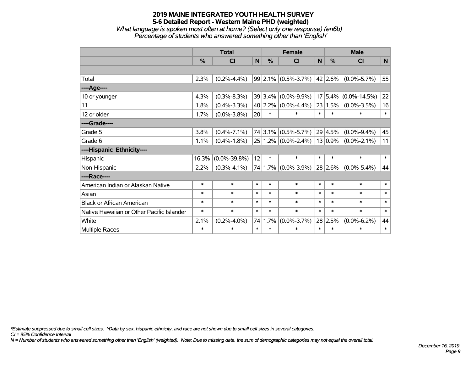*What language is spoken most often at home? (Select only one response) (en6b) Percentage of students who answered something other than 'English'*

|                                           |        | <b>Total</b>       |                 |         | <b>Female</b>             |              | <b>Male</b>  |                    |              |  |
|-------------------------------------------|--------|--------------------|-----------------|---------|---------------------------|--------------|--------------|--------------------|--------------|--|
|                                           | %      | CI                 | $\mathsf{N}$    | %       | C <sub>l</sub>            | $\mathsf{N}$ | %            | CI                 | $\mathsf{N}$ |  |
|                                           |        |                    |                 |         |                           |              |              |                    |              |  |
| Total                                     | 2.3%   | $(0.2\% - 4.4\%)$  |                 |         | $99 2.1\% $ (0.5%-3.7%)   |              | $ 42 2.6\% $ | $(0.0\% - 5.7\%)$  | 55           |  |
| ---- Age----                              |        |                    |                 |         |                           |              |              |                    |              |  |
| 10 or younger                             | 4.3%   | $(0.3\% - 8.3\%)$  |                 |         | 39 3.4% (0.0%-9.9%)       |              | 17 5.4%      | $(0.0\% - 14.5\%)$ | 22           |  |
| 11                                        | 1.8%   | $(0.4\% - 3.3\%)$  |                 |         | 40 2.2% $(0.0\% - 4.4\%)$ |              | 23 1.5%      | $(0.0\% - 3.5\%)$  | 16           |  |
| 12 or older                               | 1.7%   | $(0.0\% - 3.8\%)$  | 20 <sup>°</sup> | $\ast$  | $\ast$                    | $\ast$       | $\ast$       | $\ast$             | $\pmb{\ast}$ |  |
| ----Grade----                             |        |                    |                 |         |                           |              |              |                    |              |  |
| Grade 5                                   | 3.8%   | $(0.4\% - 7.1\%)$  |                 |         | $74 3.1\% $ (0.5%-5.7%)   |              | 29 4.5%      | $(0.0\% - 9.4\%)$  | 45           |  |
| Grade 6                                   | 1.1%   | $(0.4\% - 1.8\%)$  |                 |         | $25 1.2\% $ (0.0%-2.4%)   |              | $13 0.9\% $  | $(0.0\% - 2.1\%)$  | 11           |  |
| ----Hispanic Ethnicity----                |        |                    |                 |         |                           |              |              |                    |              |  |
| Hispanic                                  | 16.3%  | $(0.0\% - 39.8\%)$ | 12              | $\ast$  | $\ast$                    | $\ast$       | $\ast$       | $\ast$             | $\ast$       |  |
| Non-Hispanic                              | 2.2%   | $(0.3\% - 4.1\%)$  |                 |         | 74 1.7% (0.0%-3.9%)       |              | 28 2.6%      | $(0.0\% - 5.4\%)$  | 44           |  |
| ----Race----                              |        |                    |                 |         |                           |              |              |                    |              |  |
| American Indian or Alaskan Native         | $\ast$ | $\ast$             | $\ast$          | $\ast$  | $\ast$                    | $\ast$       | $\ast$       | $\ast$             | $\ast$       |  |
| Asian                                     | $\ast$ | $\ast$             | $\ast$          | $\ast$  | $\ast$                    | $\ast$       | $\ast$       | $\ast$             | $\ast$       |  |
| <b>Black or African American</b>          | $\ast$ | $\ast$             | $\ast$          | $\ast$  | $\ast$                    | $\ast$       | $\ast$       | $\ast$             | $\ast$       |  |
| Native Hawaiian or Other Pacific Islander | $\ast$ | $\ast$             | $\ast$          | $\ast$  | $\ast$                    | $\ast$       | $\ast$       | $\ast$             | $\ast$       |  |
| White                                     | 2.1%   | $(0.2\% - 4.0\%)$  |                 | 74 1.7% | $(0.0\% - 3.7\%)$         |              | 28 2.5%      | $(0.0\% - 6.2\%)$  | 44           |  |
| Multiple Races                            | $\ast$ | $\ast$             | $\ast$          | $\ast$  | $\ast$                    | $\ast$       | $\ast$       | $\ast$             | $\ast$       |  |

*\*Estimate suppressed due to small cell sizes. ^Data by sex, hispanic ethnicity, and race are not shown due to small cell sizes in several categories.*

*CI = 95% Confidence Interval*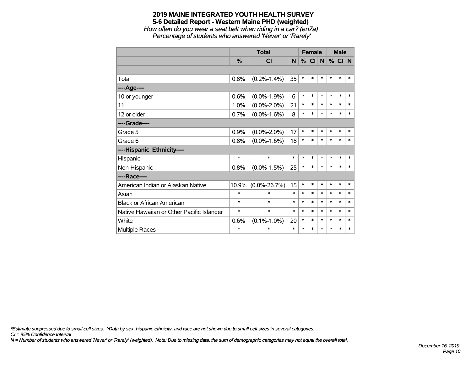*How often do you wear a seat belt when riding in a car? (en7a) Percentage of students who answered 'Never' or 'Rarely'*

|                                           |        | <b>Total</b>       |        | <b>Female</b> |        |        | <b>Male</b> |        |        |
|-------------------------------------------|--------|--------------------|--------|---------------|--------|--------|-------------|--------|--------|
|                                           | $\%$   | <b>CI</b>          | N      | %             | CI N   |        | %           | CI N   |        |
|                                           |        |                    |        |               |        |        |             |        |        |
| Total                                     | 0.8%   | $(0.2\% - 1.4\%)$  | 35     | $\ast$        | $\ast$ | $\ast$ | $\ast$      | $\ast$ | *      |
| ----Age----                               |        |                    |        |               |        |        |             |        |        |
| 10 or younger                             | 0.6%   | $(0.0\% - 1.9\%)$  | 6      | $\ast$        | $\ast$ | $\ast$ | $\ast$      | $\ast$ | $\ast$ |
| 11                                        | 1.0%   | $(0.0\% - 2.0\%)$  | 21     | $\ast$        | $\ast$ | $\ast$ | $\ast$      | $\ast$ | $\ast$ |
| 12 or older                               | 0.7%   | $(0.0\% - 1.6\%)$  | 8      | $\ast$        | $\ast$ | $\ast$ | $\ast$      | $\ast$ | $\ast$ |
| ----Grade----                             |        |                    |        |               |        |        |             |        |        |
| Grade 5                                   | 0.9%   | $(0.0\% - 2.0\%)$  | 17     | $\ast$        | $\ast$ | $\ast$ | $\ast$      | $\ast$ | $\ast$ |
| Grade 6                                   | 0.8%   | $(0.0\% - 1.6\%)$  | 18     | $\ast$        | $\ast$ | $\ast$ | $\ast$      | $\ast$ | $\ast$ |
| ----Hispanic Ethnicity----                |        |                    |        |               |        |        |             |        |        |
| Hispanic                                  | $\ast$ | $\ast$             | $\ast$ | $\ast$        | $\ast$ | $\ast$ | $\ast$      | $\ast$ | *      |
| Non-Hispanic                              | 0.8%   | $(0.0\% - 1.5\%)$  | 25     | $\ast$        | $\ast$ | $\ast$ | $\ast$      | $\ast$ | $\ast$ |
| ----Race----                              |        |                    |        |               |        |        |             |        |        |
| American Indian or Alaskan Native         | 10.9%  | $(0.0\% - 26.7\%)$ | 15     | $\ast$        | $\ast$ | $\ast$ | $\ast$      | $\ast$ | ∗      |
| Asian                                     | *      | $\ast$             | $\ast$ | $\ast$        | $\ast$ | $\ast$ | $\ast$      | $\ast$ | $\ast$ |
| <b>Black or African American</b>          | *      | $\ast$             | $\ast$ | $\ast$        | $\ast$ | $\ast$ | $\ast$      | $\ast$ | $\ast$ |
| Native Hawaiian or Other Pacific Islander | *      | $\ast$             | $\ast$ | $\ast$        | $\ast$ | $\ast$ | $\ast$      | $\ast$ | $\ast$ |
| White                                     | 0.6%   | $(0.1\% - 1.0\%)$  | 20     | $\ast$        | $\ast$ | $\ast$ | $\ast$      | $\ast$ | $\ast$ |
| <b>Multiple Races</b>                     | *      | $\ast$             | $\ast$ | $\ast$        | $\ast$ | $\ast$ | $\ast$      | $\ast$ | $\ast$ |

*\*Estimate suppressed due to small cell sizes. ^Data by sex, hispanic ethnicity, and race are not shown due to small cell sizes in several categories.*

*CI = 95% Confidence Interval*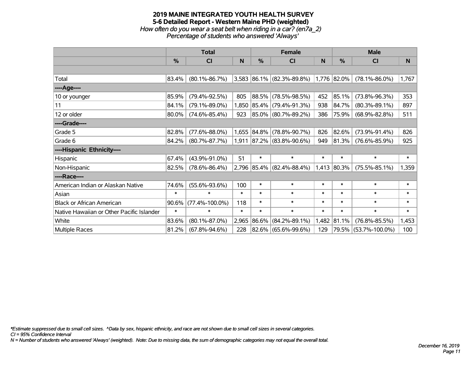# **2019 MAINE INTEGRATED YOUTH HEALTH SURVEY 5-6 Detailed Report - Western Maine PHD (weighted)** *How often do you wear a seat belt when riding in a car? (en7a\_2)*

*Percentage of students who answered 'Always'*

|                                           |               | <b>Total</b>         |        |               | <b>Female</b>             |          | <b>Male</b>   |                      |        |  |
|-------------------------------------------|---------------|----------------------|--------|---------------|---------------------------|----------|---------------|----------------------|--------|--|
|                                           | $\frac{9}{6}$ | CI                   | N      | $\frac{0}{0}$ | CI                        | <b>N</b> | $\frac{9}{6}$ | C <sub>l</sub>       | N      |  |
|                                           |               |                      |        |               |                           |          |               |                      |        |  |
| Total                                     | 83.4%         | $(80.1\% - 86.7\%)$  |        |               | 3,583 86.1% (82.3%-89.8%) |          | 1,776 82.0%   | $(78.1\% - 86.0\%)$  | 1,767  |  |
| ----Age----                               |               |                      |        |               |                           |          |               |                      |        |  |
| 10 or younger                             | 85.9%         | $(79.4\% - 92.5\%)$  | 805    |               | 88.5% (78.5%-98.5%)       | 452      | 85.1%         | $(73.8\% - 96.3\%)$  | 353    |  |
| 11                                        | 84.1%         | $(79.1\% - 89.0\%)$  | 1,850  |               | $ 85.4\% $ (79.4%-91.3%)  | 938      | 84.7%         | $(80.3\% - 89.1\%)$  | 897    |  |
| 12 or older                               | 80.0%         | $(74.6\% - 85.4\%)$  | 923    |               | 85.0% (80.7%-89.2%)       | 386      | 75.9%         | $(68.9\% - 82.8\%)$  | 511    |  |
| ----Grade----                             |               |                      |        |               |                           |          |               |                      |        |  |
| Grade 5                                   | 82.8%         | $(77.6\% - 88.0\%)$  | 1,655  |               | $ 84.8\% $ (78.8%-90.7%)  | 826      | 82.6%         | $(73.9\% - 91.4\%)$  | 826    |  |
| Grade 6                                   | 84.2%         | $(80.7\% - 87.7\%)$  |        |               | 1,911 87.2% (83.8%-90.6%) | 949      | 81.3%         | $(76.6\% - 85.9\%)$  | 925    |  |
| ----Hispanic Ethnicity----                |               |                      |        |               |                           |          |               |                      |        |  |
| Hispanic                                  | 67.4%         | $(43.9\% - 91.0\%)$  | 51     | $\ast$        | $\ast$                    | $\ast$   | $\ast$        | $\ast$               | $\ast$ |  |
| Non-Hispanic                              | 82.5%         | $(78.6\% - 86.4\%)$  |        |               | 2,796 85.4% (82.4%-88.4%) |          | $1,413$ 80.3% | $(75.5\% - 85.1\%)$  | 1,359  |  |
| ----Race----                              |               |                      |        |               |                           |          |               |                      |        |  |
| American Indian or Alaskan Native         | 74.6%         | $(55.6\% - 93.6\%)$  | 100    | $\ast$        | $\ast$                    | $\ast$   | $\ast$        | $\ast$               | $\ast$ |  |
| Asian                                     | $\ast$        | $\ast$               | $\ast$ | $\ast$        | $\ast$                    | $\ast$   | $\ast$        | $\ast$               | $\ast$ |  |
| <b>Black or African American</b>          | 90.6%         | $(77.4\% - 100.0\%)$ | 118    | $\ast$        | $\ast$                    | $\ast$   | $\ast$        | $\ast$               | $\ast$ |  |
| Native Hawaiian or Other Pacific Islander | $\ast$        | $\ast$               | $\ast$ | $\ast$        | $\ast$                    | $\ast$   | $\ast$        | $\ast$               | $\ast$ |  |
| White                                     | 83.6%         | $(80.1\% - 87.0\%)$  | 2,965  |               | 86.6% (84.2%-89.1%)       | 1,482    | 81.1%         | $(76.8\% - 85.5\%)$  | 1,453  |  |
| Multiple Races                            | 81.2%         | $(67.8\% - 94.6\%)$  | 228    |               | 82.6% (65.6%-99.6%)       | 129      |               | 79.5% (53.7%-100.0%) | 100    |  |

*\*Estimate suppressed due to small cell sizes. ^Data by sex, hispanic ethnicity, and race are not shown due to small cell sizes in several categories.*

*CI = 95% Confidence Interval*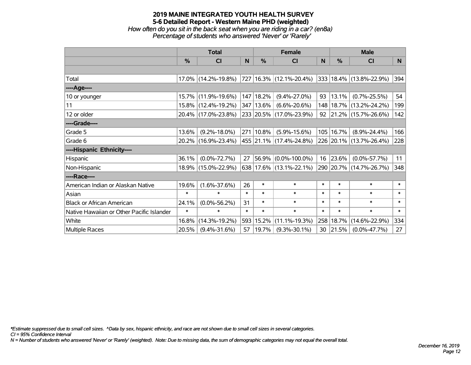*How often do you sit in the back seat when you are riding in a car? (en8a) Percentage of students who answered 'Never' or 'Rarely'*

|                                           |               | <b>Total</b>        |        |               | <b>Female</b>               |          |        | <b>Male</b>                  |        |
|-------------------------------------------|---------------|---------------------|--------|---------------|-----------------------------|----------|--------|------------------------------|--------|
|                                           | $\frac{0}{0}$ | <b>CI</b>           | N.     | $\frac{0}{0}$ | <b>CI</b>                   | <b>N</b> | %      | <b>CI</b>                    | N      |
|                                           |               |                     |        |               |                             |          |        |                              |        |
| Total                                     |               | 17.0% (14.2%-19.8%) |        |               | 727 16.3% (12.1%-20.4%)     |          |        | $ 333 18.4\% $ (13.8%-22.9%) | 394    |
| ----Age----                               |               |                     |        |               |                             |          |        |                              |        |
| 10 or younger                             |               | 15.7% (11.9%-19.6%) |        | 147   18.2%   | $(9.4\% - 27.0\%)$          | 93       | 13.1%  | $(0.7\% - 25.5\%)$           | 54     |
| 11                                        |               | 15.8% (12.4%-19.2%) |        | 347   13.6%   | $(6.6\% - 20.6\%)$          | 148      |        | $18.7\%$ (13.2%-24.2%)       | 199    |
| 12 or older                               |               | 20.4% (17.0%-23.8%) |        |               | 233 20.5% (17.0%-23.9%)     |          |        | 92 21.2% (15.7%-26.6%)       | 142    |
| ----Grade----                             |               |                     |        |               |                             |          |        |                              |        |
| Grade 5                                   | 13.6%         | $(9.2\% - 18.0\%)$  |        | 271   10.8%   | $(5.9\% - 15.6\%)$          | 105      | 16.7%  | $(8.9\% - 24.4\%)$           | 166    |
| Grade 6                                   |               | 20.2% (16.9%-23.4%) |        |               | 455 21.1% (17.4%-24.8%)     |          |        | 226 20.1% (13.7%-26.4%)      | 228    |
| ----Hispanic Ethnicity----                |               |                     |        |               |                             |          |        |                              |        |
| Hispanic                                  | 36.1%         | $(0.0\% - 72.7\%)$  | 27     |               | 56.9% (0.0%-100.0%)         | 16       | 23.6%  | $(0.0\% - 57.7\%)$           | 11     |
| Non-Hispanic                              |               | 18.9% (15.0%-22.9%) |        |               | $638 17.6\% $ (13.1%-22.1%) |          |        | 290 20.7% (14.7%-26.7%)      | 348    |
| ----Race----                              |               |                     |        |               |                             |          |        |                              |        |
| American Indian or Alaskan Native         | 19.6%         | $(1.6\% - 37.6\%)$  | 26     | $\ast$        | $\ast$                      | $\ast$   | $\ast$ | $\ast$                       | $\ast$ |
| Asian                                     | $\ast$        | $\ast$              | $\ast$ | $\ast$        | $\ast$                      | $\ast$   | $\ast$ | $\ast$                       | $\ast$ |
| <b>Black or African American</b>          | 24.1%         | $(0.0\% - 56.2\%)$  | 31     | $\ast$        | $\ast$                      | $\ast$   | $\ast$ | $\ast$                       | $\ast$ |
| Native Hawaiian or Other Pacific Islander | $\ast$        | $\ast$              | $\ast$ | $\ast$        | $\ast$                      | $\ast$   | $\ast$ | $\ast$                       | $\ast$ |
| White                                     | 16.8%         | $(14.3\% - 19.2\%)$ |        | 593 15.2%     | $(11.1\% - 19.3\%)$         | 258      | 18.7%  | $(14.6\% - 22.9\%)$          | 334    |
| Multiple Races                            | 20.5%         | $(9.4\% - 31.6\%)$  | 57     | 19.7%         | $(9.3\% - 30.1\%)$          | 30       | 21.5%  | $(0.0\% - 47.7\%)$           | 27     |

*\*Estimate suppressed due to small cell sizes. ^Data by sex, hispanic ethnicity, and race are not shown due to small cell sizes in several categories.*

*CI = 95% Confidence Interval*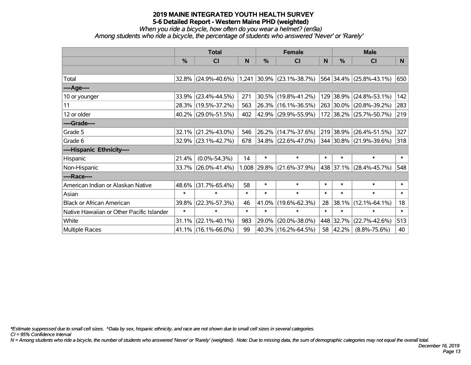# *When you ride a bicycle, how often do you wear a helmet? (en9a)*

*Among students who ride a bicycle, the percentage of students who answered 'Never' or 'Rarely'*

|                                           |               | <b>Total</b>           |        |               | <b>Female</b>               |        | <b>Male</b>   |                         |        |  |
|-------------------------------------------|---------------|------------------------|--------|---------------|-----------------------------|--------|---------------|-------------------------|--------|--|
|                                           | $\frac{0}{0}$ | <b>CI</b>              | N      | $\frac{0}{0}$ | <b>CI</b>                   | N      | $\frac{0}{0}$ | <b>CI</b>               | N      |  |
|                                           |               |                        |        |               |                             |        |               |                         |        |  |
| Total                                     |               | 32.8% (24.9%-40.6%)    |        |               | $1,241$ 30.9% (23.1%-38.7%) |        |               | 564 34.4% (25.8%-43.1%) | 650    |  |
| ----Age----                               |               |                        |        |               |                             |        |               |                         |        |  |
| 10 or younger                             | 33.9%         | $(23.4\% - 44.5\%)$    | 271    | 30.5%         | $(19.8\% - 41.2\%)$         |        |               | 129 38.9% (24.8%-53.1%) | 142    |  |
| 11                                        |               | 28.3% (19.5%-37.2%)    | 563    |               | 26.3% (16.1%-36.5%)         |        |               | 263 30.0% (20.8%-39.2%) | 283    |  |
| 12 or older                               |               | 40.2% (29.0%-51.5%)    | 402    |               | 42.9% (29.9%-55.9%)         |        |               | 172 38.2% (25.7%-50.7%) | 219    |  |
| ----Grade----                             |               |                        |        |               |                             |        |               |                         |        |  |
| Grade 5                                   | 32.1%         | $(21.2\% - 43.0\%)$    | 546    | 26.2%         | $(14.7\% - 37.6\%)$         |        | 219 38.9%     | $(26.4\% - 51.5\%)$     | 327    |  |
| Grade 6                                   |               | 32.9% (23.1%-42.7%)    | 678    |               | $34.8\%$ (22.6%-47.0%)      |        |               | 344 30.8% (21.9%-39.6%) | 318    |  |
| ----Hispanic Ethnicity----                |               |                        |        |               |                             |        |               |                         |        |  |
| Hispanic                                  | 21.4%         | $(0.0\% - 54.3\%)$     | 14     | $\ast$        | $\ast$                      | $\ast$ | $\ast$        | $\ast$                  | $\ast$ |  |
| Non-Hispanic                              |               | 33.7% (26.0%-41.4%)    |        | 1,008 29.8%   | $(21.6\% - 37.9\%)$         |        |               | 438 37.1% (28.4%-45.7%) | 548    |  |
| ----Race----                              |               |                        |        |               |                             |        |               |                         |        |  |
| American Indian or Alaskan Native         | 48.6%         | $(31.7\% - 65.4\%)$    | 58     | $\ast$        | $\ast$                      | $\ast$ | $\ast$        | $\ast$                  | $\ast$ |  |
| Asian                                     | $\ast$        | $\ast$                 | $\ast$ | $\ast$        | $\ast$                      | $\ast$ | $\ast$        | $\ast$                  | $\ast$ |  |
| <b>Black or African American</b>          | 39.8%         | $(22.3\% - 57.3\%)$    | 46     | 41.0%         | $(19.6\% - 62.3\%)$         | 28     | 38.1%         | $(12.1\% - 64.1\%)$     | 18     |  |
| Native Hawaiian or Other Pacific Islander | $\ast$        | $\ast$                 | $\ast$ | $\ast$        | $\ast$                      | $\ast$ | $\ast$        | $\ast$                  | $\ast$ |  |
| White                                     | 31.1%         | $(22.1\% - 40.1\%)$    | 983    | 29.0%         | $(20.0\% - 38.0\%)$         |        | 448 32.7%     | $(22.7\% - 42.6\%)$     | 513    |  |
| <b>Multiple Races</b>                     |               | $41.1\%$ (16.1%-66.0%) | 99     |               | 40.3% (16.2%-64.5%)         | 58     | 42.2%         | $(8.8\% - 75.6\%)$      | 40     |  |

*\*Estimate suppressed due to small cell sizes. ^Data by sex, hispanic ethnicity, and race are not shown due to small cell sizes in several categories.*

*CI = 95% Confidence Interval*

*N = Among students who ride a bicycle, the number of students who answered 'Never' or 'Rarely' (weighted). Note: Due to missing data, the sum of demographic categories may not equal the overall total.*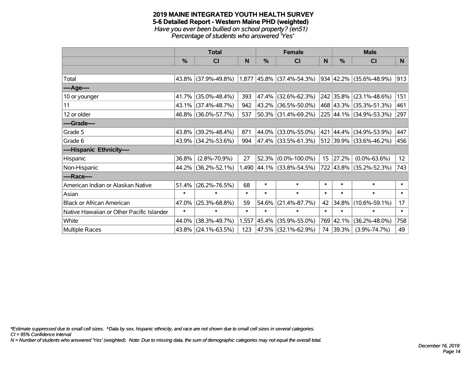#### **2019 MAINE INTEGRATED YOUTH HEALTH SURVEY 5-6 Detailed Report - Western Maine PHD (weighted)** *Have you ever been bullied on school property? (en51) Percentage of students who answered 'Yes'*

|                                           | <b>Total</b>  |                     |        |               | <b>Female</b>               |        | <b>Male</b> |                         |        |  |
|-------------------------------------------|---------------|---------------------|--------|---------------|-----------------------------|--------|-------------|-------------------------|--------|--|
|                                           | $\frac{0}{0}$ | CI                  | N      | $\frac{0}{0}$ | CI                          | N      | %           | <b>CI</b>               | N      |  |
|                                           |               |                     |        |               |                             |        |             |                         |        |  |
| Total                                     |               | 43.8% (37.9%-49.8%) |        |               | $1,877$ 45.8% (37.4%-54.3%) |        |             | 934 42.2% (35.6%-48.9%) | 913    |  |
| ----Age----                               |               |                     |        |               |                             |        |             |                         |        |  |
| 10 or younger                             | 41.7%         | $(35.0\% - 48.4\%)$ | 393    | 47.4%         | $(32.6\% - 62.3\%)$         |        | 242 35.8%   | $(23.1\% - 48.6\%)$     | 151    |  |
| 11                                        |               | 43.1% (37.4%-48.7%) | 942    | 43.2%         | $(36.5\% - 50.0\%)$         |        |             | 468 43.3% (35.3%-51.3%) | 461    |  |
| 12 or older                               |               | 46.8% (36.0%-57.7%) | 537    |               | $ 50.3\% $ (31.4%-69.2%)    |        |             | 225 44.1% (34.9%-53.3%) | 297    |  |
| ----Grade----                             |               |                     |        |               |                             |        |             |                         |        |  |
| Grade 5                                   | 43.8%         | $(39.2\% - 48.4\%)$ | 871    | 44.0%         | $(33.0\% - 55.0\%)$         | 421    | 44.4%       | $(34.9\% - 53.9\%)$     | 447    |  |
| Grade 6                                   |               | 43.9% (34.2%-53.6%) | 994    |               | 47.4% (33.5%-61.3%)         |        |             | 512 39.9% (33.6%-46.2%) | 456    |  |
| ----Hispanic Ethnicity----                |               |                     |        |               |                             |        |             |                         |        |  |
| Hispanic                                  | 36.8%         | $(2.8\% - 70.9\%)$  | 27     | 52.3%         | $(0.0\% - 100.0\%)$         | 15     | 27.2%       | $(0.0\% - 63.6\%)$      | 12     |  |
| Non-Hispanic                              |               | 44.2% (36.2%-52.1%) |        |               | 1,490 44.1% (33.8%-54.5%)   |        |             | 722 43.8% (35.2%-52.3%) | 743    |  |
| ----Race----                              |               |                     |        |               |                             |        |             |                         |        |  |
| American Indian or Alaskan Native         | 51.4%         | $(26.2\% - 76.5\%)$ | 68     | $\ast$        | $\ast$                      | $\ast$ | $\ast$      | $\ast$                  | $\ast$ |  |
| Asian                                     | $\ast$        | $\ast$              | $\ast$ | $\ast$        | $\ast$                      | $\ast$ | $\ast$      | $\ast$                  | $\ast$ |  |
| <b>Black or African American</b>          | 47.0%         | $(25.3\% - 68.8\%)$ | 59     | 54.6%         | $(21.4\% - 87.7\%)$         | 42     | 34.8%       | $(10.6\% - 59.1\%)$     | 17     |  |
| Native Hawaiian or Other Pacific Islander | $\ast$        | $\ast$              | $\ast$ | $\ast$        | $\ast$                      | $\ast$ | $\ast$      | $\ast$                  | $\ast$ |  |
| White                                     | 44.0%         | $(38.3\% - 49.7\%)$ | 1,557  | 45.4%         | $(35.9\% - 55.0\%)$         | 769    | 42.1%       | $(36.2\% - 48.0\%)$     | 758    |  |
| Multiple Races                            |               | 43.8% (24.1%-63.5%) | 123    |               | 47.5% (32.1%-62.9%)         |        | 74 39.3%    | $(3.9\% - 74.7\%)$      | 49     |  |

*\*Estimate suppressed due to small cell sizes. ^Data by sex, hispanic ethnicity, and race are not shown due to small cell sizes in several categories.*

*CI = 95% Confidence Interval*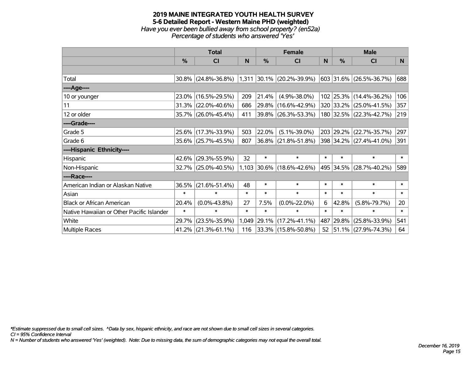### **2019 MAINE INTEGRATED YOUTH HEALTH SURVEY 5-6 Detailed Report - Western Maine PHD (weighted)** *Have you ever been bullied away from school property? (en52a) Percentage of students who answered 'Yes'*

|                                           | <b>Total</b>  |                        |        |        | <b>Female</b>               |        | <b>Male</b> |                          |        |  |
|-------------------------------------------|---------------|------------------------|--------|--------|-----------------------------|--------|-------------|--------------------------|--------|--|
|                                           | $\frac{0}{0}$ | <b>CI</b>              | N      | $\%$   | <b>CI</b>                   | N      | %           | <b>CI</b>                | N      |  |
|                                           |               |                        |        |        |                             |        |             |                          |        |  |
| Total                                     |               | 30.8% (24.8%-36.8%)    |        |        | $1,311$ 30.1% (20.2%-39.9%) |        |             | 603 31.6% (26.5%-36.7%)  | 688    |  |
| ----Age----                               |               |                        |        |        |                             |        |             |                          |        |  |
| 10 or younger                             | 23.0%         | $(16.5\% - 29.5\%)$    | 209    | 21.4%  | $(4.9\% - 38.0\%)$          |        |             | 102 25.3% (14.4%-36.2%)  | 106    |  |
| 11                                        |               | 31.3% (22.0%-40.6%)    | 686    | 29.8%  | $(16.6\% - 42.9\%)$         |        |             | 320 33.2% (25.0%-41.5%)  | 357    |  |
| 12 or older                               |               | 35.7% (26.0%-45.4%)    | 411    |        | $ 39.8\% $ (26.3%-53.3%)    |        |             | 180 32.5% (22.3%-42.7%)  | 219    |  |
| ----Grade----                             |               |                        |        |        |                             |        |             |                          |        |  |
| Grade 5                                   |               | 25.6% (17.3%-33.9%)    | 503    | 22.0%  | $(5.1\% - 39.0\%)$          |        |             | 203 29.2% (22.7%-35.7%)  | 297    |  |
| Grade 6                                   |               | 35.6% (25.7%-45.5%)    | 807    |        | $ 36.8\% $ (21.8%-51.8%)    |        |             | 398 34.2% (27.4%-41.0%)  | 391    |  |
| ----Hispanic Ethnicity----                |               |                        |        |        |                             |        |             |                          |        |  |
| Hispanic                                  | 42.6%         | $(29.3\% - 55.9\%)$    | 32     | $\ast$ | $\ast$                      | $\ast$ | $\ast$      | $\ast$                   | $\ast$ |  |
| Non-Hispanic                              |               | 32.7% (25.0%-40.5%)    |        |        | $1,103$ 30.6% (18.6%-42.6%) |        |             | 495 34.5% (28.7%-40.2%)  | 589    |  |
| ----Race----                              |               |                        |        |        |                             |        |             |                          |        |  |
| American Indian or Alaskan Native         | 36.5%         | $(21.6\% - 51.4\%)$    | 48     | $\ast$ | $\ast$                      | $\ast$ | $\ast$      | $\ast$                   | $\ast$ |  |
| Asian                                     | $\ast$        | $\ast$                 | $\ast$ | $\ast$ | $\ast$                      | $\ast$ | $\ast$      | $\ast$                   | $\ast$ |  |
| <b>Black or African American</b>          | 20.4%         | $(0.0\% - 43.8\%)$     | 27     | 7.5%   | $(0.0\% - 22.0\%)$          | 6      | 42.8%       | $(5.8\% - 79.7\%)$       | 20     |  |
| Native Hawaiian or Other Pacific Islander | $\ast$        | $\ast$                 | $\ast$ | $\ast$ | $\ast$                      | $\ast$ | $\ast$      | $\ast$                   | $\ast$ |  |
| White                                     | 29.7%         | $(23.5\% - 35.9\%)$    | 1,049  | 29.1%  | $(17.2\% - 41.1\%)$         | 487    | 29.8%       | $(25.8\% - 33.9\%)$      | 541    |  |
| Multiple Races                            |               | $41.2\%$ (21.3%-61.1%) | 116    |        | $ 33.3\% $ (15.8%-50.8%)    | 52     |             | $ 51.1\% $ (27.9%-74.3%) | 64     |  |

*\*Estimate suppressed due to small cell sizes. ^Data by sex, hispanic ethnicity, and race are not shown due to small cell sizes in several categories.*

*CI = 95% Confidence Interval*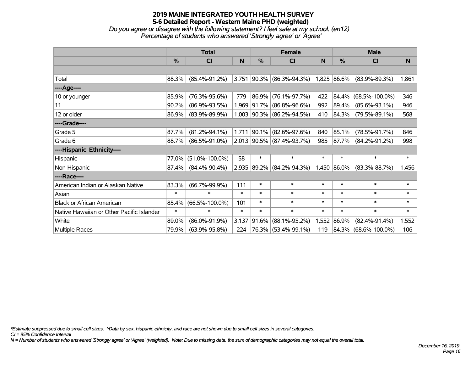*Do you agree or disagree with the following statement? I feel safe at my school. (en12) Percentage of students who answered 'Strongly agree' or 'Agree'*

|                                           |               | <b>Total</b>         |          |               | <b>Female</b>             |        | <b>Male</b> |                      |        |  |
|-------------------------------------------|---------------|----------------------|----------|---------------|---------------------------|--------|-------------|----------------------|--------|--|
|                                           | $\frac{0}{0}$ | CI                   | <b>N</b> | $\frac{0}{0}$ | <b>CI</b>                 | N      | %           | CI                   | N      |  |
|                                           |               |                      |          |               |                           |        |             |                      |        |  |
| Total                                     | 88.3%         | $(85.4\% - 91.2\%)$  | 3,751    |               | $ 90.3\% $ (86.3%-94.3%)  |        | 1,825 86.6% | $(83.9\% - 89.3\%)$  | 1,861  |  |
| ----Age----                               |               |                      |          |               |                           |        |             |                      |        |  |
| 10 or younger                             | 85.9%         | $(76.3\% - 95.6\%)$  | 779      | 86.9%         | $(76.1\% - 97.7\%)$       | 422    | 84.4%       | $(68.5\% - 100.0\%)$ | 346    |  |
| 11                                        | 90.2%         | $(86.9\% - 93.5\%)$  | 1,969    | $ 91.7\% $    | $(86.8\% - 96.6\%)$       | 992    | 89.4%       | $(85.6\% - 93.1\%)$  | 946    |  |
| 12 or older                               | 86.9%         | $(83.9\% - 89.9\%)$  |          |               | 1,003 90.3% (86.2%-94.5%) | 410    | 84.3%       | $(79.5\% - 89.1\%)$  | 568    |  |
| ----Grade----                             |               |                      |          |               |                           |        |             |                      |        |  |
| Grade 5                                   | 87.7%         | $(81.2\% - 94.1\%)$  | 1,711    | 90.1%         | $(82.6\% - 97.6\%)$       | 840    | 85.1%       | $(78.5\% - 91.7\%)$  | 846    |  |
| Grade 6                                   | 88.7%         | $(86.5\% - 91.0\%)$  |          |               | 2,013 90.5% (87.4%-93.7%) | 985    | 87.7%       | $(84.2\% - 91.2\%)$  | 998    |  |
| ----Hispanic Ethnicity----                |               |                      |          |               |                           |        |             |                      |        |  |
| Hispanic                                  | 77.0%         | $(51.0\% - 100.0\%)$ | 58       | $\ast$        | $\ast$                    | $\ast$ | $\ast$      | $\ast$               | $\ast$ |  |
| Non-Hispanic                              | 87.4%         | $(84.4\% - 90.4\%)$  | 2,935    |               | $ 89.2\% $ (84.2%-94.3%)  |        | 1,450 86.0% | $(83.3\% - 88.7\%)$  | 1,456  |  |
| ----Race----                              |               |                      |          |               |                           |        |             |                      |        |  |
| American Indian or Alaskan Native         | 83.3%         | $(66.7\% - 99.9\%)$  | 111      | $\ast$        | $\ast$                    | $\ast$ | $\ast$      | $\ast$               | $\ast$ |  |
| Asian                                     | $\ast$        | $\ast$               | $\ast$   | $\ast$        | $\ast$                    | $\ast$ | $\ast$      | $\ast$               | $\ast$ |  |
| <b>Black or African American</b>          | 85.4%         | $(66.5\% - 100.0\%)$ | 101      | $\ast$        | $\ast$                    | $\ast$ | $\ast$      | $\ast$               | $\ast$ |  |
| Native Hawaiian or Other Pacific Islander | $\ast$        | $\ast$               | $\ast$   | $\ast$        | $\ast$                    | $\ast$ | $\ast$      | $\ast$               | $\ast$ |  |
| White                                     | 89.0%         | $(86.0\% - 91.9\%)$  | 3,137    | 91.6%         | $(88.1\% - 95.2\%)$       | 1,552  | 86.9%       | $(82.4\% - 91.4\%)$  | 1,552  |  |
| Multiple Races                            | 79.9%         | $(63.9\% - 95.8\%)$  | 224      |               | 76.3% (53.4%-99.1%)       | 119    |             | 84.3% (68.6%-100.0%) | 106    |  |

*\*Estimate suppressed due to small cell sizes. ^Data by sex, hispanic ethnicity, and race are not shown due to small cell sizes in several categories.*

*CI = 95% Confidence Interval*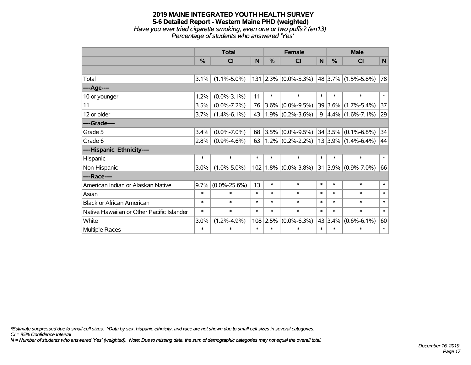### **2019 MAINE INTEGRATED YOUTH HEALTH SURVEY 5-6 Detailed Report - Western Maine PHD (weighted)** *Have you ever tried cigarette smoking, even one or two puffs? (en13) Percentage of students who answered 'Yes'*

|                                           |        | <b>Total</b>       |        | <b>Female</b> |                     |        | <b>Male</b>   |                            |              |  |
|-------------------------------------------|--------|--------------------|--------|---------------|---------------------|--------|---------------|----------------------------|--------------|--|
|                                           | %      | <b>CI</b>          | N      | %             | <b>CI</b>           | N      | $\frac{0}{0}$ | <b>CI</b>                  | N            |  |
|                                           |        |                    |        |               |                     |        |               |                            |              |  |
| Total                                     | 3.1%   | $(1.1\% - 5.0\%)$  | 131    |               | $2.3\%$ (0.0%-5.3%) |        |               | $ 48 3.7\% $ (1.5%-5.8%)   | 78           |  |
| ---- Age----                              |        |                    |        |               |                     |        |               |                            |              |  |
| 10 or younger                             | 1.2%   | $(0.0\% - 3.1\%)$  | 11     | $\ast$        | $\ast$              | $\ast$ | $\ast$        | $\ast$                     | $\ast$       |  |
| 11                                        | 3.5%   | $(0.0\% - 7.2\%)$  | 76     | $3.6\%$       | $(0.0\% - 9.5\%)$   |        | 39 3.6%       | $(1.7\% - 5.4\%)$          | 37           |  |
| 12 or older                               | 3.7%   | $(1.4\% - 6.1\%)$  | 43     |               | $1.9\%$ (0.2%-3.6%) | 9      |               | $ 4.4\% $ (1.6%-7.1%)      | 29           |  |
| ----Grade----                             |        |                    |        |               |                     |        |               |                            |              |  |
| Grade 5                                   | 3.4%   | $(0.0\% - 7.0\%)$  | 68     | 3.5%          | $(0.0\% - 9.5\%)$   |        |               | $34 3.5\% $ (0.1%-6.8%)    | 34           |  |
| Grade 6                                   | 2.8%   | $(0.9\% - 4.6\%)$  | 63     |               | $1.2\%$ (0.2%-2.2%) |        |               | $13 3.9\% (1.4\% - 6.4\%)$ | 44           |  |
| ----Hispanic Ethnicity----                |        |                    |        |               |                     |        |               |                            |              |  |
| Hispanic                                  | $\ast$ | $\ast$             | $\ast$ | $\ast$        | $\ast$              | $\ast$ | $\ast$        | $\ast$                     | $\ast$       |  |
| Non-Hispanic                              | 3.0%   | $(1.0\% - 5.0\%)$  |        | $102$   1.8%  | $(0.0\% - 3.8\%)$   | 31     | 3.9%          | $(0.9\% - 7.0\%)$          | 66           |  |
| ----Race----                              |        |                    |        |               |                     |        |               |                            |              |  |
| American Indian or Alaskan Native         | 9.7%   | $(0.0\% - 25.6\%)$ | 13     | $\ast$        | $\ast$              | $\ast$ | $\ast$        | $\ast$                     | $\ast$       |  |
| Asian                                     | $\ast$ | $\ast$             | $\ast$ | $\ast$        | $\ast$              | $\ast$ | $\ast$        | $\ast$                     | $\ast$       |  |
| <b>Black or African American</b>          | $\ast$ | $\ast$             | $\ast$ | $\ast$        | $\ast$              | $\ast$ | $\ast$        | $\ast$                     | $\ast$       |  |
| Native Hawaiian or Other Pacific Islander | $\ast$ | $\ast$             | $\ast$ | $\ast$        | $\ast$              | $\ast$ | $\ast$        | $\ast$                     | $\ast$       |  |
| White                                     | 3.0%   | $(1.2\% - 4.9\%)$  |        | 108 2.5%      | $(0.0\% - 6.3\%)$   |        | 43 3.4%       | $(0.6\% - 6.1\%)$          | 60           |  |
| Multiple Races                            | $\ast$ | *                  | $\ast$ | $\ast$        | $\ast$              | $\ast$ | $\ast$        | $\ast$                     | $\pmb{\ast}$ |  |

*\*Estimate suppressed due to small cell sizes. ^Data by sex, hispanic ethnicity, and race are not shown due to small cell sizes in several categories.*

*CI = 95% Confidence Interval*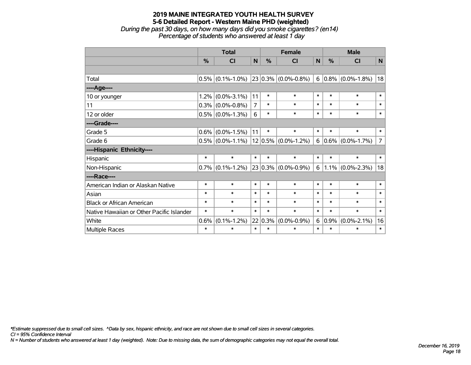*During the past 30 days, on how many days did you smoke cigarettes? (en14) Percentage of students who answered at least 1 day*

|                                           |        | <b>Total</b>        |                |             | <b>Female</b>            |        |               | <b>Male</b>            |                |  |  |
|-------------------------------------------|--------|---------------------|----------------|-------------|--------------------------|--------|---------------|------------------------|----------------|--|--|
|                                           | %      | CI                  | $\mathsf{N}$   | %           | <b>CI</b>                | N      | $\frac{0}{0}$ | <b>CI</b>              | N              |  |  |
|                                           |        |                     |                |             |                          |        |               |                        |                |  |  |
| Total                                     |        | $0.5\%$ (0.1%-1.0%) |                |             | $ 23 0.3\% $ (0.0%-0.8%) |        |               | $6 0.8\% $ (0.0%-1.8%) | 18             |  |  |
| ----Age----                               |        |                     |                |             |                          |        |               |                        |                |  |  |
| 10 or younger                             | 1.2%   | $(0.0\% - 3.1\%)$   | 11             | $\ast$      | $\ast$                   | $\ast$ | $\ast$        | $\ast$                 | $\ast$         |  |  |
| 11                                        |        | $0.3\%$ (0.0%-0.8%) | $\overline{7}$ | $\ast$      | $\ast$                   | $\ast$ | $\ast$        | $\ast$                 | $\ast$         |  |  |
| 12 or older                               |        | $0.5\%$ (0.0%-1.3%) | 6              | $\ast$      | $\ast$                   | $\ast$ | $\ast$        | $\ast$                 | $\ast$         |  |  |
| ----Grade----                             |        |                     |                |             |                          |        |               |                        |                |  |  |
| Grade 5                                   | 0.6%   | $(0.0\% - 1.5\%)$   | 11             | $\ast$      | $\ast$                   | $\ast$ | $\ast$        | $\ast$                 | $\ast$         |  |  |
| Grade 6                                   |        | $0.5\%$ (0.0%-1.1%) |                | $12 0.5\% $ | $(0.0\% - 1.2\%)$        | 6      |               | $0.6\%$ (0.0%-1.7%)    | $\overline{7}$ |  |  |
| ----Hispanic Ethnicity----                |        |                     |                |             |                          |        |               |                        |                |  |  |
| Hispanic                                  | $\ast$ | $\ast$              | $\ast$         | $\ast$      | $\ast$                   | $\ast$ | $\ast$        | $\ast$                 | $\ast$         |  |  |
| Non-Hispanic                              |        | $0.7\%$ (0.1%-1.2%) |                | $23 0.3\% $ | $(0.0\% - 0.9\%)$        | 6      |               | $1.1\%$ (0.0%-2.3%)    | 18             |  |  |
| ----Race----                              |        |                     |                |             |                          |        |               |                        |                |  |  |
| American Indian or Alaskan Native         | $\ast$ | $\ast$              | $\ast$         | $\ast$      | $\ast$                   | $\ast$ | $\ast$        | $\ast$                 | $\ast$         |  |  |
| Asian                                     | $\ast$ | $\ast$              | $\ast$         | $\ast$      | $\ast$                   | $\ast$ | $\ast$        | $\ast$                 | $\ast$         |  |  |
| <b>Black or African American</b>          | $\ast$ | $\ast$              | $\ast$         | $\ast$      | $\ast$                   | $\ast$ | $\ast$        | $\ast$                 | $\ast$         |  |  |
| Native Hawaiian or Other Pacific Islander | $\ast$ | $\ast$              | $\ast$         | $\ast$      | $\ast$                   | $\ast$ | $\ast$        | $\ast$                 | $\ast$         |  |  |
| White                                     | 0.6%   | $(0.1\% - 1.2\%)$   |                | 22 0.3%     | $(0.0\% - 0.9\%)$        | 6      | $ 0.9\% $     | $(0.0\% - 2.1\%)$      | 16             |  |  |
| Multiple Races                            | $\ast$ | $\ast$              | $\ast$         | $\ast$      | *                        | $\ast$ | $\ast$        | $\ast$                 | $\ast$         |  |  |

*\*Estimate suppressed due to small cell sizes. ^Data by sex, hispanic ethnicity, and race are not shown due to small cell sizes in several categories.*

*CI = 95% Confidence Interval*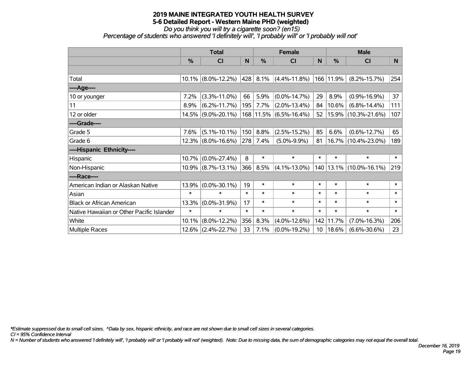# *Do you think you will try a cigarette soon? (en15)*

*Percentage of students who answered 'I definitely will', 'I probably will' or 'I probably will not'*

|                                           | <b>Total</b> |                       |        |        | <b>Female</b>          |                 | <b>Male</b> |                        |        |  |
|-------------------------------------------|--------------|-----------------------|--------|--------|------------------------|-----------------|-------------|------------------------|--------|--|
|                                           | %            | <b>CI</b>             | N      | %      | <b>CI</b>              | N               | %           | <b>CI</b>              | N.     |  |
|                                           |              |                       |        |        |                        |                 |             |                        |        |  |
| Total                                     |              | $10.1\%$ (8.0%-12.2%) | 428    | 8.1%   | $(4.4\% - 11.8\%)$     |                 | 166 11.9%   | $(8.2\% - 15.7\%)$     | 254    |  |
| ----Age----                               |              |                       |        |        |                        |                 |             |                        |        |  |
| 10 or younger                             | 7.2%         | $(3.3\% - 11.0\%)$    | 66     | 5.9%   | $(0.0\% - 14.7\%)$     | 29              | 8.9%        | $(0.9\% - 16.9\%)$     | 37     |  |
| 11                                        | 8.9%         | $(6.2\% - 11.7\%)$    | 195    | 7.7%   | $(2.0\% - 13.4\%)$     | 84              | 10.6%       | $(6.8\% - 14.4\%)$     | 111    |  |
| 12 or older                               |              | $14.5\%$ (9.0%-20.1%) |        |        | 168 11.5% (6.5%-16.4%) | 52              |             | 15.9% (10.3%-21.6%)    | 107    |  |
| ----Grade----                             |              |                       |        |        |                        |                 |             |                        |        |  |
| Grade 5                                   | 7.6%         | $(5.1\% - 10.1\%)$    | 150    | 8.8%   | $(2.5\% - 15.2\%)$     | 85              | 6.6%        | $(0.6\% - 12.7\%)$     | 65     |  |
| Grade 6                                   |              | $12.3\%$ (8.0%-16.6%) | 278    | 7.4%   | $(5.0\% - 9.9\%)$      | 81              |             | 16.7% (10.4%-23.0%)    | 189    |  |
| ----Hispanic Ethnicity----                |              |                       |        |        |                        |                 |             |                        |        |  |
| Hispanic                                  | 10.7%        | $(0.0\% - 27.4\%)$    | 8      | $\ast$ | $\ast$                 | $\ast$          | $\ast$      | $\ast$                 | $\ast$ |  |
| Non-Hispanic                              |              | $10.9\%$ (8.7%-13.1%) | 366    | 8.5%   | $(4.1\% - 13.0\%)$     | 140             |             | $13.1\%$ (10.0%-16.1%) | 219    |  |
| ----Race----                              |              |                       |        |        |                        |                 |             |                        |        |  |
| American Indian or Alaskan Native         | 13.9%        | $(0.0\% - 30.1\%)$    | 19     | $\ast$ | $\ast$                 | $\ast$          | $\ast$      | $\ast$                 | $\ast$ |  |
| Asian                                     | $\ast$       | $\ast$                | $\ast$ | $\ast$ | $\ast$                 | $\ast$          | $\ast$      | $\ast$                 | $\ast$ |  |
| <b>Black or African American</b>          | 13.3%        | $(0.0\% - 31.9\%)$    | 17     | $\ast$ | $\ast$                 | $\ast$          | $\ast$      | $\ast$                 | $\ast$ |  |
| Native Hawaiian or Other Pacific Islander | $\ast$       | $\ast$                | $\ast$ | $\ast$ | $\ast$                 | $\ast$          | $\ast$      | $\ast$                 | $\ast$ |  |
| White                                     | 10.1%        | $(8.0\% - 12.2\%)$    | 356    | 8.3%   | $(4.0\% - 12.6\%)$     | 142             | 11.7%       | $(7.0\% - 16.3\%)$     | 206    |  |
| Multiple Races                            |              | $12.6\%$ (2.4%-22.7%) | 33     | 7.1%   | $(0.0\% - 19.2\%)$     | 10 <sup>°</sup> | 18.6%       | $(6.6\% - 30.6\%)$     | 23     |  |

*\*Estimate suppressed due to small cell sizes. ^Data by sex, hispanic ethnicity, and race are not shown due to small cell sizes in several categories.*

*CI = 95% Confidence Interval*

*N = Number of students who answered 'I definitely will', 'I probably will' or 'I probably will not' (weighted). Note: Due to missing data, the sum of demographic categories may not equal the overall total.*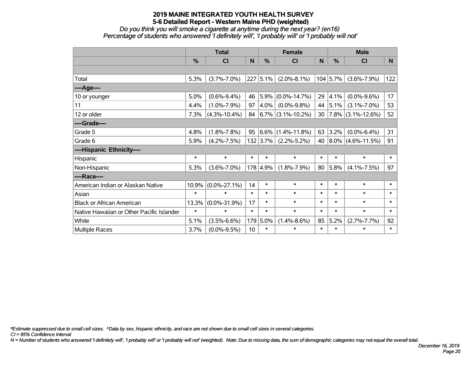*Do you think you will smoke a cigarette at anytime during the next year? (en16) Percentage of students who answered 'I definitely will', 'I probably will' or 'I probably will not'*

|                                           | <b>Total</b> |                    |        | <b>Female</b> |                        |        | <b>Male</b> |                        |        |
|-------------------------------------------|--------------|--------------------|--------|---------------|------------------------|--------|-------------|------------------------|--------|
|                                           | %            | <b>CI</b>          | N      | $\frac{0}{0}$ | <b>CI</b>              | N      | %           | <b>CI</b>              | N.     |
|                                           |              |                    |        |               |                        |        |             |                        |        |
| Total                                     | 5.3%         | $(3.7\% - 7.0\%)$  | 227    | 5.1%          | $(2.0\% - 8.1\%)$      |        | $104$ 5.7%  | $(3.6\% - 7.9\%)$      | 122    |
| ----Age----                               |              |                    |        |               |                        |        |             |                        |        |
| 10 or younger                             | 5.0%         | $(0.6\% - 9.4\%)$  | 46     | 5.9%          | $(0.0\% - 14.7\%)$     | 29     | 4.1%        | $(0.0\% - 9.6\%)$      | 17     |
| 11                                        | 4.4%         | $(1.0\% - 7.9\%)$  | 97     | 4.0%          | $(0.0\% - 9.8\%)$      | 44     | 5.1%        | $(3.1\% - 7.0\%)$      | 53     |
| 12 or older                               | 7.3%         | $(4.3\% - 10.4\%)$ | 84     |               | $ 6.7\% $ (3.1%-10.2%) | 30     |             | $ 7.8\% $ (3.1%-12.6%) | 52     |
| ----Grade----                             |              |                    |        |               |                        |        |             |                        |        |
| Grade 5                                   | 4.8%         | $(1.8\% - 7.8\%)$  | 95     |               | $ 6.6\% $ (1.4%-11.8%) | 63     | 3.2%        | $(0.0\% - 6.4\%)$      | 31     |
| Grade 6                                   | 5.9%         | $(4.2\% - 7.5\%)$  |        | $132$ 3.7%    | $(2.2\% - 5.2\%)$      | 40     |             | $ 8.0\% $ (4.6%-11.5%) | 91     |
| ----Hispanic Ethnicity----                |              |                    |        |               |                        |        |             |                        |        |
| Hispanic                                  | $\ast$       | $\ast$             | $\ast$ | $\ast$        | $\ast$                 | $\ast$ | $\ast$      | $\ast$                 | $\ast$ |
| Non-Hispanic                              | 5.3%         | $(3.6\% - 7.0\%)$  |        | 178 4.9%      | $(1.8\% - 7.9\%)$      | 80     | 5.8%        | $(4.1\% - 7.5\%)$      | 97     |
| ----Race----                              |              |                    |        |               |                        |        |             |                        |        |
| American Indian or Alaskan Native         | 10.9%        | $(0.0\% - 27.1\%)$ | 14     | $\ast$        | $\ast$                 | $\ast$ | $\ast$      | $\ast$                 | $\ast$ |
| Asian                                     | $\ast$       | $\ast$             | $\ast$ | $\ast$        | $\ast$                 | $\ast$ | $\ast$      | $\ast$                 | $\ast$ |
| <b>Black or African American</b>          | 13.3%        | $(0.0\% - 31.9\%)$ | 17     | $\ast$        | $\ast$                 | $\ast$ | $\ast$      | $\ast$                 | $\ast$ |
| Native Hawaiian or Other Pacific Islander | $\ast$       | $\ast$             | $\ast$ | $\ast$        | $\ast$                 | $\ast$ | $\ast$      | $\ast$                 | $\ast$ |
| White                                     | 5.1%         | $(3.5\% - 6.6\%)$  | 179    | 5.0%          | $(1.4\% - 8.6\%)$      | 85     | 5.2%        | $(2.7\% - 7.7\%)$      | 92     |
| <b>Multiple Races</b>                     | 3.7%         | $(0.0\% - 9.5\%)$  | 10     | $\ast$        | $\ast$                 | $\ast$ | $\ast$      | $\ast$                 | $\ast$ |

*\*Estimate suppressed due to small cell sizes. ^Data by sex, hispanic ethnicity, and race are not shown due to small cell sizes in several categories.*

*CI = 95% Confidence Interval*

*N = Number of students who answered 'I definitely will', 'I probably will' or 'I probably will not' (weighted). Note: Due to missing data, the sum of demographic categories may not equal the overall total.*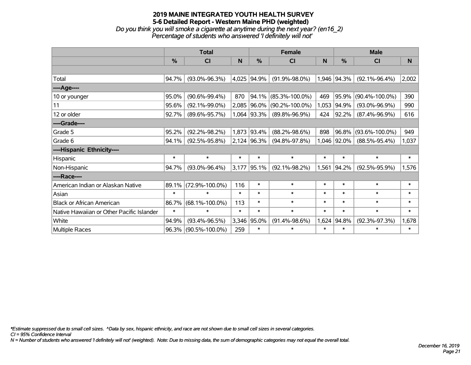# **2019 MAINE INTEGRATED YOUTH HEALTH SURVEY 5-6 Detailed Report - Western Maine PHD (weighted)** *Do you think you will smoke a cigarette at anytime during the next year? (en16\_2)*

| $\sim$ you all in you will strive a cigaretic at any and damig are next year; (child). |                                                             |  |
|----------------------------------------------------------------------------------------|-------------------------------------------------------------|--|
|                                                                                        | Percentage of students who answered 'I definitely will not' |  |

|                                           | <b>Total</b>  |                      |        |               | <b>Female</b>        |        | <b>Male</b>   |                      |          |  |
|-------------------------------------------|---------------|----------------------|--------|---------------|----------------------|--------|---------------|----------------------|----------|--|
|                                           | $\frac{0}{0}$ | CI                   | N      | $\frac{0}{0}$ | CI                   | N      | $\frac{0}{0}$ | <b>CI</b>            | <b>N</b> |  |
|                                           |               |                      |        |               |                      |        |               |                      |          |  |
| Total                                     | 94.7%         | $(93.0\% - 96.3\%)$  |        | 4,025 94.9%   | $(91.9\% - 98.0\%)$  |        | 1,946 94.3%   | $(92.1\% - 96.4\%)$  | 2,002    |  |
| ----Age----                               |               |                      |        |               |                      |        |               |                      |          |  |
| 10 or younger                             | 95.0%         | $(90.6\% - 99.4\%)$  | 870    | 94.1%         | $(85.3\% - 100.0\%)$ | 469    | 95.9%         | $(90.4\% - 100.0\%)$ | 390      |  |
| 11                                        | 95.6%         | $(92.1\% - 99.0\%)$  |        | 2,085 96.0%   | $(90.2\% - 100.0\%)$ | 1,053  | 94.9%         | $(93.0\% - 96.9\%)$  | 990      |  |
| 12 or older                               | 92.7%         | $(89.6\% - 95.7\%)$  |        | 1,064 93.3%   | $(89.8\% - 96.9\%)$  | 424    | 92.2%         | $(87.4\% - 96.9\%)$  | 616      |  |
| ----Grade----                             |               |                      |        |               |                      |        |               |                      |          |  |
| Grade 5                                   | 95.2%         | $(92.2\% - 98.2\%)$  |        | 1,873 93.4%   | $(88.2\% - 98.6\%)$  | 898    | 96.8%         | $(93.6\% - 100.0\%)$ | 949      |  |
| Grade 6                                   | 94.1%         | $(92.5\% - 95.8\%)$  |        | $2,124$ 96.3% | $(94.8\% - 97.8\%)$  |        | 1,046 92.0%   | $(88.5\% - 95.4\%)$  | 1,037    |  |
| ----Hispanic Ethnicity----                |               |                      |        |               |                      |        |               |                      |          |  |
| Hispanic                                  | $\ast$        | $\ast$               | $\ast$ | $\ast$        | $\ast$               | $\ast$ | $\ast$        | $\ast$               | $\ast$   |  |
| Non-Hispanic                              | 94.7%         | $(93.0\% - 96.4\%)$  | 3,177  | 95.1%         | $(92.1\% - 98.2\%)$  | 1,561  | 94.2%         | $(92.5\% - 95.9\%)$  | 1,576    |  |
| ----Race----                              |               |                      |        |               |                      |        |               |                      |          |  |
| American Indian or Alaskan Native         | 89.1%         | $(72.9\% - 100.0\%)$ | 116    | $\ast$        | $\ast$               | $\ast$ | $\ast$        | $\ast$               | $\ast$   |  |
| Asian                                     | $\ast$        | $\ast$               | $\ast$ | $\ast$        | $\ast$               | $\ast$ | $\ast$        | $\ast$               | $\ast$   |  |
| <b>Black or African American</b>          | 86.7%         | $(68.1\% - 100.0\%)$ | 113    | $\ast$        | $\ast$               | $\ast$ | $\ast$        | $\ast$               | $\ast$   |  |
| Native Hawaiian or Other Pacific Islander | $\ast$        | $\ast$               | $\ast$ | $\ast$        | $\ast$               | $\ast$ | $\ast$        | $\ast$               | $\ast$   |  |
| White                                     | 94.9%         | $(93.4\% - 96.5\%)$  | 3,346  | 95.0%         | $(91.4\% - 98.6\%)$  | 1,624  | 94.8%         | $(92.3\% - 97.3\%)$  | 1,678    |  |
| Multiple Races                            | 96.3%         | $(90.5\% - 100.0\%)$ | 259    | $\ast$        | $\ast$               | $\ast$ | $\ast$        | $\ast$               | $\ast$   |  |

*\*Estimate suppressed due to small cell sizes. ^Data by sex, hispanic ethnicity, and race are not shown due to small cell sizes in several categories.*

*CI = 95% Confidence Interval*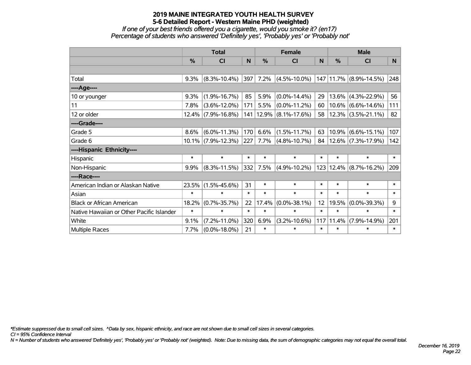*If one of your best friends offered you a cigarette, would you smoke it? (en17) Percentage of students who answered 'Definitely yes', 'Probably yes' or 'Probably not'*

|                                           | <b>Total</b>  |                        |        |               | <b>Female</b>         |        | <b>Male</b> |                            |                |  |
|-------------------------------------------|---------------|------------------------|--------|---------------|-----------------------|--------|-------------|----------------------------|----------------|--|
|                                           | $\frac{0}{0}$ | <b>CI</b>              | N      | $\frac{0}{0}$ | <b>CI</b>             | N      | %           | <b>CI</b>                  | N <sub>1</sub> |  |
|                                           |               |                        |        |               |                       |        |             |                            |                |  |
| Total                                     | 9.3%          | $(8.3\% - 10.4\%)$     | 397    | 7.2%          | $(4.5\% - 10.0\%)$    |        |             | 147   11.7%   (8.9%-14.5%) | 248            |  |
| ----Age----                               |               |                        |        |               |                       |        |             |                            |                |  |
| 10 or younger                             | 9.3%          | $(1.9\% - 16.7\%)$     | 85     | 5.9%          | $(0.0\% - 14.4\%)$    | 29     |             | $13.6\%$ (4.3%-22.9%)      | 56             |  |
| 11                                        | 7.8%          | $(3.6\% - 12.0\%)$     | 171    | 5.5%          | $(0.0\% - 11.2\%)$    | 60     |             | $10.6\%$ (6.6%-14.6%)      | 111            |  |
| 12 or older                               |               | $12.4\%$ (7.9%-16.8%)  | 141    |               | $12.9\%$ (8.1%-17.6%) | 58     |             | $ 12.3\% $ (3.5%-21.1%)    | 82             |  |
| ----Grade----                             |               |                        |        |               |                       |        |             |                            |                |  |
| Grade 5                                   | 8.6%          | $(6.0\% - 11.3\%)$     | 170    | 6.6%          | $(1.5\% - 11.7\%)$    | 63     |             | $10.9\%$ (6.6%-15.1%)      | 107            |  |
| Grade 6                                   |               | 10.1% (7.9%-12.3%) 227 |        | 7.7%          | $(4.8\% - 10.7\%)$    | 84     |             | $ 12.6\% $ (7.3%-17.9%)    | 142            |  |
| ----Hispanic Ethnicity----                |               |                        |        |               |                       |        |             |                            |                |  |
| Hispanic                                  | $\ast$        | $\ast$                 | $\ast$ | $\ast$        | $\ast$                | $\ast$ | $\ast$      | $\ast$                     | $\ast$         |  |
| Non-Hispanic                              | 9.9%          | $(8.3\% - 11.5\%)$     | 332    | 7.5%          | $(4.9\% - 10.2\%)$    |        |             | 123   12.4%   (8.7%-16.2%) | 209            |  |
| ----Race----                              |               |                        |        |               |                       |        |             |                            |                |  |
| American Indian or Alaskan Native         | 23.5%         | $(1.5\% - 45.6\%)$     | 31     | $\ast$        | $\ast$                | $\ast$ | $\ast$      | $\ast$                     | $\ast$         |  |
| Asian                                     | $\ast$        | $\ast$                 | $\ast$ | $\ast$        | $\ast$                | $\ast$ | $\ast$      | $\ast$                     | $\ast$         |  |
| <b>Black or African American</b>          | 18.2%         | $(0.7\% - 35.7\%)$     | 22     | 17.4%         | $(0.0\% - 38.1\%)$    | 12     | 19.5%       | $(0.0\% - 39.3\%)$         | 9              |  |
| Native Hawaiian or Other Pacific Islander | $\ast$        | $\ast$                 | $\ast$ | $\ast$        | $\ast$                | $\ast$ | $\ast$      | $\ast$                     | $\ast$         |  |
| White                                     | 9.1%          | $(7.2\% - 11.0\%)$     | 320    | 6.9%          | $(3.2\% - 10.6\%)$    | 117    | 11.4%       | $(7.9\% - 14.9\%)$         | 201            |  |
| <b>Multiple Races</b>                     | 7.7%          | $(0.0\% - 18.0\%)$     | 21     | $\ast$        | $\ast$                | $\ast$ | $\ast$      | $\ast$                     | $\ast$         |  |

*\*Estimate suppressed due to small cell sizes. ^Data by sex, hispanic ethnicity, and race are not shown due to small cell sizes in several categories.*

*CI = 95% Confidence Interval*

*N = Number of students who answered 'Definitely yes', 'Probably yes' or 'Probably not' (weighted). Note: Due to missing data, the sum of demographic categories may not equal the overall total.*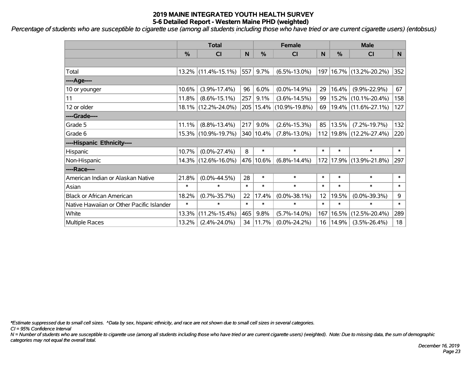*Percentage of students who are susceptible to cigarette use (among all students including those who have tried or are current cigarette users) (entobsus)*

|                                           | <b>Total</b>  |                        |        |           | <b>Female</b>               |                 | <b>Male</b> |                         |        |  |
|-------------------------------------------|---------------|------------------------|--------|-----------|-----------------------------|-----------------|-------------|-------------------------|--------|--|
|                                           | $\frac{0}{0}$ | C <sub>l</sub>         | N      | %         | <b>CI</b>                   | N               | %           | <b>CI</b>               | N      |  |
|                                           |               |                        |        |           |                             |                 |             |                         |        |  |
| Total                                     |               | $13.2\%$ (11.4%-15.1%) | 557    | 9.7%      | $(6.5\% - 13.0\%)$          | 197             |             | 16.7% (13.2%-20.2%)     | 352    |  |
| ----Age----                               |               |                        |        |           |                             |                 |             |                         |        |  |
| 10 or younger                             | 10.6%         | $(3.9\% - 17.4\%)$     | 96     | 6.0%      | $(0.0\% - 14.9\%)$          | 29              | 16.4%       | $(9.9\% - 22.9\%)$      | 67     |  |
| 11                                        | 11.8%         | $(8.6\% - 15.1\%)$     | 257    | 9.1%      | $(3.6\% - 14.5\%)$          | 99 <sub>1</sub> | $15.2\%$    | $(10.1\% - 20.4\%)$     | 158    |  |
| 12 or older                               |               | 18.1% (12.2%-24.0%)    |        |           | 205   15.4%   (10.9%-19.8%) | 69              |             | 19.4% (11.6%-27.1%)     | 127    |  |
| ----Grade----                             |               |                        |        |           |                             |                 |             |                         |        |  |
| Grade 5                                   | 11.1%         | $(8.8\% - 13.4\%)$     | 217    | 9.0%      | $(2.6\% - 15.3\%)$          | 85              | 13.5%       | $(7.2\% - 19.7\%)$      | 132    |  |
| Grade 6                                   |               | 15.3% (10.9%-19.7%)    |        | 340 10.4% | $(7.8\% - 13.0\%)$          |                 |             | 112 19.8% (12.2%-27.4%) | 220    |  |
| ----Hispanic Ethnicity----                |               |                        |        |           |                             |                 |             |                         |        |  |
| Hispanic                                  | 10.7%         | $(0.0\% - 27.4\%)$     | 8      | $\ast$    | $\ast$                      | $\ast$          | $\ast$      | $\ast$                  | $\ast$ |  |
| Non-Hispanic                              |               | 14.3% (12.6%-16.0%)    |        | 476 10.6% | $(6.8\% - 14.4\%)$          |                 | 172 17.9%   | $(13.9\% - 21.8\%)$     | 297    |  |
| ----Race----                              |               |                        |        |           |                             |                 |             |                         |        |  |
| American Indian or Alaskan Native         | 21.8%         | $(0.0\% - 44.5\%)$     | 28     | $\ast$    | $\ast$                      | $\ast$          | $\ast$      | $\ast$                  | $\ast$ |  |
| Asian                                     | $\ast$        | $\ast$                 | $\ast$ | $\ast$    | $\ast$                      | $\ast$          | $\ast$      | $\ast$                  | $\ast$ |  |
| <b>Black or African American</b>          | 18.2%         | $(0.7\% - 35.7\%)$     | 22     | 17.4%     | $(0.0\% - 38.1\%)$          | 12              | 19.5%       | $(0.0\% - 39.3\%)$      | 9      |  |
| Native Hawaiian or Other Pacific Islander | $\ast$        | $\ast$                 | $\ast$ | $\ast$    | $\ast$                      | $\ast$          | $\ast$      | $\ast$                  | $\ast$ |  |
| White                                     | 13.3%         | $(11.2\% - 15.4\%)$    | 465    | 9.8%      | $(5.7\% - 14.0\%)$          | 167             | 16.5%       | $(12.5\% - 20.4\%)$     | 289    |  |
| Multiple Races                            | 13.2%         | $(2.4\% - 24.0\%)$     | 34     | 11.7%     | $(0.0\% - 24.2\%)$          |                 | 16 14.9%    | $(3.5\% - 26.4\%)$      | 18     |  |

*\*Estimate suppressed due to small cell sizes. ^Data by sex, hispanic ethnicity, and race are not shown due to small cell sizes in several categories.*

*CI = 95% Confidence Interval*

*N = Number of students who are susceptible to cigarette use (among all students including those who have tried or are current cigarette users) (weighted). Note: Due to missing data, the sum of demographic categories may not equal the overall total.*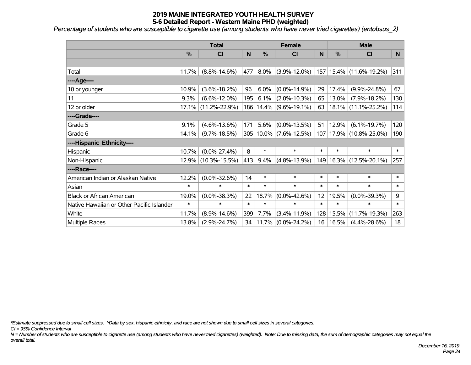*Percentage of students who are susceptible to cigarette use (among students who have never tried cigarettes) (entobsus\_2)*

|                                           |        | <b>Total</b>        |        | <b>Female</b> |                            | <b>Male</b> |             |                             |        |
|-------------------------------------------|--------|---------------------|--------|---------------|----------------------------|-------------|-------------|-----------------------------|--------|
|                                           | %      | <b>CI</b>           | N      | %             | <b>CI</b>                  | N           | %           | <b>CI</b>                   | N      |
|                                           |        |                     |        |               |                            |             |             |                             |        |
| Total                                     | 11.7%  | $(8.8\% - 14.6\%)$  | 477    | 8.0%          | $(3.9\% - 12.0\%)$         |             |             | 157   15.4%   (11.6%-19.2%) | 311    |
| ---- Age----                              |        |                     |        |               |                            |             |             |                             |        |
| 10 or younger                             | 10.9%  | $(3.6\% - 18.2\%)$  | 96     | 6.0%          | $(0.0\% - 14.9\%)$         | 29          | 17.4%       | $(9.9\% - 24.8\%)$          | 67     |
| 11                                        | 9.3%   | $(6.6\% - 12.0\%)$  | 195    | 6.1%          | $(2.0\% - 10.3\%)$         | 65          | 13.0%       | $(7.9\% - 18.2\%)$          | 130    |
| 12 or older                               | 17.1%  | $(11.2\% - 22.9\%)$ |        |               | 186   14.4%   (9.6%-19.1%) | 63          |             | 18.1% (11.1%-25.2%)         | 114    |
| ----Grade----                             |        |                     |        |               |                            |             |             |                             |        |
| Grade 5                                   | 9.1%   | $(4.6\% - 13.6\%)$  | 171    | 5.6%          | $(0.0\% - 13.5\%)$         | 51          | 12.9%       | $(6.1\% - 19.7\%)$          | 120    |
| Grade 6                                   | 14.1%  | $(9.7\% - 18.5\%)$  |        |               | 305 10.0% (7.6%-12.5%)     |             |             | 107   17.9%   (10.8%-25.0%) | 190    |
| ----Hispanic Ethnicity----                |        |                     |        |               |                            |             |             |                             |        |
| Hispanic                                  | 10.7%  | $(0.0\% - 27.4\%)$  | 8      | $\ast$        | $\ast$                     | $\ast$      | $\ast$      | $\ast$                      | $\ast$ |
| Non-Hispanic                              | 12.9%  | $(10.3\% - 15.5\%)$ | 413    | 9.4%          | $(4.8\% - 13.9\%)$         |             | 149   16.3% | $(12.5\% - 20.1\%)$         | 257    |
| ----Race----                              |        |                     |        |               |                            |             |             |                             |        |
| American Indian or Alaskan Native         | 12.2%  | $(0.0\% - 32.6\%)$  | 14     | $\ast$        | $\ast$                     | $\ast$      | $\ast$      | *                           | $\ast$ |
| Asian                                     | $\ast$ | $\ast$              | $\ast$ | $\ast$        | $\ast$                     | $\ast$      | $\ast$      | $\ast$                      | $\ast$ |
| <b>Black or African American</b>          | 19.0%  | $(0.0\% - 38.3\%)$  | 22     | 18.7%         | $(0.0\% - 42.6\%)$         | 12          | 19.5%       | $(0.0\% - 39.3\%)$          | 9      |
| Native Hawaiian or Other Pacific Islander | $\ast$ | $\ast$              | $\ast$ | $\ast$        | $\ast$                     | $\ast$      | $\ast$      | $\ast$                      | $\ast$ |
| White                                     | 11.7%  | $(8.9\% - 14.6\%)$  | 399    | 7.7%          | $(3.4\% - 11.9\%)$         | 128         | 15.5%       | $(11.7\% - 19.3\%)$         | 263    |
| Multiple Races                            | 13.8%  | $(2.9\% - 24.7\%)$  |        | 34 11.7%      | $(0.0\% - 24.2\%)$         | 16          | $ 16.5\% $  | $(4.4\% - 28.6\%)$          | 18     |

*\*Estimate suppressed due to small cell sizes. ^Data by sex, hispanic ethnicity, and race are not shown due to small cell sizes in several categories.*

*CI = 95% Confidence Interval*

*N = Number of students who are susceptible to cigarette use (among students who have never tried cigarettes) (weighted). Note: Due to missing data, the sum of demographic categories may not equal the overall total.*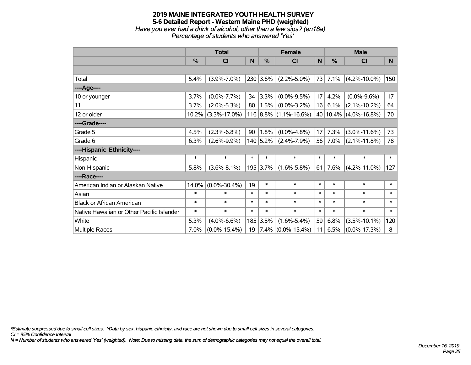### **2019 MAINE INTEGRATED YOUTH HEALTH SURVEY 5-6 Detailed Report - Western Maine PHD (weighted)** *Have you ever had a drink of alcohol, other than a few sips? (en18a) Percentage of students who answered 'Yes'*

|                                           | <b>Total</b> |                    | <b>Female</b> |           |                         | <b>Male</b> |        |                       |        |
|-------------------------------------------|--------------|--------------------|---------------|-----------|-------------------------|-------------|--------|-----------------------|--------|
|                                           | %            | <b>CI</b>          | N             | %         | <b>CI</b>               | N           | %      | <b>CI</b>             | N      |
|                                           |              |                    |               |           |                         |             |        |                       |        |
| Total                                     | 5.4%         | $(3.9\% - 7.0\%)$  |               | 230 3.6%  | $(2.2\% - 5.0\%)$       | 73          | 7.1%   | $(4.2\% - 10.0\%)$    | 150    |
| ----Age----                               |              |                    |               |           |                         |             |        |                       |        |
| 10 or younger                             | 3.7%         | $(0.0\% - 7.7\%)$  | 34            | 3.3%      | $(0.0\% - 9.5\%)$       | 17          | 4.2%   | $(0.0\% - 9.6\%)$     | 17     |
| 11                                        | 3.7%         | $(2.0\% - 5.3\%)$  | 80            | $ 1.5\% $ | $(0.0\% - 3.2\%)$       | 16          | 6.1%   | $(2.1\% - 10.2\%)$    | 64     |
| 12 or older                               | 10.2%        | $(3.3\% - 17.0\%)$ |               |           | $116$ 8.8% (1.1%-16.6%) |             |        | 40 10.4% (4.0%-16.8%) | 70     |
| ----Grade----                             |              |                    |               |           |                         |             |        |                       |        |
| Grade 5                                   | 4.5%         | $(2.3\% - 6.8\%)$  | 90            | 1.8%      | $(0.0\% - 4.8\%)$       | 17          | 7.3%   | $(3.0\% - 11.6\%)$    | 73     |
| Grade 6                                   | 6.3%         | $(2.6\% - 9.9\%)$  |               | 140 5.2%  | $(2.4\% - 7.9\%)$       | 56          | 7.0%   | $(2.1\% - 11.8\%)$    | 78     |
| ----Hispanic Ethnicity----                |              |                    |               |           |                         |             |        |                       |        |
| Hispanic                                  | $\ast$       | $\ast$             | $\ast$        | $\ast$    | $\ast$                  | $\ast$      | $\ast$ | $\ast$                | $\ast$ |
| Non-Hispanic                              | 5.8%         | $(3.6\% - 8.1\%)$  |               | 195 3.7%  | $(1.6\% - 5.8\%)$       | 61          | 7.6%   | $(4.2\% - 11.0\%)$    | 127    |
| ----Race----                              |              |                    |               |           |                         |             |        |                       |        |
| American Indian or Alaskan Native         | 14.0%        | $(0.0\% - 30.4\%)$ | 19            | $\ast$    | $\ast$                  | $\ast$      | $\ast$ | $\ast$                | $\ast$ |
| Asian                                     | $\ast$       | $\ast$             | $\ast$        | $\ast$    | $\ast$                  | $\ast$      | $\ast$ | $\ast$                | $\ast$ |
| <b>Black or African American</b>          | $\ast$       | $\ast$             | $\ast$        | $\ast$    | $\ast$                  | $\ast$      | $\ast$ | $\ast$                | $\ast$ |
| Native Hawaiian or Other Pacific Islander | $\ast$       | $\ast$             | $\ast$        | $\ast$    | $\ast$                  | $\ast$      | $\ast$ | $\ast$                | $\ast$ |
| White                                     | 5.3%         | $(4.0\% - 6.6\%)$  | 185           | 3.5%      | $(1.6\% - 5.4\%)$       | 59          | 6.8%   | $(3.5\% - 10.1\%)$    | 120    |
| <b>Multiple Races</b>                     | 7.0%         | $(0.0\% - 15.4\%)$ | 19            |           | $7.4\%$ (0.0%-15.4%)    | 11          | 6.5%   | $(0.0\% - 17.3\%)$    | 8      |

*\*Estimate suppressed due to small cell sizes. ^Data by sex, hispanic ethnicity, and race are not shown due to small cell sizes in several categories.*

*CI = 95% Confidence Interval*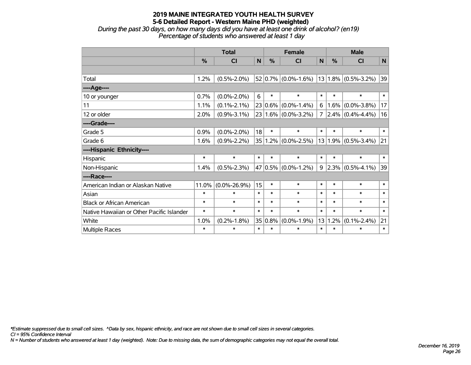*During the past 30 days, on how many days did you have at least one drink of alcohol? (en19) Percentage of students who answered at least 1 day*

|                                           | <b>Total</b> |                    |        |                     | <b>Female</b>           | <b>Male</b> |               |                         |        |
|-------------------------------------------|--------------|--------------------|--------|---------------------|-------------------------|-------------|---------------|-------------------------|--------|
|                                           | %            | <b>CI</b>          | N      | %                   | <b>CI</b>               | N           | $\frac{0}{0}$ | <b>CI</b>               | N      |
|                                           |              |                    |        |                     |                         |             |               |                         |        |
| Total                                     | 1.2%         | $(0.5\% - 2.0\%)$  |        |                     | $52 0.7\% $ (0.0%-1.6%) |             |               | $13 1.8\% $ (0.5%-3.2%) | 39     |
| ----Age----                               |              |                    |        |                     |                         |             |               |                         |        |
| 10 or younger                             | 0.7%         | $(0.0\% - 2.0\%)$  | 6      | $\ast$              | $\ast$                  | $\ast$      | $\ast$        | $\ast$                  | $\ast$ |
| 11                                        | 1.1%         | $(0.1\% - 2.1\%)$  |        | 23 0.6%             | $(0.0\% - 1.4\%)$       | 6           | 1.6%          | $(0.0\% - 3.8\%)$       | 17     |
| 12 or older                               | 2.0%         | $(0.9\% - 3.1\%)$  |        |                     | 23 1.6% (0.0%-3.2%)     | 7           |               | $2.4\%$ (0.4%-4.4%)     | 16     |
| ----Grade----                             |              |                    |        |                     |                         |             |               |                         |        |
| Grade 5                                   | 0.9%         | $(0.0\% - 2.0\%)$  | 18     | $\ast$              | $\ast$                  | $\ast$      | $\ast$        | $\ast$                  | $\ast$ |
| Grade 6                                   | 1.6%         | $(0.9\% - 2.2\%)$  |        | 35 1.2%             | $(0.0\% - 2.5\%)$       | 13          | 1.9%          | $(0.5\% - 3.4\%)$       | 21     |
| ----Hispanic Ethnicity----                |              |                    |        |                     |                         |             |               |                         |        |
| Hispanic                                  | $\ast$       | $\ast$             | $\ast$ | $\ast$              | $\ast$                  | $\ast$      | $\ast$        | $\ast$                  | $\ast$ |
| Non-Hispanic                              | 1.4%         | $(0.5\% - 2.3\%)$  | 47     | $\vert 0.5\% \vert$ | $(0.0\% - 1.2\%)$       | 9           |               | $2.3\%$ (0.5%-4.1%)     | 39     |
| ----Race----                              |              |                    |        |                     |                         |             |               |                         |        |
| American Indian or Alaskan Native         | 11.0%        | $(0.0\% - 26.9\%)$ | 15     | $\ast$              | $\ast$                  | $\ast$      | $\ast$        | $\ast$                  | $\ast$ |
| Asian                                     | $\ast$       | $\ast$             | $\ast$ | $\ast$              | $\ast$                  | $\ast$      | $\ast$        | $\ast$                  | $\ast$ |
| <b>Black or African American</b>          | $\ast$       | $\ast$             | $\ast$ | $\ast$              | $\ast$                  | $\ast$      | $\ast$        | $\ast$                  | $\ast$ |
| Native Hawaiian or Other Pacific Islander | $\ast$       | $\ast$             | $\ast$ | $\ast$              | $\ast$                  | $\ast$      | $\ast$        | $\ast$                  | $\ast$ |
| White                                     | 1.0%         | $(0.2\% - 1.8\%)$  | 35     | 0.8%                | $(0.0\% - 1.9\%)$       | 13          | 1.2%          | $(0.1\% - 2.4\%)$       | 21     |
| Multiple Races                            | $\ast$       | $\ast$             | $\ast$ | $\ast$              | $\ast$                  | $\ast$      | $\ast$        | $\ast$                  | $\ast$ |

*\*Estimate suppressed due to small cell sizes. ^Data by sex, hispanic ethnicity, and race are not shown due to small cell sizes in several categories.*

*CI = 95% Confidence Interval*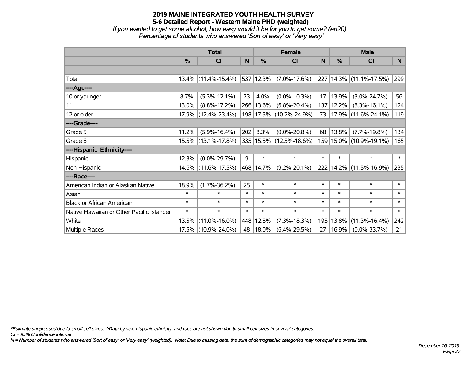*If you wanted to get some alcohol, how easy would it be for you to get some? (en20) Percentage of students who answered 'Sort of easy' or 'Very easy'*

|                                           | <b>Total</b>  |                     |        | <b>Female</b> | <b>Male</b>             |        |        |                         |        |
|-------------------------------------------|---------------|---------------------|--------|---------------|-------------------------|--------|--------|-------------------------|--------|
|                                           | $\frac{0}{0}$ | <b>CI</b>           | N      | $\frac{9}{6}$ | <b>CI</b>               | N      | %      | <b>CI</b>               | N.     |
|                                           |               |                     |        |               |                         |        |        |                         |        |
| Total                                     |               | 13.4% (11.4%-15.4%) |        | 537   12.3%   | $(7.0\% - 17.6\%)$      | 227    |        | $14.3\%$ (11.1%-17.5%)  | 299    |
| ----Age----                               |               |                     |        |               |                         |        |        |                         |        |
| 10 or younger                             | 8.7%          | $(5.3\% - 12.1\%)$  | 73     | 4.0%          | $(0.0\% - 10.3\%)$      | 17     | 13.9%  | $(3.0\% - 24.7\%)$      | 56     |
| 11                                        | 13.0%         | $(8.8\% - 17.2\%)$  |        | 266 13.6%     | $(6.8\% - 20.4\%)$      | 137    | 12.2%  | $(8.3\% - 16.1\%)$      | 124    |
| 12 or older                               | 17.9%         | $(12.4\% - 23.4\%)$ |        |               | 198 17.5% (10.2%-24.9%) | 73     |        | 17.9% (11.6%-24.1%)     | 119    |
| ----Grade----                             |               |                     |        |               |                         |        |        |                         |        |
| Grade 5                                   | 11.2%         | $(5.9\% - 16.4\%)$  | 202    | 8.3%          | $(0.0\% - 20.8\%)$      | 68     | 13.8%  | $(7.7\% - 19.8\%)$      | 134    |
| Grade 6                                   |               | 15.5% (13.1%-17.8%) |        |               | 335 15.5% (12.5%-18.6%) |        |        | 159 15.0% (10.9%-19.1%) | 165    |
| ----Hispanic Ethnicity----                |               |                     |        |               |                         |        |        |                         |        |
| Hispanic                                  | 12.3%         | $(0.0\% - 29.7\%)$  | 9      | $\ast$        | $\ast$                  | $\ast$ | $\ast$ | $\ast$                  | $\ast$ |
| Non-Hispanic                              | $14.6\%$      | $(11.6\% - 17.5\%)$ |        | 468 14.7%     | $(9.2\% - 20.1\%)$      | 222    | 14.2%  | $(11.5\% - 16.9\%)$     | 235    |
| ----Race----                              |               |                     |        |               |                         |        |        |                         |        |
| American Indian or Alaskan Native         | 18.9%         | $(1.7\% - 36.2\%)$  | 25     | $\ast$        | $\ast$                  | $\ast$ | $\ast$ | $\ast$                  | $\ast$ |
| Asian                                     | $\ast$        | $\ast$              | $\ast$ | $\ast$        | $\ast$                  | $\ast$ | $\ast$ | $\ast$                  | $\ast$ |
| <b>Black or African American</b>          | $\ast$        | $\ast$              | $\ast$ | $\ast$        | $\ast$                  | $\ast$ | $\ast$ | $\ast$                  | $\ast$ |
| Native Hawaiian or Other Pacific Islander | $\ast$        | $\ast$              | $\ast$ | $\ast$        | $\ast$                  | $\ast$ | $\ast$ | $\ast$                  | $\ast$ |
| White                                     | 13.5%         | $(11.0\% - 16.0\%)$ |        | 448 12.8%     | $(7.3\% - 18.3\%)$      | 195    | 13.8%  | $(11.3\% - 16.4\%)$     | 242    |
| Multiple Races                            |               | 17.5% (10.9%-24.0%) | 48     | $18.0\%$      | $(6.4\% - 29.5\%)$      | 27     | 16.9%  | $(0.0\% - 33.7\%)$      | 21     |

*\*Estimate suppressed due to small cell sizes. ^Data by sex, hispanic ethnicity, and race are not shown due to small cell sizes in several categories.*

*CI = 95% Confidence Interval*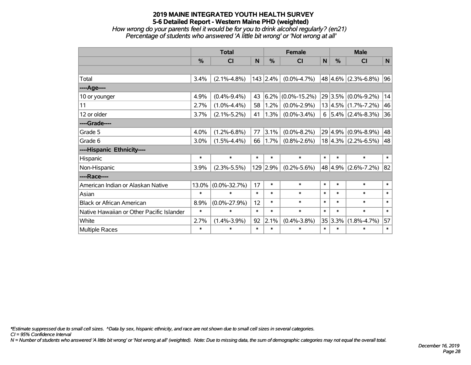*How wrong do your parents feel it would be for you to drink alcohol regularly? (en21) Percentage of students who answered 'A little bit wrong' or 'Not wrong at all'*

|                                           | <b>Total</b> |                    |        | <b>Female</b> | <b>Male</b>        |        |         |                          |        |
|-------------------------------------------|--------------|--------------------|--------|---------------|--------------------|--------|---------|--------------------------|--------|
|                                           | %            | CI                 | N      | %             | <b>CI</b>          | N      | %       | <b>CI</b>                | N      |
|                                           |              |                    |        |               |                    |        |         |                          |        |
| Total                                     | 3.4%         | $(2.1\% - 4.8\%)$  |        | $143$ 2.4%    | $(0.0\% - 4.7\%)$  |        |         | $48 4.6\% $ (2.3%-6.8%)  | 96     |
| ----Age----                               |              |                    |        |               |                    |        |         |                          |        |
| 10 or younger                             | 4.9%         | $(0.4\% - 9.4\%)$  | 43     | 6.2%          | $(0.0\% - 15.2\%)$ |        | 29 3.5% | $(0.0\% - 9.2\%)$        | 14     |
| 11                                        | 2.7%         | $(1.0\% - 4.4\%)$  | 58     | 1.2%          | $(0.0\% - 2.9\%)$  |        |         | $13 4.5\% $ (1.7%-7.2%)  | 46     |
| 12 or older                               | 3.7%         | $(2.1\% - 5.2\%)$  | 41     | 1.3%          | $(0.0\% - 3.4\%)$  |        |         | $6$   5.4%   (2.4%-8.3%) | 36     |
| ----Grade----                             |              |                    |        |               |                    |        |         |                          |        |
| Grade 5                                   | 4.0%         | $(1.2\% - 6.8\%)$  | 77     | 3.1%          | $(0.0\% - 8.2\%)$  |        | 29 4.9% | $(0.9\% - 8.9\%)$        | 48     |
| Grade 6                                   | 3.0%         | $(1.5\% - 4.4\%)$  | 66     | 1.7%          | $(0.8\% - 2.6\%)$  |        |         | $18 4.3\% $ (2.2%-6.5%)  | 48     |
| ----Hispanic Ethnicity----                |              |                    |        |               |                    |        |         |                          |        |
| Hispanic                                  | $\ast$       | $\ast$             | $\ast$ | $\ast$        | $\ast$             | $\ast$ | $\ast$  | $\ast$                   | $\ast$ |
| Non-Hispanic                              | 3.9%         | $(2.3\% - 5.5\%)$  |        | 129 2.9%      | $(0.2\% - 5.6\%)$  |        | 48 4.9% | $(2.6\% - 7.2\%)$        | 82     |
| ----Race----                              |              |                    |        |               |                    |        |         |                          |        |
| American Indian or Alaskan Native         | 13.0%        | $(0.0\% - 32.7\%)$ | 17     | $\ast$        | $\ast$             | $\ast$ | $\ast$  | $\ast$                   | $\ast$ |
| Asian                                     | $\ast$       | $\ast$             | $\ast$ | $\ast$        | $\ast$             | $\ast$ | $\ast$  | $\ast$                   | $\ast$ |
| <b>Black or African American</b>          | 8.9%         | $(0.0\% - 27.9\%)$ | 12     | $\ast$        | $\ast$             | $\ast$ | $\ast$  | $\ast$                   | $\ast$ |
| Native Hawaiian or Other Pacific Islander | $\ast$       | $\ast$             | $\ast$ | $\ast$        | $\ast$             | $\ast$ | $\ast$  | $\ast$                   | $\ast$ |
| White                                     | 2.7%         | $(1.4\% - 3.9\%)$  | 92     | 2.1%          | $(0.4\% - 3.8\%)$  |        | 35 3.3% | $(1.8\% - 4.7\%)$        | 57     |
| Multiple Races                            | $\ast$       | $\ast$             | $\ast$ | $\ast$        | $\ast$             | $\ast$ | $\ast$  | $\ast$                   | $\ast$ |

*\*Estimate suppressed due to small cell sizes. ^Data by sex, hispanic ethnicity, and race are not shown due to small cell sizes in several categories.*

*CI = 95% Confidence Interval*

*N = Number of students who answered 'A little bit wrong' or 'Not wrong at all' (weighted). Note: Due to missing data, the sum of demographic categories may not equal the overall total.*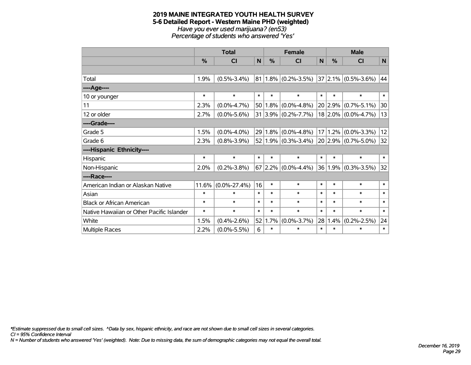#### **2019 MAINE INTEGRATED YOUTH HEALTH SURVEY 5-6 Detailed Report - Western Maine PHD (weighted)** *Have you ever used marijuana? (en53) Percentage of students who answered 'Yes'*

|                                           | <b>Total</b> |                    |              |                 | <b>Female</b>              |        | <b>Male</b>   |                          |        |  |
|-------------------------------------------|--------------|--------------------|--------------|-----------------|----------------------------|--------|---------------|--------------------------|--------|--|
|                                           | %            | <b>CI</b>          | $\mathsf{N}$ | %               | <b>CI</b>                  | N      | $\frac{0}{0}$ | <b>CI</b>                | N      |  |
|                                           |              |                    |              |                 |                            |        |               |                          |        |  |
| Total                                     | 1.9%         | $(0.5\% - 3.4\%)$  |              |                 | $81 1.8\% $ (0.2%-3.5%)    |        |               | $ 37 2.1\% $ (0.5%-3.6%) | 44     |  |
| ---- Age----                              |              |                    |              |                 |                            |        |               |                          |        |  |
| 10 or younger                             | $\ast$       | $\ast$             | $\ast$       | $\ast$          | $\ast$                     | $\ast$ | $\ast$        | $\ast$                   | $\ast$ |  |
| 11                                        | 2.3%         | $(0.0\% - 4.7\%)$  |              | 50 1.8%         | $(0.0\% - 4.8\%)$          |        | 20 2.9%       | $(0.7\% - 5.1\%)$        | 30     |  |
| 12 or older                               | 2.7%         | $(0.0\% - 5.6\%)$  |              |                 | $31 3.9\% (0.2\% - 7.7\%)$ |        |               | $18$ 2.0% (0.0%-4.7%)    | 13     |  |
| ----Grade----                             |              |                    |              |                 |                            |        |               |                          |        |  |
| Grade 5                                   | 1.5%         | $(0.0\% - 4.0\%)$  |              | $29 1.8\% $     | $(0.0\% - 4.8\%)$          |        | 17 1.2%       | $(0.0\% - 3.3\%)$        | 12     |  |
| Grade 6                                   | 2.3%         | $(0.8\% - 3.9\%)$  |              |                 | $52 1.9\% $ (0.3%-3.4%)    |        |               | $20 2.9\% $ (0.7%-5.0%)  | 32     |  |
| ----Hispanic Ethnicity----                |              |                    |              |                 |                            |        |               |                          |        |  |
| Hispanic                                  | *            | $\ast$             | $\ast$       | $\ast$          | $\ast$                     | $\ast$ | $\ast$        | $\ast$                   | $\ast$ |  |
| Non-Hispanic                              | 2.0%         | $(0.2\% - 3.8\%)$  |              |                 | $67 2.2\% $ (0.0%-4.4%)    |        | 36 1.9%       | $(0.3\% - 3.5\%)$        | 32     |  |
| ----Race----                              |              |                    |              |                 |                            |        |               |                          |        |  |
| American Indian or Alaskan Native         | 11.6%        | $(0.0\% - 27.4\%)$ | 16           | $\ast$          | $\ast$                     | $\ast$ | $\ast$        | $\ast$                   | $\ast$ |  |
| Asian                                     | $\ast$       | $\ast$             | $\ast$       | $\ast$          | $\ast$                     | $\ast$ | $\ast$        | $\ast$                   | $\ast$ |  |
| <b>Black or African American</b>          | $\ast$       | $\ast$             | $\ast$       | $\ast$          | $\ast$                     | $\ast$ | $\ast$        | $\ast$                   | $\ast$ |  |
| Native Hawaiian or Other Pacific Islander | *            | $\ast$             | $\ast$       | $\ast$          | $\ast$                     | $\ast$ | $\ast$        | $\ast$                   | $\ast$ |  |
| White                                     | 1.5%         | $(0.4\% - 2.6\%)$  |              | $52 \mid 1.7\%$ | $(0.0\% - 3.7\%)$          | 28     | 1.4%          | $(0.2\% - 2.5\%)$        | 24     |  |
| Multiple Races                            | 2.2%         | $(0.0\% - 5.5\%)$  | 6            | $\ast$          | $\ast$                     | $\ast$ | $\ast$        | $\ast$                   | $\ast$ |  |

*\*Estimate suppressed due to small cell sizes. ^Data by sex, hispanic ethnicity, and race are not shown due to small cell sizes in several categories.*

*CI = 95% Confidence Interval*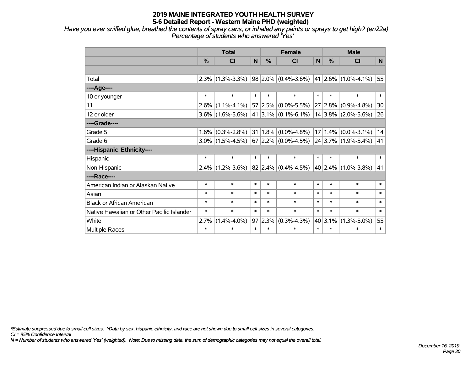*Have you ever sniffed glue, breathed the contents of spray cans, or inhaled any paints or sprays to get high? (en22a) Percentage of students who answered 'Yes'*

|                                           | <b>Total</b>  |                     |        | <b>Female</b> |                                                                                         |        | <b>Male</b> |                          |        |
|-------------------------------------------|---------------|---------------------|--------|---------------|-----------------------------------------------------------------------------------------|--------|-------------|--------------------------|--------|
|                                           | $\frac{9}{6}$ | <b>CI</b>           | N      | $\frac{0}{0}$ | <b>CI</b>                                                                               | N      | $\%$        | <b>CI</b>                | N      |
|                                           |               |                     |        |               |                                                                                         |        |             |                          |        |
| Total                                     |               | $2.3\%$ (1.3%-3.3%) |        |               | $\vert$ 98 $\vert$ 2.0% $\vert$ (0.4%-3.6%) $\vert$ 41 $\vert$ 2.6% $\vert$ (1.0%-4.1%) |        |             |                          | 55     |
| ----Age----                               |               |                     |        |               |                                                                                         |        |             |                          |        |
| 10 or younger                             | $\ast$        | $\ast$              | $\ast$ | $\ast$        | $\ast$                                                                                  | $\ast$ | $\ast$      | $\ast$                   | $\ast$ |
| 11                                        | 2.6%          | $(1.1\% - 4.1\%)$   |        |               | 57 2.5% (0.0%-5.5%)                                                                     |        | 27 2.8%     | $(0.9\% - 4.8\%)$        | 30     |
| 12 or older                               |               | $3.6\%$ (1.6%-5.6%) |        |               | $41 3.1\% $ (0.1%-6.1%)                                                                 |        |             | $14 3.8\% $ (2.0%-5.6%)  | 26     |
| ----Grade----                             |               |                     |        |               |                                                                                         |        |             |                          |        |
| Grade 5                                   | 1.6%          | $(0.3\% - 2.8\%)$   |        |               | $31 1.8\% $ (0.0%-4.8%)                                                                 |        |             | $17 1.4\% $ (0.0%-3.1%)  | 14     |
| Grade 6                                   |               | $3.0\%$ (1.5%-4.5%) |        |               | $67 2.2\% $ (0.0%-4.5%)                                                                 |        |             | $ 24 3.7\% $ (1.9%-5.4%) | 41     |
| ----Hispanic Ethnicity----                |               |                     |        |               |                                                                                         |        |             |                          |        |
| Hispanic                                  | $\ast$        | $\ast$              | $\ast$ | $\ast$        | $\ast$                                                                                  | $\ast$ | $\ast$      | $\ast$                   | $\ast$ |
| Non-Hispanic                              |               | $2.4\%$ (1.2%-3.6%) |        |               | $82 2.4\% $ (0.4%-4.5%)                                                                 |        |             | $ 40 2.4\% $ (1.0%-3.8%) | 41     |
| ----Race----                              |               |                     |        |               |                                                                                         |        |             |                          |        |
| American Indian or Alaskan Native         | $\ast$        | $\ast$              | $\ast$ | $\ast$        | $\ast$                                                                                  | $\ast$ | $\ast$      | $\ast$                   | $\ast$ |
| Asian                                     | $\ast$        | $\ast$              | $\ast$ | $\ast$        | $\ast$                                                                                  | $\ast$ | $\ast$      | $\ast$                   | $\ast$ |
| <b>Black or African American</b>          | $\ast$        | $\ast$              | $\ast$ | $\ast$        | $\ast$                                                                                  | $\ast$ | $\ast$      | $\ast$                   | $\ast$ |
| Native Hawaiian or Other Pacific Islander | $\ast$        | $\ast$              | $\ast$ | $\ast$        | $\ast$                                                                                  | $\ast$ | $\ast$      | $\ast$                   | $\ast$ |
| White                                     | 2.7%          | $(1.4\% - 4.0\%)$   | 97     | 2.3%          | $(0.3\% - 4.3\%)$                                                                       |        | 40 3.1%     | $(1.3\% - 5.0\%)$        | 55     |
| Multiple Races                            | $\ast$        | $\ast$              | $\ast$ | $\ast$        | $\ast$                                                                                  | $\ast$ | $\ast$      | $\ast$                   | $\ast$ |

*\*Estimate suppressed due to small cell sizes. ^Data by sex, hispanic ethnicity, and race are not shown due to small cell sizes in several categories.*

*CI = 95% Confidence Interval*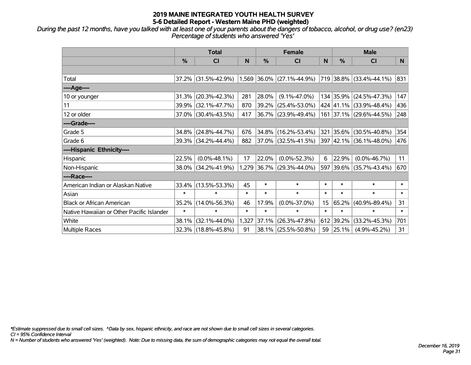*During the past 12 months, have you talked with at least one of your parents about the dangers of tobacco, alcohol, or drug use? (en23) Percentage of students who answered 'Yes'*

|                                           | <b>Total</b>  |                     |        | <b>Female</b> |                             | <b>Male</b> |               |                          |        |
|-------------------------------------------|---------------|---------------------|--------|---------------|-----------------------------|-------------|---------------|--------------------------|--------|
|                                           | $\frac{0}{0}$ | <b>CI</b>           | N      | $\%$          | <b>CI</b>                   | N           | $\frac{0}{0}$ | <b>CI</b>                | N.     |
|                                           |               |                     |        |               |                             |             |               |                          |        |
| Total                                     |               | 37.2% (31.5%-42.9%) |        |               | $1,569$ 36.0% (27.1%-44.9%) |             |               | 719 38.8% (33.4%-44.1%)  | 831    |
| ----Age----                               |               |                     |        |               |                             |             |               |                          |        |
| 10 or younger                             | 31.3%         | $(20.3\% - 42.3\%)$ | 281    | 28.0%         | $(9.1\% - 47.0\%)$          |             |               | 134 35.9% (24.5%-47.3%)  | 147    |
| 11                                        | 39.9%         | $(32.1\% - 47.7\%)$ | 870    | 39.2%         | $(25.4\% - 53.0\%)$         |             |               | 424 41.1% (33.9%-48.4%)  | 436    |
| 12 or older                               |               | 37.0% (30.4%-43.5%) | 417    |               | 36.7% (23.9%-49.4%)         |             |               | 161 37.1% (29.6%-44.5%)  | 248    |
| ----Grade----                             |               |                     |        |               |                             |             |               |                          |        |
| Grade 5                                   | 34.8%         | $(24.8\% - 44.7\%)$ | 676    | 34.8%         | $(16.2\% - 53.4\%)$         | 321         |               | $ 35.6\% $ (30.5%-40.8%) | 354    |
| Grade 6                                   |               | 39.3% (34.2%-44.4%) | 882    |               | $ 37.0\% $ (32.5%-41.5%)    |             |               | 397 42.1% (36.1%-48.0%)  | 476    |
| ----Hispanic Ethnicity----                |               |                     |        |               |                             |             |               |                          |        |
| Hispanic                                  | 22.5%         | $(0.0\% - 48.1\%)$  | 17     | 22.0%         | $(0.0\% - 52.3\%)$          | 6           | 22.9%         | $(0.0\% - 46.7\%)$       | 11     |
| Non-Hispanic                              |               | 38.0% (34.2%-41.9%) |        |               | 1,279 36.7% (29.3%-44.0%)   |             |               | 597 39.6% (35.7%-43.4%)  | 670    |
| ----Race----                              |               |                     |        |               |                             |             |               |                          |        |
| American Indian or Alaskan Native         | 33.4%         | $(13.5\% - 53.3\%)$ | 45     | $\ast$        | $\ast$                      | $\ast$      | $\ast$        | $\ast$                   | $\ast$ |
| Asian                                     | $\ast$        | $\ast$              | $\ast$ | $\ast$        | $\ast$                      | $\ast$      | $\ast$        | $\ast$                   | $\ast$ |
| <b>Black or African American</b>          | 35.2%         | $(14.0\% - 56.3\%)$ | 46     | 17.9%         | $(0.0\% - 37.0\%)$          | 15          | 65.2%         | $(40.9\% - 89.4\%)$      | 31     |
| Native Hawaiian or Other Pacific Islander | $\ast$        | $\ast$              | $\ast$ | $\ast$        | $\ast$                      | $\ast$      | $\ast$        | $\ast$                   | $\ast$ |
| White                                     | 38.1%         | $(32.1\% - 44.0\%)$ | 1,327  | 37.1%         | $(26.3\% - 47.8\%)$         |             | 612 39.2%     | $(33.2\% - 45.3\%)$      | 701    |
| Multiple Races                            |               | 32.3% (18.8%-45.8%) | 91     |               | 38.1% (25.5%-50.8%)         | 59          | 25.1%         | $(4.9\% - 45.2\%)$       | 31     |

*\*Estimate suppressed due to small cell sizes. ^Data by sex, hispanic ethnicity, and race are not shown due to small cell sizes in several categories.*

*CI = 95% Confidence Interval*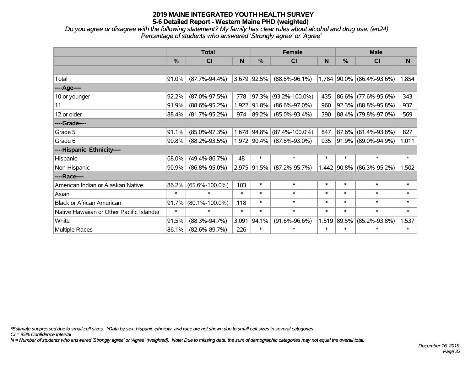*Do you agree or disagree with the following statement? My family has clear rules about alcohol and drug use. (en24) Percentage of students who answered 'Strongly agree' or 'Agree'*

|                                           | <b>Total</b> |                      |        |             | <b>Female</b>             |        | <b>Male</b>   |                           |        |  |
|-------------------------------------------|--------------|----------------------|--------|-------------|---------------------------|--------|---------------|---------------------------|--------|--|
|                                           | %            | C <sub>l</sub>       | N      | %           | C <sub>l</sub>            | N      | $\frac{0}{0}$ | <b>CI</b>                 | N      |  |
|                                           |              |                      |        |             |                           |        |               |                           |        |  |
| Total                                     | 91.0%        | $(87.7\% - 94.4\%)$  |        | 3,679 92.5% | $(88.8\% - 96.1\%)$       |        |               | 1,784 90.0% (86.4%-93.6%) | 1,854  |  |
| ----Age----                               |              |                      |        |             |                           |        |               |                           |        |  |
| 10 or younger                             | 92.2%        | $(87.0\% - 97.5\%)$  | 778    | 97.3%       | $(93.2\% - 100.0\%)$      | 435    | $86.6\%$      | $(77.6\% - 95.6\%)$       | 343    |  |
| 11                                        | 91.9%        | $(88.6\% - 95.2\%)$  | 1,922  | 91.8%       | $(86.6\% - 97.0\%)$       | 960    |               | 92.3% (88.8%-95.8%)       | 937    |  |
| 12 or older                               | 88.4%        | $(81.7\% - 95.2\%)$  | 974    | 89.2%       | $(85.0\% - 93.4\%)$       | 390    |               | 88.4% (79.8%-97.0%)       | 569    |  |
| ----Grade----                             |              |                      |        |             |                           |        |               |                           |        |  |
| Grade 5                                   | 91.1%        | $(85.0\% - 97.3\%)$  | 1,678  |             | $ 94.8\% $ (87.4%-100.0%) | 847    | 87.6%         | $(81.4\% - 93.8\%)$       | 827    |  |
| Grade 6                                   | 90.8%        | $(88.2\% - 93.5\%)$  |        | 1,972 90.4% | $(87.8\% - 93.0\%)$       | 935    |               | 91.9% (89.0%-94.9%)       | 1,011  |  |
| ----Hispanic Ethnicity----                |              |                      |        |             |                           |        |               |                           |        |  |
| Hispanic                                  | 68.0%        | $(49.4\% - 86.7\%)$  | 48     | $\ast$      | $\ast$                    | $\ast$ | $\ast$        | $\ast$                    | $\ast$ |  |
| Non-Hispanic                              | 90.9%        | $(86.8\% - 95.0\%)$  | 2,975  | $ 91.5\% $  | $(87.2\% - 95.7\%)$       | 1,442  | 90.8%         | $(86.3\% - 95.2\%)$       | 1,502  |  |
| ----Race----                              |              |                      |        |             |                           |        |               |                           |        |  |
| American Indian or Alaskan Native         | 86.2%        | $(65.6\% - 100.0\%)$ | 103    | $\ast$      | $\ast$                    | $\ast$ | $\ast$        | $\ast$                    | $\ast$ |  |
| Asian                                     | $\ast$       | $\ast$               | $\ast$ | $\ast$      | $\ast$                    | $\ast$ | $\ast$        | $\ast$                    | $\ast$ |  |
| <b>Black or African American</b>          | 91.7%        | $(80.1\% - 100.0\%)$ | 118    | $\ast$      | $\ast$                    | $\ast$ | $\ast$        | $\ast$                    | $\ast$ |  |
| Native Hawaiian or Other Pacific Islander | $\ast$       | $\ast$               | $\ast$ | $\ast$      | $\ast$                    | $\ast$ | $\ast$        | $\ast$                    | $\ast$ |  |
| White                                     | 91.5%        | $(88.3\% - 94.7\%)$  | 3,091  | 94.1%       | $(91.6\% - 96.6\%)$       | 1,519  | 89.5%         | $(85.2\% - 93.8\%)$       | 1,537  |  |
| Multiple Races                            | 86.1%        | $(82.6\% - 89.7\%)$  | 226    | $\ast$      | $\ast$                    | $\ast$ | $\ast$        | $\ast$                    | $\ast$ |  |

*\*Estimate suppressed due to small cell sizes. ^Data by sex, hispanic ethnicity, and race are not shown due to small cell sizes in several categories.*

*CI = 95% Confidence Interval*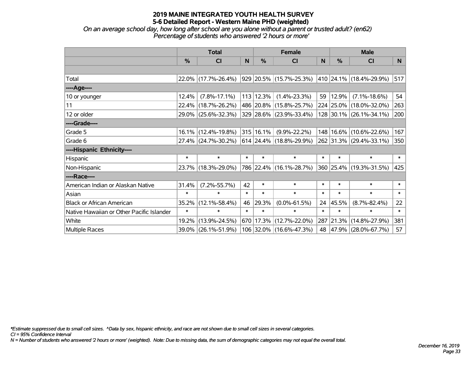*On an average school day, how long after school are you alone without a parent or trusted adult? (en62) Percentage of students who answered '2 hours or more'*

|                                           | <b>Total</b>  |                                             |        | <b>Female</b>  | <b>Male</b>               |        |           |                                 |        |
|-------------------------------------------|---------------|---------------------------------------------|--------|----------------|---------------------------|--------|-----------|---------------------------------|--------|
|                                           | $\frac{0}{0}$ | <b>CI</b>                                   | N      | %              | <b>CI</b>                 | N      | %         | <b>CI</b>                       | N.     |
|                                           |               |                                             |        |                |                           |        |           |                                 |        |
| Total                                     |               | 22.0% (17.7%-26.4%)                         |        |                | 929  20.5%  (15.7%-25.3%) |        |           | $ 410 24.1\% (18.4\% - 29.9\%)$ | 517    |
| ----Age----                               |               |                                             |        |                |                           |        |           |                                 |        |
| 10 or younger                             | 12.4%         | $(7.8\% - 17.1\%)$                          |        | 113 12.3%      | $(1.4\% - 23.3\%)$        | 59     | 12.9%     | $(7.1\% - 18.6\%)$              | 54     |
| 11                                        | $22.4\%$      | $(18.7\% - 26.2\%)$                         |        |                | 486 20.8% (15.8%-25.7%)   |        |           | 224 25.0% (18.0%-32.0%)         | 263    |
| 12 or older                               |               | 29.0% (25.6%-32.3%)                         |        |                | 329 28.6% (23.9%-33.4%)   |        |           | 128 30.1% (26.1%-34.1%)         | 200    |
| ----Grade----                             |               |                                             |        |                |                           |        |           |                                 |        |
| Grade 5                                   |               | $16.1\%$ (12.4%-19.8%)                      |        | $ 315 16.1\% $ | $(9.9\% - 22.2\%)$        | 148    | 16.6%     | $(10.6\% - 22.6\%)$             | 167    |
| Grade 6                                   |               | 27.4% (24.7%-30.2%) 614 24.4% (18.8%-29.9%) |        |                |                           |        |           | 262 31.3% (29.4%-33.1%)         | 350    |
| ----Hispanic Ethnicity----                |               |                                             |        |                |                           |        |           |                                 |        |
| Hispanic                                  | $\ast$        | $\ast$                                      | $\ast$ | $\ast$         | $\ast$                    | $\ast$ | $\ast$    | $\ast$                          | $\ast$ |
| Non-Hispanic                              |               | 23.7% (18.3%-29.0%)                         |        |                | 786 22.4% (16.1%-28.7%)   |        |           | 360 25.4% (19.3%-31.5%)         | 425    |
| ----Race----                              |               |                                             |        |                |                           |        |           |                                 |        |
| American Indian or Alaskan Native         | 31.4%         | $(7.2\% - 55.7\%)$                          | 42     | $\ast$         | $\ast$                    | $\ast$ | $\ast$    | $\ast$                          | $\ast$ |
| Asian                                     | $\ast$        | $\ast$                                      | $\ast$ | $\ast$         | $\ast$                    | $\ast$ | $\ast$    | $\ast$                          | $\ast$ |
| <b>Black or African American</b>          | 35.2%         | $(12.1\% - 58.4\%)$                         | 46     | 29.3%          | $(0.0\% - 61.5\%)$        | 24     | 45.5%     | $(8.7\% - 82.4\%)$              | 22     |
| Native Hawaiian or Other Pacific Islander | $\ast$        | $\ast$                                      | $\ast$ | $\ast$         | $\ast$                    | $\ast$ | $\ast$    | $\ast$                          | $\ast$ |
| White                                     | 19.2%         | $(13.9\% - 24.5\%)$                         | 670    | 17.3%          | $(12.7\% - 22.0\%)$       |        | 287 21.3% | $(14.8\% - 27.9\%)$             | 381    |
| <b>Multiple Races</b>                     |               | 39.0% (26.1%-51.9%)                         |        |                | 106 32.0% (16.6%-47.3%)   |        |           | 48 47.9% (28.0%-67.7%)          | 57     |

*\*Estimate suppressed due to small cell sizes. ^Data by sex, hispanic ethnicity, and race are not shown due to small cell sizes in several categories.*

*CI = 95% Confidence Interval*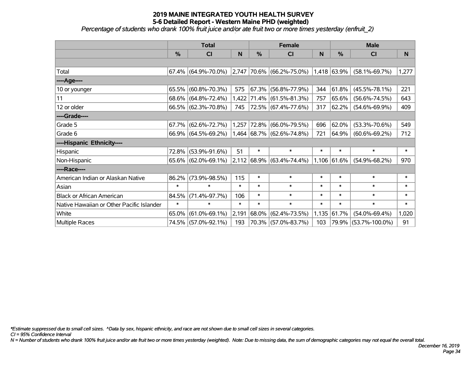*Percentage of students who drank 100% fruit juice and/or ate fruit two or more times yesterday (enfruit\_2)*

|                                           | <b>Total</b>  |                        |        |             | <b>Female</b>                      |        | <b>Male</b>      |                      |        |  |
|-------------------------------------------|---------------|------------------------|--------|-------------|------------------------------------|--------|------------------|----------------------|--------|--|
|                                           | $\frac{0}{0}$ | <b>CI</b>              | N      | %           | <b>CI</b>                          | N      | $\frac{0}{0}$    | <b>CI</b>            | N.     |  |
|                                           |               |                        |        |             |                                    |        |                  |                      |        |  |
| Total                                     |               | $67.4\%$ (64.9%-70.0%) |        |             | $ 2,747 70.6\%  (66.2\% - 75.0\%)$ |        | $ 1,418 63.9\% $ | $(58.1\% - 69.7\%)$  | 1,277  |  |
| ----Age----                               |               |                        |        |             |                                    |        |                  |                      |        |  |
| 10 or younger                             | 65.5%         | $(60.8\% - 70.3\%)$    | 575    | 67.3%       | $(56.8\% - 77.9\%)$                | 344    | 61.8%            | $(45.5\% - 78.1\%)$  | 221    |  |
| 11                                        |               | 68.6% (64.8%-72.4%)    |        |             | $1,422$ 71.4% (61.5%-81.3%)        | 757    | 65.6%            | $(56.6\% - 74.5\%)$  | 643    |  |
| 12 or older                               |               | 66.5% (62.3%-70.8%)    | 745    |             | 72.5% (67.4%-77.6%)                | 317    | 62.2%            | $(54.6\% - 69.9\%)$  | 409    |  |
| ----Grade----                             |               |                        |        |             |                                    |        |                  |                      |        |  |
| Grade 5                                   |               | $67.7\%$ (62.6%-72.7%) |        | 1,257 72.8% | $(66.0\% - 79.5\%)$                | 696    | 62.0%            | $(53.3\% - 70.6\%)$  | 549    |  |
| Grade 6                                   |               | $66.9\%$ (64.5%-69.2%) |        |             | $1,464$ 68.7% (62.6%-74.8%)        | 721    | 64.9%            | $(60.6\% - 69.2\%)$  | 712    |  |
| ----Hispanic Ethnicity----                |               |                        |        |             |                                    |        |                  |                      |        |  |
| Hispanic                                  | 72.8%         | $(53.9\% - 91.6\%)$    | 51     | $\ast$      | $\ast$                             | $\ast$ | $\ast$           | $\ast$               | $\ast$ |  |
| Non-Hispanic                              |               | $65.6\%$ (62.0%-69.1%) |        |             | $ 2,112 68.9\%  (63.4\% - 74.4\%)$ |        | 1,106 61.6%      | $(54.9\% - 68.2\%)$  | 970    |  |
| ----Race----                              |               |                        |        |             |                                    |        |                  |                      |        |  |
| American Indian or Alaskan Native         | 86.2%         | $(73.9\% - 98.5\%)$    | 115    | $\ast$      | $\ast$                             | $\ast$ | $\ast$           | $\ast$               | $\ast$ |  |
| Asian                                     | $\ast$        | $\ast$                 | $\ast$ | $\ast$      | $\ast$                             | $\ast$ | $\ast$           | $\ast$               | $\ast$ |  |
| <b>Black or African American</b>          | 84.5%         | $(71.4\% - 97.7\%)$    | 106    | $\ast$      | $\ast$                             | $\ast$ | $\ast$           | $\ast$               | $\ast$ |  |
| Native Hawaiian or Other Pacific Islander | $\ast$        | $\ast$                 | $\ast$ | $\ast$      | $\ast$                             | $\ast$ | $\ast$           | $\ast$               | $\ast$ |  |
| White                                     | 65.0%         | $(61.0\% - 69.1\%)$    | 2,191  | 68.0%       | $(62.4\% - 73.5\%)$                | 1,135  | 61.7%            | $(54.0\% - 69.4\%)$  | 1,020  |  |
| Multiple Races                            |               | 74.5% (57.0%-92.1%)    | 193    |             | 70.3% (57.0%-83.7%)                | 103    |                  | 79.9% (53.7%-100.0%) | 91     |  |

*\*Estimate suppressed due to small cell sizes. ^Data by sex, hispanic ethnicity, and race are not shown due to small cell sizes in several categories.*

*CI = 95% Confidence Interval*

*N = Number of students who drank 100% fruit juice and/or ate fruit two or more times yesterday (weighted). Note: Due to missing data, the sum of demographic categories may not equal the overall total.*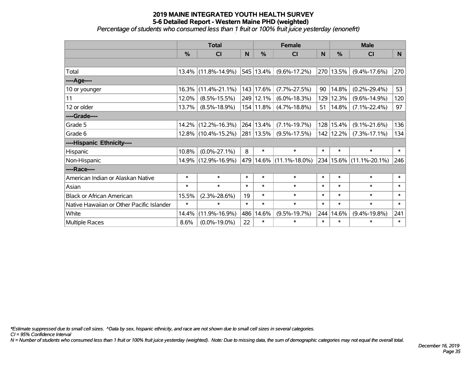*Percentage of students who consumed less than 1 fruit or 100% fruit juice yesterday (enonefrt)*

|                                           | <b>Total</b>  |                        |        | <b>Female</b> | <b>Male</b>             |        |           |                        |        |
|-------------------------------------------|---------------|------------------------|--------|---------------|-------------------------|--------|-----------|------------------------|--------|
|                                           | $\frac{0}{0}$ | CI                     | N      | %             | <b>CI</b>               | N      | %         | <b>CI</b>              | N.     |
|                                           |               |                        |        |               |                         |        |           |                        |        |
| Total                                     |               | $13.4\%$ (11.8%-14.9%) |        | 545 13.4%     | $(9.6\% - 17.2\%)$      | 270    | 13.5%     | $(9.4\% - 17.6\%)$     | 270    |
| ----Age----                               |               |                        |        |               |                         |        |           |                        |        |
| 10 or younger                             | 16.3%         | $(11.4\% - 21.1\%)$    |        | 143 17.6%     | $(7.7\% - 27.5\%)$      | 90     | 14.8%     | $(0.2\% - 29.4\%)$     | 53     |
| 11                                        | 12.0%         | $(8.5\% - 15.5\%)$     |        | 249 12.1%     | $(6.0\% - 18.3\%)$      | 129    | 12.3%     | $(9.6\% - 14.9\%)$     | 120    |
| 12 or older                               | 13.7%         | $(8.5\% - 18.9\%)$     |        | 154 11.8%     | $(4.7\% - 18.8\%)$      | 51     | 14.8%     | $(7.1\% - 22.4\%)$     | 97     |
| ----Grade----                             |               |                        |        |               |                         |        |           |                        |        |
| Grade 5                                   | $14.2\%$      | $(12.2\% - 16.3\%)$    |        | 264 13.4%     | $(7.1\% - 19.7\%)$      | 128    | 15.4%     | $(9.1\% - 21.6\%)$     | 136    |
| Grade 6                                   |               | 12.8% (10.4%-15.2%)    |        | 281 13.5%     | $(9.5\% - 17.5\%)$      |        | 142 12.2% | $(7.3\% - 17.1\%)$     | 134    |
| ----Hispanic Ethnicity----                |               |                        |        |               |                         |        |           |                        |        |
| Hispanic                                  | 10.8%         | $(0.0\% - 27.1\%)$     | 8      | $\ast$        | $\ast$                  | $\ast$ | $\ast$    | $\ast$                 | $\ast$ |
| Non-Hispanic                              |               | 14.9% (12.9%-16.9%)    |        |               | 479 14.6% (11.1%-18.0%) | 234    |           | $15.6\%$ (11.1%-20.1%) | 246    |
| ----Race----                              |               |                        |        |               |                         |        |           |                        |        |
| American Indian or Alaskan Native         | $\ast$        | $\ast$                 | $\ast$ | $\ast$        | $\ast$                  | $\ast$ | $\ast$    | $\ast$                 | $\ast$ |
| Asian                                     | $\ast$        | $\ast$                 | $\ast$ | $\ast$        | $\ast$                  | $\ast$ | $\ast$    | $\ast$                 | $\ast$ |
| <b>Black or African American</b>          | 15.5%         | $(2.3\% - 28.6\%)$     | 19     | $\ast$        | $\ast$                  | $\ast$ | $\ast$    | $\ast$                 | $\ast$ |
| Native Hawaiian or Other Pacific Islander | $\ast$        | $\ast$                 | $\ast$ | $\ast$        | $\ast$                  | $\ast$ | $\ast$    | $\ast$                 | $\ast$ |
| White                                     | 14.4%         | $(11.9\% - 16.9\%)$    | 486    | 14.6%         | $(9.5\% - 19.7\%)$      | 244    | 14.6%     | $(9.4\% - 19.8\%)$     | 241    |
| Multiple Races                            | 8.6%          | $(0.0\% - 19.0\%)$     | 22     | $\ast$        | $\ast$                  | $\ast$ | $\ast$    | *                      | $\ast$ |

*\*Estimate suppressed due to small cell sizes. ^Data by sex, hispanic ethnicity, and race are not shown due to small cell sizes in several categories.*

*CI = 95% Confidence Interval*

*N = Number of students who consumed less than 1 fruit or 100% fruit juice yesterday (weighted). Note: Due to missing data, the sum of demographic categories may not equal the overall total.*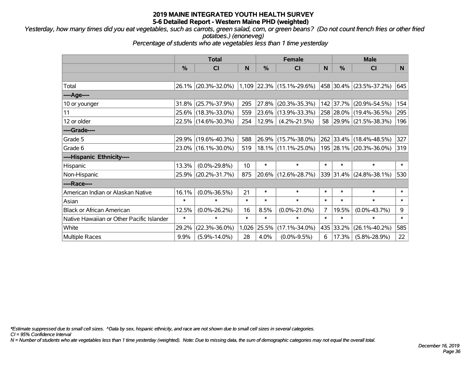*Yesterday, how many times did you eat vegetables, such as carrots, green salad, corn, or green beans? (Do not count french fries or other fried potatoes.) (enoneveg)*

*Percentage of students who ate vegetables less than 1 time yesterday*

|                                           | <b>Total</b>  |                     |        | <b>Female</b> |                             | <b>Male</b> |               |                          |        |
|-------------------------------------------|---------------|---------------------|--------|---------------|-----------------------------|-------------|---------------|--------------------------|--------|
|                                           | $\frac{0}{0}$ | <b>CI</b>           | N      | %             | <b>CI</b>                   | N           | $\frac{0}{0}$ | <b>CI</b>                | N.     |
|                                           |               |                     |        |               |                             |             |               |                          |        |
| Total                                     |               | 26.1% (20.3%-32.0%) |        |               | $1,109$ 22.3% (15.1%-29.6%) |             |               | 458 30.4% (23.5%-37.2%)  | 645    |
| ---- Age----                              |               |                     |        |               |                             |             |               |                          |        |
| 10 or younger                             | 31.8%         | $(25.7\% - 37.9\%)$ | 295    | 27.8%         | $(20.3\% - 35.3\%)$         | 142         | 37.7%         | $(20.9\% - 54.5\%)$      | 154    |
| 11                                        |               | 25.6% (18.3%-33.0%) | 559    | 23.6%         | $(13.9\% - 33.3\%)$         |             |               | 258 28.0% (19.4%-36.5%)  | 295    |
| 12 or older                               |               | 22.5% (14.6%-30.3%) | 254    | 12.9%         | $(4.2\% - 21.5\%)$          | 58          |               | $ 29.9\% $ (21.5%-38.3%) | 196    |
| ----Grade----                             |               |                     |        |               |                             |             |               |                          |        |
| Grade 5                                   | 29.9%         | $(19.6\% - 40.3\%)$ | 588    | 26.9%         | $(15.7\% - 38.0\%)$         |             |               | 262 33.4% (18.4%-48.5%)  | 327    |
| Grade 6                                   |               | 23.0% (16.1%-30.0%) | 519    |               | $18.1\%$ (11.1%-25.0%)      |             |               | 195 28.1% (20.3%-36.0%)  | 319    |
| ----Hispanic Ethnicity----                |               |                     |        |               |                             |             |               |                          |        |
| Hispanic                                  | 13.3%         | $(0.0\% - 29.8\%)$  | 10     | $\ast$        | $\ast$                      | $\ast$      | $\ast$        | $\ast$                   | $\ast$ |
| Non-Hispanic                              | 25.9%         | $(20.2\% - 31.7\%)$ | 875    | 20.6%         | $(12.6\% - 28.7\%)$         |             |               | 339 31.4% (24.8%-38.1%)  | 530    |
| ----Race----                              |               |                     |        |               |                             |             |               |                          |        |
| American Indian or Alaskan Native         | 16.1%         | $(0.0\% - 36.5\%)$  | 21     | $\ast$        | $\ast$                      | $\ast$      | $\ast$        | $\ast$                   | $\ast$ |
| Asian                                     | $\ast$        | $\ast$              | $\ast$ | $\ast$        | $\ast$                      | $\ast$      | $\ast$        | $\ast$                   | $\ast$ |
| <b>Black or African American</b>          | 12.5%         | $(0.0\% - 26.2\%)$  | 16     | 8.5%          | $(0.0\% - 21.0\%)$          | 7           | 19.5%         | $(0.0\% - 43.7\%)$       | 9      |
| Native Hawaiian or Other Pacific Islander | $\ast$        | $\ast$              | $\ast$ | $\ast$        | $\ast$                      | $\ast$      | $\ast$        | $\ast$                   | $\ast$ |
| White                                     | 29.2%         | $(22.3\% - 36.0\%)$ | 1,026  | 25.5%         | $(17.1\% - 34.0\%)$         | 435         | 33.2%         | $(26.1\% - 40.2\%)$      | 585    |
| <b>Multiple Races</b>                     | 9.9%          | $(5.9\% - 14.0\%)$  | 28     | 4.0%          | $(0.0\% - 9.5\%)$           | 6           | 17.3%         | $(5.8\% - 28.9\%)$       | 22     |

*\*Estimate suppressed due to small cell sizes. ^Data by sex, hispanic ethnicity, and race are not shown due to small cell sizes in several categories.*

*CI = 95% Confidence Interval*

*N = Number of students who ate vegetables less than 1 time yesterday (weighted). Note: Due to missing data, the sum of demographic categories may not equal the overall total.*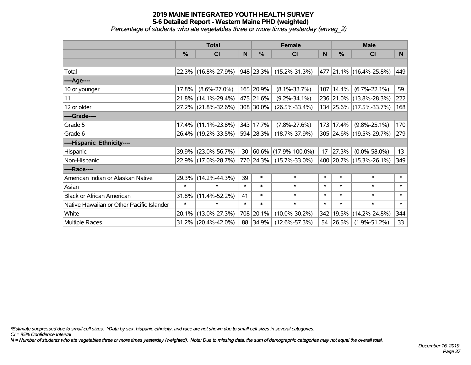*Percentage of students who ate vegetables three or more times yesterday (enveg\_2)*

|                                           | <b>Total</b>  |                        | <b>Female</b> |           |                      | <b>Male</b> |           |                         |        |
|-------------------------------------------|---------------|------------------------|---------------|-----------|----------------------|-------------|-----------|-------------------------|--------|
|                                           | $\frac{0}{0}$ | <b>CI</b>              | N             | %         | CI                   | N           | %         | <b>CI</b>               | N      |
|                                           |               |                        |               |           |                      |             |           |                         |        |
| Total                                     |               | 22.3% (16.8%-27.9%)    |               | 948 23.3% | $(15.2\% - 31.3\%)$  |             |           | 477 21.1% (16.4%-25.8%) | 449    |
| ----Age----                               |               |                        |               |           |                      |             |           |                         |        |
| 10 or younger                             | 17.8%         | $(8.6\% - 27.0\%)$     |               | 165 20.9% | $(8.1\% - 33.7\%)$   |             | 107 14.4% | $(6.7\% - 22.1\%)$      | 59     |
| 11                                        |               | 21.8% (14.1%-29.4%)    |               | 475 21.6% | $(9.2\% - 34.1\%)$   |             |           | 236 21.0% (13.8%-28.3%) | 222    |
| 12 or older                               |               | 27.2% (21.8%-32.6%)    |               | 308 30.0% | $(26.5\% - 33.4\%)$  |             |           | 134 25.6% (17.5%-33.7%) | 168    |
| ----Grade----                             |               |                        |               |           |                      |             |           |                         |        |
| Grade 5                                   |               | $17.4\%$ (11.1%-23.8%) |               | 343 17.7% | $(7.8\% - 27.6\%)$   |             | 173 17.4% | $(9.8\% - 25.1\%)$      | 170    |
| Grade 6                                   |               | 26.4% (19.2%-33.5%)    |               | 594 28.3% | $(18.7\% - 37.9\%)$  |             |           | 305 24.6% (19.5%-29.7%) | 279    |
| ----Hispanic Ethnicity----                |               |                        |               |           |                      |             |           |                         |        |
| Hispanic                                  |               | 39.9% (23.0%-56.7%)    | 30            | 60.6%     | $(17.9\% - 100.0\%)$ | 17          | 27.3%     | $(0.0\% - 58.0\%)$      | 13     |
| Non-Hispanic                              |               | 22.9% (17.0%-28.7%)    |               | 770 24.3% | $(15.7\% - 33.0\%)$  |             |           | 400 20.7% (15.3%-26.1%) | 349    |
| ----Race----                              |               |                        |               |           |                      |             |           |                         |        |
| American Indian or Alaskan Native         |               | 29.3% (14.2%-44.3%)    | 39            | $\ast$    | $\ast$               | $\ast$      | $\ast$    | $\ast$                  | $\ast$ |
| Asian                                     | $\ast$        | $\ast$                 | $\ast$        | $\ast$    | $\ast$               | $\ast$      | $\ast$    | $\ast$                  | $\ast$ |
| <b>Black or African American</b>          |               | 31.8% (11.4%-52.2%)    | 41            | $\ast$    | $\ast$               | $\ast$      | $\ast$    | $\ast$                  | $\ast$ |
| Native Hawaiian or Other Pacific Islander | $\ast$        | $\ast$                 | $\ast$        | $\ast$    | $\ast$               | $\ast$      | $\ast$    | $\ast$                  | $\ast$ |
| White                                     |               | 20.1% (13.0%-27.3%)    | 708           | 20.1%     | $(10.0\% - 30.2\%)$  |             | 342 19.5% | $(14.2\% - 24.8\%)$     | 344    |
| Multiple Races                            |               | $31.2\%$ (20.4%-42.0%) | 88            | 34.9%     | $(12.6\% - 57.3\%)$  |             | 54 26.5%  | $(1.9\% - 51.2\%)$      | 33     |

*\*Estimate suppressed due to small cell sizes. ^Data by sex, hispanic ethnicity, and race are not shown due to small cell sizes in several categories.*

*CI = 95% Confidence Interval*

*N = Number of students who ate vegetables three or more times yesterday (weighted). Note: Due to missing data, the sum of demographic categories may not equal the overall total.*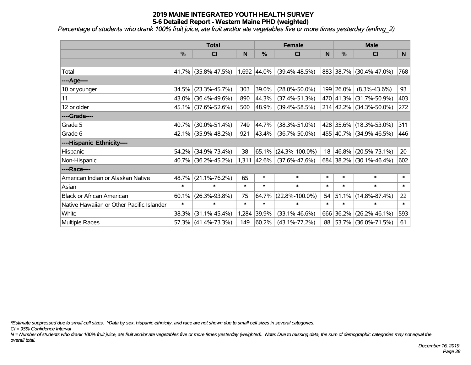*Percentage of students who drank 100% fruit juice, ate fruit and/or ate vegetables five or more times yesterday (enfrvg\_2)*

|                                           | <b>Total</b>  |                     |        | <b>Female</b> | <b>Male</b>          |        |           |                         |        |
|-------------------------------------------|---------------|---------------------|--------|---------------|----------------------|--------|-----------|-------------------------|--------|
|                                           | $\frac{0}{0}$ | <b>CI</b>           | N      | %             | <b>CI</b>            | N      | %         | <b>CI</b>               | N.     |
|                                           |               |                     |        |               |                      |        |           |                         |        |
| Total                                     | 41.7%         | $(35.8\% - 47.5\%)$ |        | 1,692 44.0%   | $(39.4\% - 48.5\%)$  |        |           | 883 38.7% (30.4%-47.0%) | 768    |
| ----Age----                               |               |                     |        |               |                      |        |           |                         |        |
| 10 or younger                             | 34.5%         | $(23.3\% - 45.7\%)$ | 303    | 39.0%         | $(28.0\% - 50.0\%)$  |        | 199 26.0% | $(8.3\% - 43.6\%)$      | 93     |
| 11                                        |               | 43.0% (36.4%-49.6%) | 890    | $ 44.3\% $    | $(37.4\% - 51.3\%)$  |        |           | 470 41.3% (31.7%-50.9%) | 403    |
| 12 or older                               |               | 45.1% (37.6%-52.6%) | 500    | $ 48.9\% $    | $(39.4\% - 58.5\%)$  |        |           | 214 42.2% (34.3%-50.0%) | 272    |
| ----Grade----                             |               |                     |        |               |                      |        |           |                         |        |
| Grade 5                                   | 40.7%         | $(30.0\% - 51.4\%)$ | 749    | 44.7%         | $(38.3\% - 51.0\%)$  |        |           | 428 35.6% (18.3%-53.0%) | 311    |
| Grade 6                                   |               | 42.1% (35.9%-48.2%) | 921    | $ 43.4\% $    | $(36.7\% - 50.0\%)$  |        |           | 455 40.7% (34.9%-46.5%) | 446    |
| ----Hispanic Ethnicity----                |               |                     |        |               |                      |        |           |                         |        |
| Hispanic                                  | 54.2%         | $(34.9\% - 73.4\%)$ | 38     | 65.1%         | $(24.3\% - 100.0\%)$ | 18     | 46.8%     | $(20.5\% - 73.1\%)$     | 20     |
| Non-Hispanic                              |               | 40.7% (36.2%-45.2%) |        | $1,311$ 42.6% | $(37.6\% - 47.6\%)$  |        |           | 684 38.2% (30.1%-46.4%) | 602    |
| ----Race----                              |               |                     |        |               |                      |        |           |                         |        |
| American Indian or Alaskan Native         | 48.7%         | $(21.1\% - 76.2\%)$ | 65     | $\ast$        | $\ast$               | $\ast$ | $\ast$    | $\ast$                  | $\ast$ |
| Asian                                     | $\ast$        | $\ast$              | $\ast$ | $\ast$        | $\ast$               | $\ast$ | $\ast$    | $\ast$                  | $\ast$ |
| <b>Black or African American</b>          | 60.1%         | $(26.3\% - 93.8\%)$ | 75     | 64.7%         | $(22.8\% - 100.0\%)$ | 54     | 51.1%     | $(14.8\% - 87.4\%)$     | 22     |
| Native Hawaiian or Other Pacific Islander | $\ast$        | $\ast$              | $\ast$ | $\ast$        | $\ast$               | $\ast$ | $\ast$    | $\ast$                  | $\ast$ |
| White                                     | 38.3%         | $(31.1\% - 45.4\%)$ | 1,284  | 39.9%         | $(33.1\% - 46.6\%)$  |        | 666 36.2% | $(26.2\% - 46.1\%)$     | 593    |
| Multiple Races                            |               | 57.3% (41.4%-73.3%) | 149    | 60.2%         | $(43.1\% - 77.2\%)$  |        |           | 88 53.7% (36.0%-71.5%)  | 61     |

*\*Estimate suppressed due to small cell sizes. ^Data by sex, hispanic ethnicity, and race are not shown due to small cell sizes in several categories.*

*CI = 95% Confidence Interval*

*N = Number of students who drank 100% fruit juice, ate fruit and/or ate vegetables five or more times yesterday (weighted). Note: Due to missing data, the sum of demographic categories may not equal the overall total.*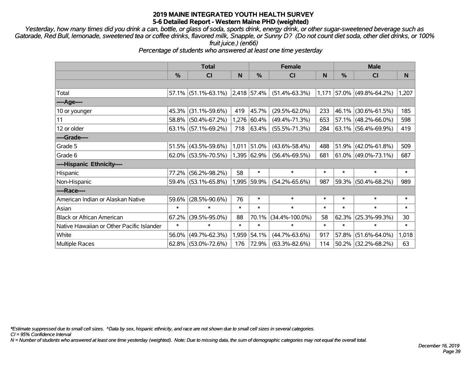*Yesterday, how many times did you drink a can, bottle, or glass of soda, sports drink, energy drink, or other sugar-sweetened beverage such as Gatorade, Red Bull, lemonade, sweetened tea or coffee drinks, flavored milk, Snapple, or Sunny D? (Do not count diet soda, other diet drinks, or 100% fruit juice.) (en66)*

*Percentage of students who answered at least one time yesterday*

|                                           | <b>Total</b>  |                        |             | <b>Female</b> | <b>Male</b>          |        |               |                          |        |
|-------------------------------------------|---------------|------------------------|-------------|---------------|----------------------|--------|---------------|--------------------------|--------|
|                                           | $\frac{0}{0}$ | <b>CI</b>              | $\mathbf N$ | $\frac{0}{0}$ | <b>CI</b>            | N      | $\frac{0}{0}$ | CI                       | N      |
|                                           |               |                        |             |               |                      |        |               |                          |        |
| Total                                     |               | $57.1\%$ (51.1%-63.1%) |             | 2,418 57.4%   | $(51.4\% - 63.3\%)$  | 1,171  |               | $ 57.0\% $ (49.8%-64.2%) | 1,207  |
| ----Age----                               |               |                        |             |               |                      |        |               |                          |        |
| 10 or younger                             | 45.3%         | $(31.1\% - 59.6\%)$    | 419         | 45.7%         | $(29.5\% - 62.0\%)$  | 233    | 46.1%         | $(30.6\% - 61.5\%)$      | 185    |
| 11                                        |               | 58.8% (50.4%-67.2%)    | 1,276       | 60.4%         | $(49.4\% - 71.3\%)$  | 653    |               | 57.1% (48.2%-66.0%)      | 598    |
| 12 or older                               |               | $63.1\%$ (57.1%-69.2%) | 718         | $ 63.4\% $    | $(55.5\% - 71.3\%)$  | 284    |               | $63.1\%$ (56.4%-69.9%)   | 419    |
| ----Grade----                             |               |                        |             |               |                      |        |               |                          |        |
| Grade 5                                   | 51.5%         | $(43.5\% - 59.6\%)$    | 1,011       | 51.0%         | $(43.6\% - 58.4\%)$  | 488    |               | $51.9\%$ (42.0%-61.8%)   | 509    |
| Grade 6                                   |               | $62.0\%$ (53.5%-70.5%) |             | 1,395 62.9%   | $(56.4\% - 69.5\%)$  | 681    |               | $61.0\%$ (49.0%-73.1%)   | 687    |
| ----Hispanic Ethnicity----                |               |                        |             |               |                      |        |               |                          |        |
| Hispanic                                  | 77.2%         | $(56.2\% - 98.2\%)$    | 58          | $\ast$        | $\ast$               | $\ast$ | $\ast$        | $\ast$                   | $\ast$ |
| Non-Hispanic                              |               | 59.4% (53.1%-65.8%)    |             | 1,995 59.9%   | $(54.2\% - 65.6\%)$  | 987    |               | 59.3% (50.4%-68.2%)      | 989    |
| ----Race----                              |               |                        |             |               |                      |        |               |                          |        |
| American Indian or Alaskan Native         | 59.6%         | $(28.5\% - 90.6\%)$    | 76          | $\ast$        | $\ast$               | $\ast$ | $\ast$        | $\ast$                   | $\ast$ |
| Asian                                     | $\ast$        | $\ast$                 | $\ast$      | $\ast$        | $\ast$               | $\ast$ | $\ast$        | $\ast$                   | $\ast$ |
| <b>Black or African American</b>          | 67.2%         | $(39.5\% - 95.0\%)$    | 88          | 70.1%         | $(34.4\% - 100.0\%)$ | 58     | 62.3%         | $(25.3\% - 99.3\%)$      | 30     |
| Native Hawaiian or Other Pacific Islander | $\ast$        | $\ast$                 | $\ast$      | $\ast$        | $\ast$               | $\ast$ | $\ast$        | $\ast$                   | $\ast$ |
| White                                     | 56.0%         | $(49.7\% - 62.3\%)$    | 1,959       | 54.1%         | $(44.7\% - 63.6\%)$  | 917    | 57.8%         | $(51.6\% - 64.0\%)$      | 1,018  |
| <b>Multiple Races</b>                     |               | $62.8\%$ (53.0%-72.6%) | 176         | 72.9%         | $(63.3\% - 82.6\%)$  | 114    |               | 50.2% (32.2%-68.2%)      | 63     |

*\*Estimate suppressed due to small cell sizes. ^Data by sex, hispanic ethnicity, and race are not shown due to small cell sizes in several categories.*

*CI = 95% Confidence Interval*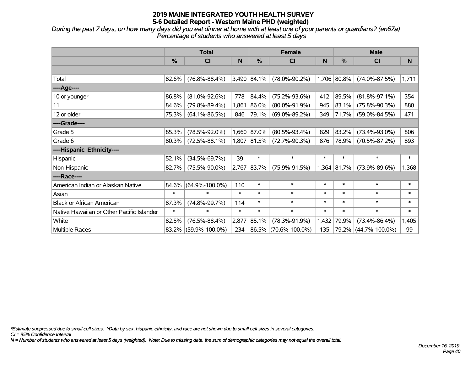*During the past 7 days, on how many days did you eat dinner at home with at least one of your parents or guardians? (en67a) Percentage of students who answered at least 5 days*

|                                           | <b>Total</b>  |                      |        |             | <b>Female</b>        |        | <b>Male</b> |                      |              |  |
|-------------------------------------------|---------------|----------------------|--------|-------------|----------------------|--------|-------------|----------------------|--------------|--|
|                                           | $\frac{0}{0}$ | <b>CI</b>            | N      | %           | <b>CI</b>            | N      | %           | <b>CI</b>            | <sub>N</sub> |  |
|                                           |               |                      |        |             |                      |        |             |                      |              |  |
| Total                                     | 82.6%         | $(76.8\% - 88.4\%)$  |        | 3,490 84.1% | $(78.0\% - 90.2\%)$  |        | 1,706 80.8% | $(74.0\% - 87.5\%)$  | 1,711        |  |
| ----Age----                               |               |                      |        |             |                      |        |             |                      |              |  |
| 10 or younger                             | 86.8%         | $(81.0\% - 92.6\%)$  | 778    | 84.4%       | $(75.2\% - 93.6\%)$  | 412    | 89.5%       | $(81.8\% - 97.1\%)$  | 354          |  |
| 11                                        | 84.6%         | $(79.8\% - 89.4\%)$  | 1,861  | 86.0%       | $(80.0\% - 91.9\%)$  | 945    | 83.1%       | $(75.8\% - 90.3\%)$  | 880          |  |
| 12 or older                               | 75.3%         | $(64.1\% - 86.5\%)$  | 846    | 79.1%       | $(69.0\% - 89.2\%)$  | 349    | 71.7%       | $(59.0\% - 84.5\%)$  | 471          |  |
| ----Grade----                             |               |                      |        |             |                      |        |             |                      |              |  |
| Grade 5                                   | 85.3%         | $(78.5\% - 92.0\%)$  |        | 1,660 87.0% | $(80.5\% - 93.4\%)$  | 829    | 83.2%       | $(73.4\% - 93.0\%)$  | 806          |  |
| Grade 6                                   | 80.3%         | $(72.5\% - 88.1\%)$  |        | 1,807 81.5% | $(72.7\% - 90.3\%)$  | 876    | 78.9%       | $(70.5\% - 87.2\%)$  | 893          |  |
| ----Hispanic Ethnicity----                |               |                      |        |             |                      |        |             |                      |              |  |
| Hispanic                                  | 52.1%         | $(34.5\% - 69.7\%)$  | 39     | $\ast$      | $\ast$               | $\ast$ | $\ast$      | $\ast$               | $\ast$       |  |
| Non-Hispanic                              | 82.7%         | $(75.5\% - 90.0\%)$  |        | 2,767 83.7% | $(75.9\% - 91.5\%)$  |        | 1,364 81.7% | $(73.9\% - 89.6\%)$  | 1,368        |  |
| ----Race----                              |               |                      |        |             |                      |        |             |                      |              |  |
| American Indian or Alaskan Native         | 84.6%         | $(64.9\% - 100.0\%)$ | 110    | $\ast$      | $\ast$               | $\ast$ | $\ast$      | $\ast$               | $\ast$       |  |
| Asian                                     | $\ast$        | $\ast$               | $\ast$ | $\ast$      | $\ast$               | $\ast$ | $\ast$      | $\ast$               | $\ast$       |  |
| <b>Black or African American</b>          | 87.3%         | $(74.8\% - 99.7\%)$  | 114    | $\ast$      | $\ast$               | $\ast$ | $\ast$      | $\ast$               | $\ast$       |  |
| Native Hawaiian or Other Pacific Islander | $\ast$        | $\ast$               | $\ast$ | $\ast$      | $\ast$               | $\ast$ | $\ast$      | $\ast$               | $\ast$       |  |
| White                                     | 82.5%         | $(76.5\% - 88.4\%)$  | 2,877  | 85.1%       | $(78.3\% - 91.9\%)$  | 1,432  | 79.9%       | $(73.4\% - 86.4\%)$  | 1,405        |  |
| <b>Multiple Races</b>                     |               | 83.2% (59.9%-100.0%) | 234    |             | 86.5% (70.6%-100.0%) | 135    |             | 79.2% (44.7%-100.0%) | 99           |  |

*\*Estimate suppressed due to small cell sizes. ^Data by sex, hispanic ethnicity, and race are not shown due to small cell sizes in several categories.*

*CI = 95% Confidence Interval*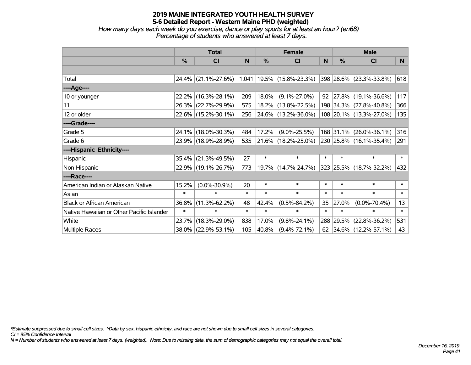*How many days each week do you exercise, dance or play sports for at least an hour? (en68) Percentage of students who answered at least 7 days.*

|                                           | <b>Total</b>  |                                                  |        | <b>Female</b> |                          |        | <b>Male</b>   |                          |        |
|-------------------------------------------|---------------|--------------------------------------------------|--------|---------------|--------------------------|--------|---------------|--------------------------|--------|
|                                           | $\frac{0}{0}$ | CI                                               | N      | $\%$          | CI                       | N      | $\frac{0}{0}$ | <b>CI</b>                | N      |
|                                           |               |                                                  |        |               |                          |        |               |                          |        |
| Total                                     |               | $24.4\%$ (21.1%-27.6%) 1,041 19.5% (15.8%-23.3%) |        |               |                          |        |               | 398 28.6% (23.3%-33.8%)  | 618    |
| ----Age----                               |               |                                                  |        |               |                          |        |               |                          |        |
| 10 or younger                             | 22.2%         | $(16.3\% - 28.1\%)$                              | 209    | 18.0%         | $(9.1\% - 27.0\%)$       | 92     |               | $ 27.8\% $ (19.1%-36.6%) | 117    |
| 11                                        |               | 26.3% (22.7%-29.9%)                              | 575    |               | 18.2% (13.8%-22.5%)      |        |               | 198 34.3% (27.8%-40.8%)  | 366    |
| 12 or older                               |               | 22.6% (15.2%-30.1%)                              | 256    |               | $ 24.6\% $ (13.2%-36.0%) |        |               | 108 20.1% (13.3%-27.0%)  | 135    |
| ----Grade----                             |               |                                                  |        |               |                          |        |               |                          |        |
| Grade 5                                   | 24.1%         | $(18.0\% - 30.3\%)$                              | 484    | 17.2%         | $(9.0\% - 25.5\%)$       |        | 168 31.1%     | $(26.0\% - 36.1\%)$      | 316    |
| Grade 6                                   |               | 23.9% (18.9%-28.9%)                              | 535    |               | 21.6% (18.2%-25.0%)      |        |               | 230 25.8% (16.1%-35.4%)  | 291    |
| ----Hispanic Ethnicity----                |               |                                                  |        |               |                          |        |               |                          |        |
| Hispanic                                  | 35.4%         | $(21.3\% - 49.5\%)$                              | 27     | $\ast$        | $\ast$                   | $\ast$ | $\ast$        | $\ast$                   | $\ast$ |
| Non-Hispanic                              |               | 22.9% (19.1%-26.7%)                              | 773    |               | 19.7% (14.7%-24.7%)      |        |               | 323 25.5% (18.7%-32.2%)  | 432    |
| ----Race----                              |               |                                                  |        |               |                          |        |               |                          |        |
| American Indian or Alaskan Native         | 15.2%         | $(0.0\% - 30.9\%)$                               | 20     | $\ast$        | $\ast$                   | $\ast$ | $\ast$        | $\ast$                   | $\ast$ |
| Asian                                     | $\ast$        | $\ast$                                           | $\ast$ | $\ast$        | $\ast$                   | $\ast$ | $\ast$        | $\ast$                   | $\ast$ |
| <b>Black or African American</b>          | 36.8%         | $(11.3\% - 62.2\%)$                              | 48     | 42.4%         | $(0.5\% - 84.2\%)$       | 35     | 27.0%         | $(0.0\% - 70.4\%)$       | 13     |
| Native Hawaiian or Other Pacific Islander | $\ast$        | $\ast$                                           | $\ast$ | $\ast$        | $\ast$                   | $\ast$ | $\ast$        | $\ast$                   | $\ast$ |
| White                                     | 23.7%         | $(18.3\% - 29.0\%)$                              | 838    | 17.0%         | $(9.8\% - 24.1\%)$       |        | 288 29.5%     | $(22.8\% - 36.2\%)$      | 531    |
| Multiple Races                            |               | 38.0% (22.9%-53.1%)                              | 105    | 40.8%         | $(9.4\% - 72.1\%)$       | 62     |               | $ 34.6\% $ (12.2%-57.1%) | 43     |

*\*Estimate suppressed due to small cell sizes. ^Data by sex, hispanic ethnicity, and race are not shown due to small cell sizes in several categories.*

*CI = 95% Confidence Interval*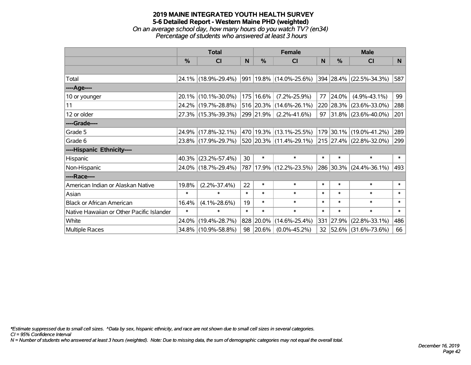*On an average school day, how many hours do you watch TV? (en34) Percentage of students who answered at least 3 hours*

|                                           | <b>Total</b>  |                     |        | <b>Female</b> | <b>Male</b>             |          |        |                         |        |
|-------------------------------------------|---------------|---------------------|--------|---------------|-------------------------|----------|--------|-------------------------|--------|
|                                           | $\frac{0}{0}$ | <b>CI</b>           | N.     | $\frac{0}{0}$ | <b>CI</b>               | <b>N</b> | %      | <b>CI</b>               | N      |
|                                           |               |                     |        |               |                         |          |        |                         |        |
| Total                                     |               | 24.1% (18.9%-29.4%) |        |               | 991 19.8% (14.0%-25.6%) |          |        | 394 28.4% (22.5%-34.3%) | 587    |
| ----Age----                               |               |                     |        |               |                         |          |        |                         |        |
| 10 or younger                             |               | 20.1% (10.1%-30.0%) |        | 175 16.6%     | $(7.2\% - 25.9\%)$      | 77       | 24.0%  | $(4.9\% - 43.1\%)$      | 99     |
| 11                                        |               | 24.2% (19.7%-28.8%) |        |               | 516 20.3% (14.6%-26.1%) |          |        | 220 28.3% (23.6%-33.0%) | 288    |
| 12 or older                               |               | 27.3% (15.3%-39.3%) |        | 299 21.9%     | $(2.2\% - 41.6\%)$      |          |        | 97 31.8% (23.6%-40.0%)  | 201    |
| ----Grade----                             |               |                     |        |               |                         |          |        |                         |        |
| Grade 5                                   |               | 24.9% (17.8%-32.1%) |        |               | 470 19.3% (13.1%-25.5%) |          |        | 179 30.1% (19.0%-41.2%) | 289    |
| Grade 6                                   |               | 23.8% (17.9%-29.7%) |        |               | 520 20.3% (11.4%-29.1%) |          |        | 215 27.4% (22.8%-32.0%) | 299    |
| ----Hispanic Ethnicity----                |               |                     |        |               |                         |          |        |                         |        |
| Hispanic                                  | 40.3%         | $(23.2\% - 57.4\%)$ | 30     | $\ast$        | $\ast$                  | $\ast$   | $\ast$ | $\ast$                  | $\ast$ |
| Non-Hispanic                              |               | 24.0% (18.7%-29.4%) |        |               | 787 17.9% (12.2%-23.5%) |          |        | 286 30.3% (24.4%-36.1%) | 493    |
| ----Race----                              |               |                     |        |               |                         |          |        |                         |        |
| American Indian or Alaskan Native         | 19.8%         | $(2.2\% - 37.4\%)$  | 22     | $\ast$        | $\ast$                  | $\ast$   | $\ast$ | $\ast$                  | $\ast$ |
| Asian                                     | $\ast$        | $\ast$              | $\ast$ | $\ast$        | $\ast$                  | $\ast$   | $\ast$ | $\ast$                  | $\ast$ |
| <b>Black or African American</b>          | 16.4%         | $(4.1\% - 28.6\%)$  | 19     | $\ast$        | $\ast$                  | $\ast$   | $\ast$ | $\ast$                  | $\ast$ |
| Native Hawaiian or Other Pacific Islander | $\ast$        | $\ast$              | $\ast$ | $\ast$        | $\ast$                  | $\ast$   | $\ast$ | $\ast$                  | $\ast$ |
| White                                     | 24.0%         | $(19.4\% - 28.7\%)$ |        | 828 20.0%     | $(14.6\% - 25.4\%)$     | 331      | 27.9%  | $(22.8\% - 33.1\%)$     | 486    |
| Multiple Races                            |               | 34.8% (10.9%-58.8%) | 98     | 20.6%         | $(0.0\% - 45.2\%)$      |          |        | 32 52.6% (31.6%-73.6%)  | 66     |

*\*Estimate suppressed due to small cell sizes. ^Data by sex, hispanic ethnicity, and race are not shown due to small cell sizes in several categories.*

*CI = 95% Confidence Interval*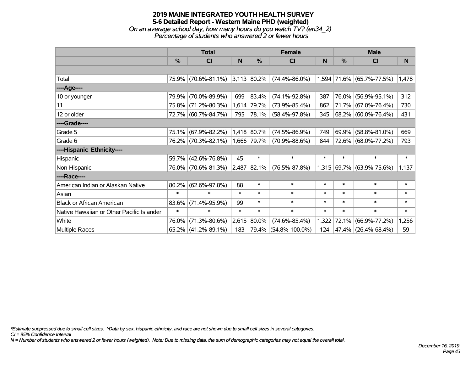# **2019 MAINE INTEGRATED YOUTH HEALTH SURVEY 5-6 Detailed Report - Western Maine PHD (weighted)** *On an average school day, how many hours do you watch TV? (en34\_2)*

*Percentage of students who answered 2 or fewer hours*

|                                           | <b>Total</b>  |                        |        | <b>Female</b> | <b>Male</b>          |        |               |                             |        |
|-------------------------------------------|---------------|------------------------|--------|---------------|----------------------|--------|---------------|-----------------------------|--------|
|                                           | $\frac{9}{6}$ | <b>CI</b>              | N      | $\frac{0}{0}$ | <b>CI</b>            | N      | $\frac{0}{0}$ | <b>CI</b>                   | N      |
|                                           |               |                        |        |               |                      |        |               |                             |        |
| Total                                     |               | 75.9% (70.6%-81.1%)    |        | $3,113$ 80.2% | $(74.4\% - 86.0\%)$  |        |               | $1,594$ 71.6% (65.7%-77.5%) | 1,478  |
| ----Age----                               |               |                        |        |               |                      |        |               |                             |        |
| 10 or younger                             | 79.9%         | $(70.0\% - 89.9\%)$    | 699    | 83.4%         | $(74.1\% - 92.8\%)$  | 387    |               | 76.0% (56.9%-95.1%)         | 312    |
| 11                                        |               | 75.8% (71.2%-80.3%)    | 1,614  | 79.7%         | $(73.9\% - 85.4\%)$  | 862    |               | 71.7% (67.0%-76.4%)         | 730    |
| 12 or older                               |               | 72.7% (60.7%-84.7%)    | 795    | 78.1%         | $(58.4\% - 97.8\%)$  | 345    |               | 68.2% (60.0%-76.4%)         | 431    |
| ----Grade----                             |               |                        |        |               |                      |        |               |                             |        |
| Grade 5                                   |               | 75.1% (67.9%-82.2%)    |        | 1,418 80.7%   | $(74.5\% - 86.9\%)$  | 749    |               | 69.9% (58.8%-81.0%)         | 669    |
| Grade 6                                   |               | 76.2% (70.3%-82.1%)    |        | 1,666 79.7%   | $(70.9\% - 88.6\%)$  | 844    |               | 72.6% (68.0%-77.2%)         | 793    |
| ----Hispanic Ethnicity----                |               |                        |        |               |                      |        |               |                             |        |
| Hispanic                                  | 59.7%         | $(42.6\% - 76.8\%)$    | 45     | $\ast$        | $\ast$               | $\ast$ | $\ast$        | $\ast$                      | $\ast$ |
| Non-Hispanic                              |               | 76.0% (70.6%-81.3%)    |        | 2,487 82.1%   | $(76.5\% - 87.8\%)$  |        |               | $1,315$ 69.7% (63.9%-75.6%) | 1,137  |
| ----Race----                              |               |                        |        |               |                      |        |               |                             |        |
| American Indian or Alaskan Native         | 80.2%         | $(62.6\% - 97.8\%)$    | 88     | $\ast$        | $\ast$               | $\ast$ | $\ast$        | $\ast$                      | $\ast$ |
| Asian                                     | $\ast$        | $\ast$                 | $\ast$ | $\ast$        | $\ast$               | $\ast$ | $\ast$        | $\ast$                      | $\ast$ |
| <b>Black or African American</b>          | 83.6%         | $(71.4\% - 95.9\%)$    | 99     | $\ast$        | $\ast$               | $\ast$ | $\ast$        | $\ast$                      | $\ast$ |
| Native Hawaiian or Other Pacific Islander | $\ast$        | $\ast$                 | $\ast$ | $\ast$        | $\ast$               | $\ast$ | $\ast$        | $\ast$                      | $\ast$ |
| White                                     | 76.0%         | $(71.3\% - 80.6\%)$    | 2,615  | 80.0%         | $(74.6\% - 85.4\%)$  | 1,322  | 72.1%         | $(66.9\% - 77.2\%)$         | ,256   |
| Multiple Races                            |               | $65.2\%$ (41.2%-89.1%) | 183    |               | 79.4% (54.8%-100.0%) | 124    |               | $ 47.4\% $ (26.4%-68.4%)    | 59     |

*\*Estimate suppressed due to small cell sizes. ^Data by sex, hispanic ethnicity, and race are not shown due to small cell sizes in several categories.*

*CI = 95% Confidence Interval*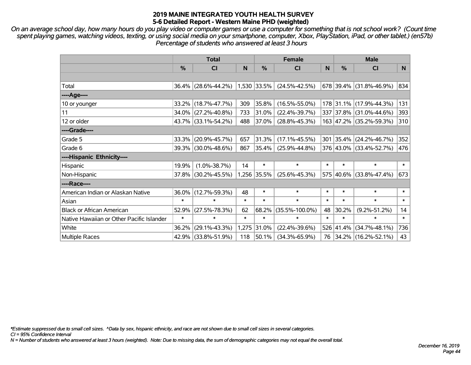*On an average school day, how many hours do you play video or computer games or use a computer for something that is not school work? (Count time spent playing games, watching videos, texting, or using social media on your smartphone, computer, Xbox, PlayStation, iPad, or other tablet.) (en57b) Percentage of students who answered at least 3 hours*

|                                           | <b>Total</b> |                     | <b>Female</b> |             |                      | <b>Male</b> |        |                           |        |
|-------------------------------------------|--------------|---------------------|---------------|-------------|----------------------|-------------|--------|---------------------------|--------|
|                                           | $\%$         | <b>CI</b>           | N             | $\%$        | <b>CI</b>            | N           | %      | <b>CI</b>                 | N.     |
|                                           |              |                     |               |             |                      |             |        |                           |        |
| Total                                     | 36.4%        | $(28.6\% - 44.2\%)$ |               | 1,530 33.5% | $(24.5\% - 42.5\%)$  |             |        | $678$ 39.4% (31.8%-46.9%) | 834    |
| ----Age----                               |              |                     |               |             |                      |             |        |                           |        |
| 10 or younger                             | 33.2%        | $(18.7\% - 47.7\%)$ | 309           | 35.8%       | $(16.5\% - 55.0\%)$  |             |        | 178 31.1% (17.9%-44.3%)   | 131    |
| 11                                        | 34.0%        | $(27.2\% - 40.8\%)$ | 733           | 31.0%       | $(22.4\% - 39.7\%)$  |             |        | 337 37.8% (31.0%-44.6%)   | 393    |
| 12 or older                               |              | 43.7% (33.1%-54.2%) | 488           | 37.0%       | $(28.8\% - 45.3\%)$  |             |        | 163 47.2% (35.2%-59.3%)   | 310    |
| ----Grade----                             |              |                     |               |             |                      |             |        |                           |        |
| Grade 5                                   | 33.3%        | $(20.9\% - 45.7\%)$ | 657           | 31.3%       | $(17.1\% - 45.5\%)$  |             |        | 301 35.4% (24.2%-46.7%)   | 352    |
| Grade 6                                   | 39.3%        | $(30.0\% - 48.6\%)$ | 867           | 35.4%       | $(25.9\% - 44.8\%)$  |             |        | 376 43.0% (33.4%-52.7%)   | 476    |
| ----Hispanic Ethnicity----                |              |                     |               |             |                      |             |        |                           |        |
| Hispanic                                  | 19.9%        | $(1.0\% - 38.7\%)$  | 14            | $\ast$      | $\ast$               | $\ast$      | $\ast$ | $\ast$                    | $\ast$ |
| Non-Hispanic                              | 37.8%        | $(30.2\% - 45.5\%)$ |               | 1,256 35.5% | $(25.6\% - 45.3\%)$  |             |        | 575 40.6% (33.8%-47.4%)   | 673    |
| ----Race----                              |              |                     |               |             |                      |             |        |                           |        |
| American Indian or Alaskan Native         | 36.0%        | $(12.7\% - 59.3\%)$ | 48            | $\ast$      | $\ast$               | $\ast$      | $\ast$ | $\ast$                    | $\ast$ |
| Asian                                     | $\ast$       | $\ast$              | $\ast$        | $\ast$      | $\ast$               | $\ast$      | $\ast$ | $\ast$                    | $\ast$ |
| <b>Black or African American</b>          | 52.9%        | $(27.5\% - 78.3\%)$ | 62            | 68.2%       | $(35.5\% - 100.0\%)$ | 48          | 30.2%  | $(9.2\% - 51.2\%)$        | 14     |
| Native Hawaiian or Other Pacific Islander | $\ast$       | $\ast$              | $\ast$        | $\ast$      | $\ast$               | $\ast$      | $\ast$ | $\ast$                    | $\ast$ |
| White                                     | 36.2%        | $(29.1\% - 43.3\%)$ | 1,275         | 31.0%       | $(22.4\% - 39.6\%)$  | 526         | 41.4%  | $(34.7\% - 48.1\%)$       | 736    |
| <b>Multiple Races</b>                     | 42.9%        | $(33.8\% - 51.9\%)$ | 118           | 50.1%       | $(34.3\% - 65.9\%)$  |             |        | 76 34.2% (16.2%-52.1%)    | 43     |

*\*Estimate suppressed due to small cell sizes. ^Data by sex, hispanic ethnicity, and race are not shown due to small cell sizes in several categories.*

*CI = 95% Confidence Interval*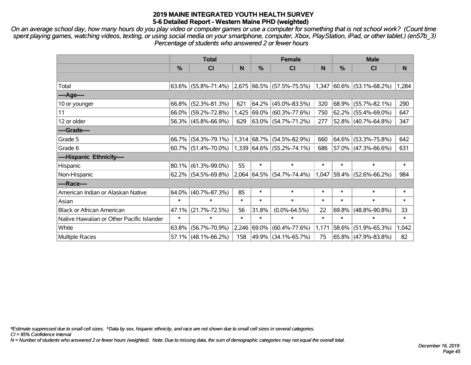*On an average school day, how many hours do you play video or computer games or use a computer for something that is not school work? (Count time spent playing games, watching videos, texting, or using social media on your smartphone, computer, Xbox, PlayStation, iPad, or other tablet.) (en57b\_3) Percentage of students who answered 2 or fewer hours*

|                                           | <b>Total</b> |                        |        | <b>Female</b> |                                    | <b>Male</b> |               |                             |        |
|-------------------------------------------|--------------|------------------------|--------|---------------|------------------------------------|-------------|---------------|-----------------------------|--------|
|                                           | $\%$         | C <sub>l</sub>         | N      | $\frac{0}{0}$ | <b>CI</b>                          | N           | $\frac{0}{0}$ | <b>CI</b>                   | N      |
|                                           |              |                        |        |               |                                    |             |               |                             |        |
| Total                                     |              | $63.6\%$ (55.8%-71.4%) |        |               | $\vert$ 2,675 66.5% (57.5%-75.5%)  |             |               | $1,347$ 60.6% (53.1%-68.2%) | 1,284  |
| ----Age----                               |              |                        |        |               |                                    |             |               |                             |        |
| 10 or younger                             |              | $66.8\%$ (52.3%-81.3%) | 621    |               | $64.2\%$ (45.0%-83.5%)             | 320         |               | $68.9\%$ (55.7%-82.1%)      | 290    |
| 11                                        |              | 66.0% (59.2%-72.8%)    | 1,425  |               | 69.0% (60.3%-77.6%)                | 750         |               | $62.2\%$ (55.4%-69.0%)      | 647    |
| 12 or older                               |              | $56.3\%$ (45.8%-66.9%) | 629    |               | 63.0% (54.7%-71.2%)                | 277         |               | $52.8\%$ (40.7%-64.8%)      | 347    |
| ----Grade----                             |              |                        |        |               |                                    |             |               |                             |        |
| Grade 5                                   |              | 66.7% (54.3%-79.1%)    |        |               | $1,314$ 68.7% (54.5%-82.9%)        | 660         |               | 64.6% (53.3%-75.8%)         | 642    |
| Grade 6                                   |              | $60.7\%$ (51.4%-70.0%) |        |               | $ 1,339 64.6\%  (55.2\% - 74.1\%)$ | 686         |               | 57.0% (47.3%-66.6%)         | 631    |
| ----Hispanic Ethnicity----                |              |                        |        |               |                                    |             |               |                             |        |
| Hispanic                                  |              | $80.1\%$ (61.3%-99.0%) | 55     | $\ast$        | $\ast$                             | $\ast$      | $\ast$        | $\ast$                      | $\ast$ |
| Non-Hispanic                              |              | 62.2% (54.5%-69.8%)    |        |               | 2,064 64.5% (54.7%-74.4%)          | 1,047       |               | 59.4% (52.6%-66.2%)         | 984    |
| ----Race----                              |              |                        |        |               |                                    |             |               |                             |        |
| American Indian or Alaskan Native         | $64.0\%$     | $(40.7\% - 87.3\%)$    | 85     | $\ast$        | $\ast$                             | $\ast$      | $\ast$        | $\ast$                      | $\ast$ |
| Asian                                     | $\ast$       | $\ast$                 | $\ast$ | $\ast$        | $\ast$                             | $\ast$      | $\ast$        | $\ast$                      | $\ast$ |
| <b>Black or African American</b>          | 47.1%        | $(21.7\% - 72.5\%)$    | 56     | 31.8%         | $(0.0\% - 64.5\%)$                 | 22          | 69.8%         | $(48.8\% - 90.8\%)$         | 33     |
| Native Hawaiian or Other Pacific Islander | $\ast$       | $\ast$                 | $\ast$ | $\ast$        | $\ast$                             | $\ast$      | $\ast$        | $\ast$                      | $\ast$ |
| White                                     | 63.8%        | $(56.7\% - 70.9\%)$    | 2,246  |               | 69.0% (60.4%-77.6%)                | 1,171       | 58.6%         | $(51.9\% - 65.3\%)$         | 1,042  |
| Multiple Races                            |              | $57.1\%$ (48.1%-66.2%) | 158    |               | 49.9% (34.1%-65.7%)                | 75          |               | $65.8\%$ (47.9%-83.8%)      | 82     |

*\*Estimate suppressed due to small cell sizes. ^Data by sex, hispanic ethnicity, and race are not shown due to small cell sizes in several categories.*

*CI = 95% Confidence Interval*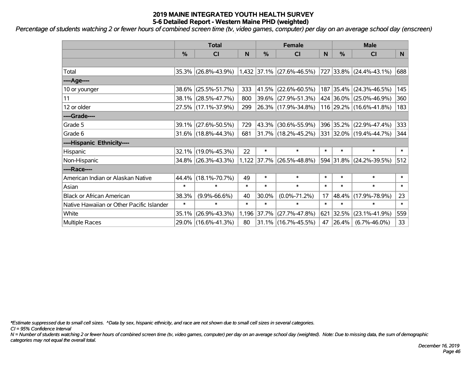*Percentage of students watching 2 or fewer hours of combined screen time (tv, video games, computer) per day on an average school day (enscreen)*

|                                           | <b>Total</b>  |                        |        |               | <b>Female</b>               | <b>Male</b> |               |                          |        |
|-------------------------------------------|---------------|------------------------|--------|---------------|-----------------------------|-------------|---------------|--------------------------|--------|
|                                           | $\frac{0}{0}$ | <b>CI</b>              | N      | $\frac{0}{0}$ | <b>CI</b>                   | N           | $\frac{0}{0}$ | <b>CI</b>                | N.     |
|                                           |               |                        |        |               |                             |             |               |                          |        |
| Total                                     | 35.3%         | $(26.8\% - 43.9\%)$    |        |               | $1,432$ 37.1% (27.6%-46.5%) | 727         |               | $ 33.8\% $ (24.4%-43.1%) | 688    |
| ----Age----                               |               |                        |        |               |                             |             |               |                          |        |
| 10 or younger                             | 38.6%         | $(25.5\% - 51.7\%)$    | 333    | 41.5%         | $(22.6\% - 60.5\%)$         |             | 187 35.4%     | $(24.3\% - 46.5\%)$      | 145    |
| 11                                        | 38.1%         | $(28.5\% - 47.7\%)$    | 800    |               | 39.6% (27.9%-51.3%)         |             |               | 424 36.0% (25.0%-46.9%)  | 360    |
| 12 or older                               |               | 27.5% (17.1%-37.9%)    | 299    |               | 26.3% (17.9%-34.8%)         |             |               | 116 29.2% (16.6%-41.8%)  | 183    |
| ----Grade----                             |               |                        |        |               |                             |             |               |                          |        |
| Grade 5                                   | 39.1%         | $(27.6\% - 50.5\%)$    | 729    | 43.3%         | $(30.6\% - 55.9\%)$         |             | 396 35.2%     | $(22.9\% - 47.4\%)$      | 333    |
| Grade 6                                   |               | $31.6\%$ (18.8%-44.3%) | 681    |               | 31.7% (18.2%-45.2%)         |             |               | 331 32.0% (19.4%-44.7%)  | 344    |
| ----Hispanic Ethnicity----                |               |                        |        |               |                             |             |               |                          |        |
| Hispanic                                  | $32.1\%$      | $(19.0\% - 45.3\%)$    | 22     | $\ast$        | $\ast$                      | $\ast$      | $\ast$        | $\ast$                   | $\ast$ |
| Non-Hispanic                              |               | 34.8% (26.3%-43.3%)    |        |               | $1,122$ 37.7% (26.5%-48.8%) |             |               | 594 31.8% (24.2%-39.5%)  | 512    |
| ----Race----                              |               |                        |        |               |                             |             |               |                          |        |
| American Indian or Alaskan Native         | 44.4%         | $(18.1\% - 70.7\%)$    | 49     | $\ast$        | $\ast$                      | $\ast$      | $\ast$        | $\ast$                   | $\ast$ |
| Asian                                     | $\ast$        | $\ast$                 | $\ast$ | $\ast$        | $\ast$                      | $\ast$      | $\ast$        | $\ast$                   | $\ast$ |
| <b>Black or African American</b>          | 38.3%         | $(9.9\% - 66.6\%)$     | 40     | 30.0%         | $(0.0\% - 71.2\%)$          | 17          | 48.4%         | $(17.9\% - 78.9\%)$      | 23     |
| Native Hawaiian or Other Pacific Islander | $\ast$        | $\ast$                 | $\ast$ | $\ast$        | $\ast$                      | $\ast$      | $\ast$        | $\ast$                   | $\ast$ |
| White                                     | 35.1%         | $(26.9\% - 43.3\%)$    |        | 1,196 37.7%   | $(27.7\% - 47.8\%)$         | 621         | 32.5%         | $(23.1\% - 41.9\%)$      | 559    |
| <b>Multiple Races</b>                     |               | 29.0% (16.6%-41.3%)    | 80     |               | 31.1% (16.7%-45.5%)         | 47          | 26.4%         | $(6.7\% - 46.0\%)$       | 33     |

*\*Estimate suppressed due to small cell sizes. ^Data by sex, hispanic ethnicity, and race are not shown due to small cell sizes in several categories.*

*CI = 95% Confidence Interval*

*N = Number of students watching 2 or fewer hours of combined screen time (tv, video games, computer) per day on an average school day (weighted). Note: Due to missing data, the sum of demographic categories may not equal the overall total.*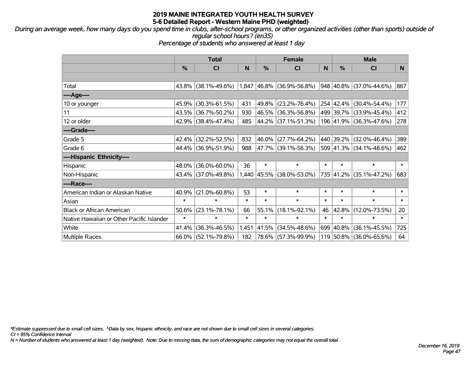*During an average week, how many days do you spend time in clubs, after-school programs, or other organized activities (other than sports) outside of regular school hours? (en35)*

*Percentage of students who answered at least 1 day*

|                                           | <b>Total</b> |                        |        | <b>Female</b> |                             |        | <b>Male</b> |                           |        |
|-------------------------------------------|--------------|------------------------|--------|---------------|-----------------------------|--------|-------------|---------------------------|--------|
|                                           | %            | CI                     | N      | %             | <b>CI</b>                   | N      | %           | <b>CI</b>                 | N      |
|                                           |              |                        |        |               |                             |        |             |                           |        |
| Total                                     |              | $43.8\%$ (38.1%-49.6%) |        |               | $1,847$ 46.8% (36.9%-56.8%) |        |             | 948 40.8% (37.0%-44.6%)   | 867    |
| ----Age----                               |              |                        |        |               |                             |        |             |                           |        |
| 10 or younger                             | 45.9%        | $(30.3\% - 61.5\%)$    | 431    | 49.8%         | $(23.2\% - 76.4\%)$         |        | 254 42.4%   | $(30.4\% - 54.4\%)$       | 177    |
| 11                                        |              | 43.5% (36.7%-50.2%)    | 930    |               | 46.5% (36.3%-56.8%)         |        |             | 499 39.7% (33.9%-45.4%)   | 412    |
| 12 or older                               |              | 42.9% (38.4%-47.4%)    | 485    |               | 44.2% (37.1%-51.3%)         |        |             | 196 41.9% (36.3%-47.6%)   | 278    |
| ----Grade----                             |              |                        |        |               |                             |        |             |                           |        |
| Grade 5                                   |              | 42.4% (32.2%-52.5%)    | 832    | 46.0%         | $(27.7\% - 64.2\%)$         |        | 440 39.2%   | $(32.0\% - 46.4\%)$       | 389    |
| Grade 6                                   |              | 44.4% (36.9%-51.9%)    | 988    |               | 47.7%   (39.1%-56.3%)       |        |             | $509$ 41.3% (34.1%-48.6%) | 462    |
| ----Hispanic Ethnicity----                |              |                        |        |               |                             |        |             |                           |        |
| Hispanic                                  | 48.0%        | $(36.0\% - 60.0\%)$    | 36     | $\ast$        | $\ast$                      | $\ast$ | $\ast$      | $\ast$                    | $\ast$ |
| Non-Hispanic                              |              | 43.4% (37.0%-49.8%)    |        |               | 1,440 45.5% (38.0%-53.0%)   |        |             | 735 41.2% (35.1%-47.2%)   | 683    |
| ----Race----                              |              |                        |        |               |                             |        |             |                           |        |
| American Indian or Alaskan Native         | 40.9%        | $(21.0\% - 60.8\%)$    | 53     | $\ast$        | $\ast$                      | $\ast$ | $\ast$      | $\ast$                    | $\ast$ |
| Asian                                     | $\ast$       | $\ast$                 | $\ast$ | $\ast$        | $\ast$                      | $\ast$ | $\ast$      | $\ast$                    | $\ast$ |
| <b>Black or African American</b>          | 50.6%        | $(23.1\% - 78.1\%)$    | 66     | 55.1%         | $(18.1\% - 92.1\%)$         | 46     | 42.8%       | $(12.0\% - 73.5\%)$       | 20     |
| Native Hawaiian or Other Pacific Islander | $\ast$       | $\ast$                 | $\ast$ | $\ast$        | $\ast$                      | $\ast$ | $\ast$      | $\ast$                    | $\ast$ |
| White                                     | 41.4%        | $(36.3\% - 46.5\%)$    | 1,451  | 41.5%         | $(34.5\% - 48.6\%)$         |        | 699 40.8%   | $(36.1\% - 45.5\%)$       | 725    |
| <b>Multiple Races</b>                     |              | 66.0% (52.1%-79.8%)    | 182    |               | 78.6% (57.3%-99.9%)         |        |             | 119 50.8% (36.0%-65.6%)   | 64     |

*\*Estimate suppressed due to small cell sizes. ^Data by sex, hispanic ethnicity, and race are not shown due to small cell sizes in several categories.*

*CI = 95% Confidence Interval*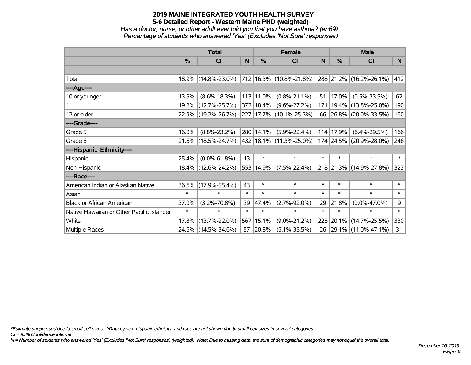*Has a doctor, nurse, or other adult ever told you that you have asthma? (en69) Percentage of students who answered 'Yes' (Excludes 'Not Sure' responses)*

|                                           | <b>Total</b> |                     |        |               | <b>Female</b>                    |              | <b>Male</b> |                         |        |
|-------------------------------------------|--------------|---------------------|--------|---------------|----------------------------------|--------------|-------------|-------------------------|--------|
|                                           | $\%$         | <b>CI</b>           | N      | $\%$          | <b>CI</b>                        | <sub>N</sub> | %           | CI                      | N      |
|                                           |              |                     |        |               |                                  |              |             |                         |        |
| Total                                     |              | 18.9% (14.8%-23.0%) |        |               | $ 712 16.3\%  (10.8\% - 21.8\%)$ |              |             | 288 21.2% (16.2%-26.1%) | 412    |
| ----Age----                               |              |                     |        |               |                                  |              |             |                         |        |
| 10 or younger                             | 13.5%        | $(8.6\% - 18.3\%)$  |        | 113 11.0%     | $(0.8\% - 21.1\%)$               | 51           | 17.0%       | $(0.5\% - 33.5\%)$      | 62     |
| 11                                        |              | 19.2% (12.7%-25.7%) |        | $372$   18.4% | $(9.6\% - 27.2\%)$               | 171          |             | 19.4% (13.8%-25.0%)     | 190    |
| 12 or older                               |              | 22.9% (19.2%-26.7%) |        |               | 227 17.7% (10.1%-25.3%)          | 66           |             | 26.8% (20.0%-33.5%)     | 160    |
| ----Grade----                             |              |                     |        |               |                                  |              |             |                         |        |
| Grade 5                                   | 16.0%        | $(8.8\% - 23.2\%)$  |        | 280 14.1%     | $(5.9\% - 22.4\%)$               |              | 114 17.9%   | $(6.4\% - 29.5\%)$      | 166    |
| Grade 6                                   |              | 21.6% (18.5%-24.7%) |        |               | 432 18.1% (11.3%-25.0%)          |              |             | 174 24.5% (20.9%-28.0%) | 246    |
| ----Hispanic Ethnicity----                |              |                     |        |               |                                  |              |             |                         |        |
| Hispanic                                  | 25.4%        | $(0.0\% - 61.8\%)$  | 13     | $\ast$        | $\ast$                           | $\ast$       | $\ast$      | $\ast$                  | $\ast$ |
| Non-Hispanic                              |              | 18.4% (12.6%-24.2%) |        | 553 14.9%     | $(7.5\% - 22.4\%)$               |              |             | 218 21.3% (14.9%-27.8%) | 323    |
| ----Race----                              |              |                     |        |               |                                  |              |             |                         |        |
| American Indian or Alaskan Native         | 36.6%        | $(17.9\% - 55.4\%)$ | 43     | $\ast$        | $\ast$                           | $\ast$       | $\ast$      | $\ast$                  | $\ast$ |
| Asian                                     | $\ast$       | $\ast$              | $\ast$ | $\ast$        | $\ast$                           | $\ast$       | $\ast$      | $\ast$                  | $\ast$ |
| <b>Black or African American</b>          | 37.0%        | $(3.2\% - 70.8\%)$  | 39     | 47.4%         | $(2.7\% - 92.0\%)$               | 29           | 21.8%       | $(0.0\% - 47.0\%)$      | 9      |
| Native Hawaiian or Other Pacific Islander | $\ast$       | $\ast$              | $\ast$ | $\ast$        | $\ast$                           | $\ast$       | $\ast$      | $\ast$                  | $\ast$ |
| White                                     | 17.8%        | $(13.7\% - 22.0\%)$ | 567    | 15.1%         | $(9.0\% - 21.2\%)$               | 225          | 20.1%       | $(14.7\% - 25.5\%)$     | 330    |
| Multiple Races                            |              | 24.6% (14.5%-34.6%) | 57     | $ 20.8\% $    | $(6.1\% - 35.5\%)$               | 26           |             | 29.1% (11.0%-47.1%)     | 31     |

*\*Estimate suppressed due to small cell sizes. ^Data by sex, hispanic ethnicity, and race are not shown due to small cell sizes in several categories.*

*CI = 95% Confidence Interval*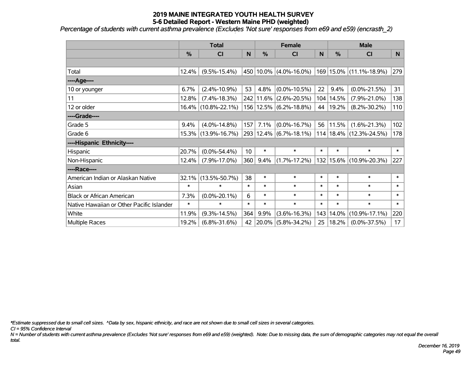*Percentage of students with current asthma prevalence (Excludes 'Not sure' responses from e69 and e59) (encrasth\_2)*

|                                           | <b>Total</b> |                     |                 |           | <b>Female</b>              |        | <b>Male</b> |                             |                 |  |
|-------------------------------------------|--------------|---------------------|-----------------|-----------|----------------------------|--------|-------------|-----------------------------|-----------------|--|
|                                           | %            | CI                  | N               | %         | <b>CI</b>                  | N      | %           | <b>CI</b>                   | N.              |  |
|                                           |              |                     |                 |           |                            |        |             |                             |                 |  |
| Total                                     | 12.4%        | $(9.5\% - 15.4\%)$  |                 | 450 10.0% | $(4.0\% - 16.0\%)$         |        |             | 169 15.0% (11.1%-18.9%)     | 279             |  |
| ---- Age----                              |              |                     |                 |           |                            |        |             |                             |                 |  |
| 10 or younger                             | 6.7%         | $(2.4\% - 10.9\%)$  | 53              | 4.8%      | $(0.0\% - 10.5\%)$         | 22     | 9.4%        | $(0.0\% - 21.5\%)$          | 31              |  |
| 11                                        | 12.8%        | $(7.4\% - 18.3\%)$  |                 | 242 11.6% | $(2.6\% - 20.5\%)$         |        | 104 14.5%   | $(7.9\% - 21.0\%)$          | 138             |  |
| 12 or older                               |              | 16.4% (10.8%-22.1%) |                 |           | 156   12.5%   (6.2%-18.8%) | 44     | 19.2%       | $(8.2\% - 30.2\%)$          | 110             |  |
| ----Grade----                             |              |                     |                 |           |                            |        |             |                             |                 |  |
| Grade 5                                   | 9.4%         | $(4.0\% - 14.8\%)$  | 157             | 7.1%      | $(0.0\% - 16.7\%)$         | 56     | 11.5%       | $(1.6\% - 21.3\%)$          | 102             |  |
| Grade 6                                   | 15.3%        | $(13.9\% - 16.7\%)$ |                 |           | 293 12.4% (6.7%-18.1%)     |        |             | $114 18.4\% $ (12.3%-24.5%) | 178             |  |
| ----Hispanic Ethnicity----                |              |                     |                 |           |                            |        |             |                             |                 |  |
| Hispanic                                  | 20.7%        | $(0.0\% - 54.4\%)$  | 10 <sup>°</sup> | $\ast$    | $\ast$                     | $\ast$ | $\ast$      | $\ast$                      | $\ast$          |  |
| Non-Hispanic                              | 12.4%        | $(7.9\% - 17.0\%)$  | 360             | 9.4%      | $(1.7\% - 17.2\%)$         |        | 132 15.6%   | $(10.9\% - 20.3\%)$         | 227             |  |
| ----Race----                              |              |                     |                 |           |                            |        |             |                             |                 |  |
| American Indian or Alaskan Native         | 32.1%        | $(13.5\% - 50.7\%)$ | 38              | $\ast$    | $\ast$                     | $\ast$ | *           | $\ast$                      | $\ast$          |  |
| Asian                                     | $\ast$       | $\ast$              | $\ast$          | $\ast$    | $\ast$                     | $\ast$ | $\ast$      | $\ast$                      | $\ast$          |  |
| <b>Black or African American</b>          | 7.3%         | $(0.0\% - 20.1\%)$  | 6               | $\ast$    | $\ast$                     | $\ast$ | $\ast$      | $\ast$                      | $\ast$          |  |
| Native Hawaiian or Other Pacific Islander | $\ast$       | $\ast$              | $\ast$          | $\ast$    | $\ast$                     | $\ast$ | $\ast$      | $\ast$                      | $\ast$          |  |
| White                                     | 11.9%        | $(9.3\% - 14.5\%)$  | 364             | 9.9%      | $(3.6\% - 16.3\%)$         | 143    | 14.0%       | $(10.9\% - 17.1\%)$         | 220             |  |
| <b>Multiple Races</b>                     | 19.2%        | $(6.8\% - 31.6\%)$  | 42              | 20.0%     | $(5.8\% - 34.2\%)$         | 25     | 18.2%       | $(0.0\% - 37.5\%)$          | 17 <sub>2</sub> |  |

*\*Estimate suppressed due to small cell sizes. ^Data by sex, hispanic ethnicity, and race are not shown due to small cell sizes in several categories.*

*CI = 95% Confidence Interval*

*N = Number of students with current asthma prevalence (Excludes 'Not sure' responses from e69 and e59) (weighted). Note: Due to missing data, the sum of demographic categories may not equal the overall total.*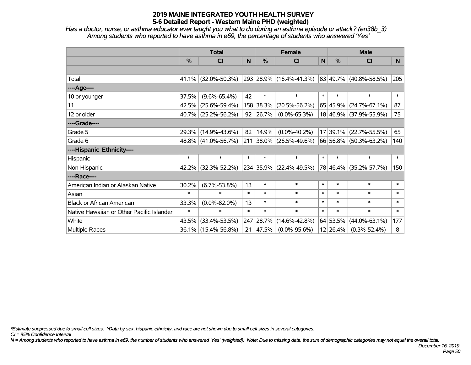*Has a doctor, nurse, or asthma educator ever taught you what to do during an asthma episode or attack? (en38b\_3) Among students who reported to have asthma in e69, the percentage of students who answered 'Yes'*

|                                           | <b>Total</b> |                     |        |           | <b>Female</b>           | <b>Male</b> |          |                             |        |
|-------------------------------------------|--------------|---------------------|--------|-----------|-------------------------|-------------|----------|-----------------------------|--------|
|                                           | %            | <b>CI</b>           | N      | %         | <b>CI</b>               | N           | $\%$     | <b>CI</b>                   | N.     |
|                                           |              |                     |        |           |                         |             |          |                             |        |
| Total                                     |              | 41.1% (32.0%-50.3%) |        |           | 293 28.9% (16.4%-41.3%) |             |          | $ 83 49.7\% $ (40.8%-58.5%) | 205    |
| ----Age----                               |              |                     |        |           |                         |             |          |                             |        |
| 10 or younger                             | 37.5%        | $(9.6\% - 65.4\%)$  | 42     | $\ast$    | $\ast$                  | $\ast$      | $\ast$   | $\ast$                      | $\ast$ |
| 11                                        | 42.5%        | $(25.6\% - 59.4\%)$ |        | 158 38.3% | $(20.5\% - 56.2\%)$     |             | 65 45.9% | $(24.7\% - 67.1\%)$         | 87     |
| 12 or older                               |              | 40.7% (25.2%-56.2%) | 92     | 26.7%     | $(0.0\% - 65.3\%)$      |             |          | 18 46.9% (37.9%-55.9%)      | 75     |
| ----Grade----                             |              |                     |        |           |                         |             |          |                             |        |
| Grade 5                                   | 29.3%        | $(14.9\% - 43.6\%)$ | 82     | 14.9%     | $(0.0\% - 40.2\%)$      |             | 17 39.1% | $(22.7\% - 55.5\%)$         | 65     |
| Grade 6                                   |              | 48.8% (41.0%-56.7%) |        |           | 211 38.0% (26.5%-49.6%) |             |          | 66 56.8% (50.3%-63.2%)      | 140    |
| ----Hispanic Ethnicity----                |              |                     |        |           |                         |             |          |                             |        |
| Hispanic                                  | $\ast$       | $\ast$              | $\ast$ | $\ast$    | $\ast$                  | $\ast$      | $\ast$   | $\ast$                      | $\ast$ |
| Non-Hispanic                              | $42.2\%$     | $(32.3\% - 52.2\%)$ |        |           | 234 35.9% (22.4%-49.5%) |             | 78 46.4% | $(35.2\% - 57.7\%)$         | 150    |
| ----Race----                              |              |                     |        |           |                         |             |          |                             |        |
| American Indian or Alaskan Native         | 30.2%        | $(6.7\% - 53.8\%)$  | 13     | $\ast$    | $\ast$                  | $\ast$      | $\ast$   | $\ast$                      | $\ast$ |
| Asian                                     | $\ast$       | $\ast$              | $\ast$ | $\ast$    | $\ast$                  | $\ast$      | $\ast$   | $\ast$                      | $\ast$ |
| <b>Black or African American</b>          | 33.3%        | $(0.0\% - 82.0\%)$  | 13     | $\ast$    | $\ast$                  | $\ast$      | $\ast$   | $\ast$                      | $\ast$ |
| Native Hawaiian or Other Pacific Islander | $\ast$       | $\ast$              | $\ast$ | $\ast$    | $\ast$                  | $\ast$      | $\ast$   | $\ast$                      | $\ast$ |
| White                                     | 43.5%        | $(33.4\% - 53.5\%)$ | 247    | 28.7%     | $(14.6\% - 42.8\%)$     |             | 64 53.5% | $(44.0\% - 63.1\%)$         | 177    |
| Multiple Races                            |              | 36.1% (15.4%-56.8%) | 21     | 47.5%     | $(0.0\% - 95.6\%)$      |             | 12 26.4% | $(0.3\% - 52.4\%)$          | 8      |

*\*Estimate suppressed due to small cell sizes. ^Data by sex, hispanic ethnicity, and race are not shown due to small cell sizes in several categories.*

*CI = 95% Confidence Interval*

*N = Among students who reported to have asthma in e69, the number of students who answered 'Yes' (weighted). Note: Due to missing data, the sum of demographic categories may not equal the overall total.*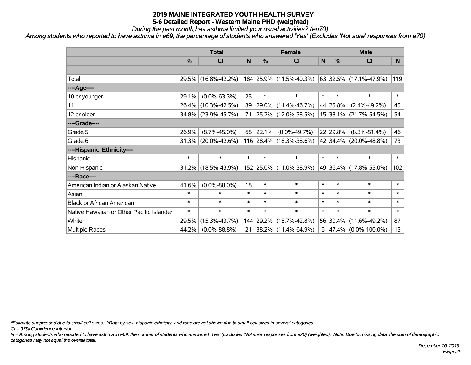*During the past month,has asthma limited your usual activities? (en70)*

*Among students who reported to have asthma in e69, the percentage of students who answered 'Yes' (Excludes 'Not sure' responses from e70)*

|                                           | <b>Total</b>  |                     |        |               | <b>Female</b>            | <b>Male</b> |               |                                        |                  |
|-------------------------------------------|---------------|---------------------|--------|---------------|--------------------------|-------------|---------------|----------------------------------------|------------------|
|                                           | $\frac{0}{0}$ | CI                  | N      | $\frac{0}{0}$ | CI                       | N           | $\frac{0}{0}$ | <b>CI</b>                              | N                |
|                                           |               |                     |        |               |                          |             |               |                                        |                  |
| Total                                     |               | 29.5% (16.8%-42.2%) |        |               | 184 25.9% (11.5%-40.3%)  |             |               | 63 32.5% (17.1%-47.9%)                 | 119              |
| ----Age----                               |               |                     |        |               |                          |             |               |                                        |                  |
| 10 or younger                             | 29.1%         | $(0.0\% - 63.3\%)$  | 25     | $\ast$        | $\ast$                   | $\ast$      | $\ast$        | $\ast$                                 | $\ast$           |
| 11                                        | 26.4%         | $(10.3\% - 42.5\%)$ | 89     | 29.0%         | $(11.4\% - 46.7\%)$      |             | 44 25.8%      | $(2.4\% - 49.2\%)$                     | 45               |
| 12 or older                               |               | 34.8% (23.9%-45.7%) | 71     |               | 25.2% (12.0%-38.5%)      |             | 15 38.1%      | $(21.7\% - 54.5\%)$                    | 54               |
| ----Grade----                             |               |                     |        |               |                          |             |               |                                        |                  |
| Grade 5                                   | 26.9%         | $(8.7\% - 45.0\%)$  | 68     | 22.1%         | $(0.0\% - 49.7\%)$       |             | 22 29.8%      | $(8.3\% - 51.4\%)$                     | 46               |
| Grade 6                                   |               | 31.3% (20.0%-42.6%) |        |               | 116 28.4% (18.3%-38.6%)  |             |               | 42 34.4% (20.0%-48.8%)                 | 73               |
| ----Hispanic Ethnicity----                |               |                     |        |               |                          |             |               |                                        |                  |
| Hispanic                                  | $\ast$        | $\ast$              | $\ast$ | $\ast$        | $\ast$                   | $\ast$      | $\ast$        | $\ast$                                 | $\ast$           |
| Non-Hispanic                              |               | 31.2% (18.5%-43.9%) |        |               | 152 25.0% (11.0%-38.9%)  |             | 49 36.4%      | $(17.8\% - 55.0\%)$                    | 102              |
| ----Race----                              |               |                     |        |               |                          |             |               |                                        |                  |
| American Indian or Alaskan Native         | 41.6%         | $(0.0\% - 88.0\%)$  | 18     | $\ast$        | $\ast$                   | $\ast$      | $\ast$        | $\ast$                                 | $\ast$           |
| Asian                                     | $\ast$        | $\ast$              | $\ast$ | $\ast$        | $\ast$                   | $\ast$      | $\ast$        | $\ast$                                 | $\ast$           |
| <b>Black or African American</b>          | $\ast$        | $\ast$              | $\ast$ | $\ast$        | $\ast$                   | $\ast$      | $\ast$        | $\ast$                                 | $\ast$           |
| Native Hawaiian or Other Pacific Islander | $\ast$        | $\ast$              | $\ast$ | $\ast$        | $\ast$                   | $\ast$      | $\ast$        | $\ast$                                 | $\ast$           |
| White                                     | 29.5%         | $(15.3\% - 43.7\%)$ | 144    | 29.2%         | $(15.7\% - 42.8\%)$      |             | 56 30.4%      | $(11.6\% - 49.2\%)$                    | 87               |
| <b>Multiple Races</b>                     | 44.2%         | $(0.0\% - 88.8\%)$  | 21     |               | $ 38.2\% $ (11.4%-64.9%) |             |               | $6 \mid 47.4\% \mid (0.0\% - 100.0\%)$ | 15 <sub>15</sub> |

*\*Estimate suppressed due to small cell sizes. ^Data by sex, hispanic ethnicity, and race are not shown due to small cell sizes in several categories.*

*CI = 95% Confidence Interval*

*N = Among students who reported to have asthma in e69, the number of students who answered 'Yes' (Excludes 'Not sure' responses from e70) (weighted). Note: Due to missing data, the sum of demographic categories may not equal the overall total.*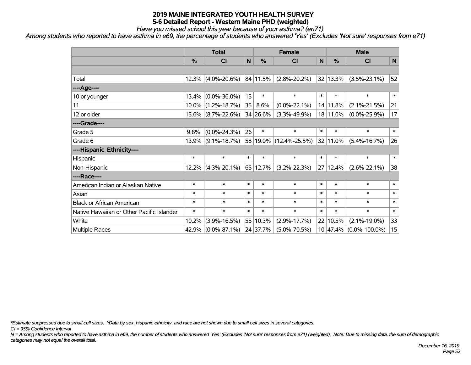*Have you missed school this year because of your asthma? (en71)*

*Among students who reported to have asthma in e69, the percentage of students who answered 'Yes' (Excludes 'Not sure' responses from e71)*

|                                           | <b>Total</b> |                       |              |          | <b>Female</b>               | <b>Male</b> |          |                        |              |
|-------------------------------------------|--------------|-----------------------|--------------|----------|-----------------------------|-------------|----------|------------------------|--------------|
|                                           | $\%$         | CI                    | $\mathsf{N}$ | %        | <b>CI</b>                   | $\mathbf N$ | %        | <b>CI</b>              | $\mathsf{N}$ |
|                                           |              |                       |              |          |                             |             |          |                        |              |
| Total                                     | 12.3%        | $(4.0\% - 20.6\%)$    |              | 84 11.5% | $(2.8\% - 20.2\%)$          |             | 32 13.3% | $(3.5\% - 23.1\%)$     | 52           |
| ----Age----                               |              |                       |              |          |                             |             |          |                        |              |
| 10 or younger                             | 13.4%        | $(0.0\% - 36.0\%)$    | 15           | $\ast$   | $\ast$                      | $\ast$      | $\ast$   | $\ast$                 | $\ast$       |
| 11                                        | $10.0\%$     | $(1.2\% - 18.7\%)$    | 35           | 8.6%     | $(0.0\% - 22.1\%)$          |             | 14 11.8% | $(2.1\% - 21.5\%)$     | 21           |
| 12 or older                               |              | $15.6\%$ (8.7%-22.6%) |              | 34 26.6% | $(3.3\% - 49.9\%)$          |             | 18 11.0% | $(0.0\% - 25.9\%)$     | 17           |
| ----Grade----                             |              |                       |              |          |                             |             |          |                        |              |
| Grade 5                                   | 9.8%         | $(0.0\% - 24.3\%)$    | 26           | $\ast$   | $\ast$                      | $\ast$      | $\ast$   | $\ast$                 | $\ast$       |
| Grade 6                                   | $13.9\%$     | $(9.1\% - 18.7\%)$    |              |          | $ 58 19.0\% $ (12.4%-25.5%) |             | 32 11.0% | $(5.4\% - 16.7\%)$     | 26           |
| ----Hispanic Ethnicity----                |              |                       |              |          |                             |             |          |                        |              |
| Hispanic                                  | $\ast$       | $\ast$                | $\ast$       | $\ast$   | $\ast$                      | $\ast$      | $\ast$   | $\ast$                 | $\ast$       |
| Non-Hispanic                              | 12.2%        | $(4.3\% - 20.1\%)$    |              | 65 12.7% | $(3.2\% - 22.3\%)$          | 27          | 12.4%    | $(2.6\% - 22.1\%)$     | 38           |
| ----Race----                              |              |                       |              |          |                             |             |          |                        |              |
| American Indian or Alaskan Native         | $\ast$       | $\ast$                | $\ast$       | $\ast$   | $\ast$                      | $\ast$      | $\ast$   | $\ast$                 | $\ast$       |
| Asian                                     | $\ast$       | $\ast$                | $\ast$       | $\ast$   | $\ast$                      | $\ast$      | $\ast$   | $\ast$                 | $\ast$       |
| <b>Black or African American</b>          | $\ast$       | $\ast$                | $\ast$       | $\ast$   | $\ast$                      | $\ast$      | $\ast$   | $\ast$                 | $\ast$       |
| Native Hawaiian or Other Pacific Islander | $\ast$       | $\ast$                | $\ast$       | $\ast$   | $\ast$                      | $\ast$      | $\ast$   | $\ast$                 | $\ast$       |
| White                                     | 10.2%        | $(3.9\% - 16.5\%)$    | 55           | 10.3%    | $(2.9\% - 17.7\%)$          | 22          | 10.5%    | $(2.1\% - 19.0\%)$     | 33           |
| Multiple Races                            | 42.9%        | $(0.0\% - 87.1\%)$    |              | 24 37.7% | $(5.0\% - 70.5\%)$          |             |          | 10 47.4% (0.0%-100.0%) | 15           |

*\*Estimate suppressed due to small cell sizes. ^Data by sex, hispanic ethnicity, and race are not shown due to small cell sizes in several categories.*

*CI = 95% Confidence Interval*

*N = Among students who reported to have asthma in e69, the number of students who answered 'Yes' (Excludes 'Not sure' responses from e71) (weighted). Note: Due to missing data, the sum of demographic categories may not equal the overall total.*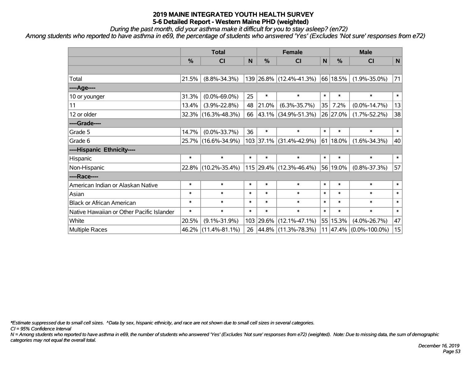*During the past month, did your asthma make it difficult for you to stay asleep? (en72)*

*Among students who reported to have asthma in e69, the percentage of students who answered 'Yes' (Excludes 'Not sure' responses from e72)*

|                                           | <b>Total</b>  |                     |        |        | <b>Female</b>           |           | <b>Male</b> |                            |              |  |
|-------------------------------------------|---------------|---------------------|--------|--------|-------------------------|-----------|-------------|----------------------------|--------------|--|
|                                           | $\frac{0}{0}$ | <b>CI</b>           | N      | %      | <b>CI</b>               | ${\sf N}$ | $\%$        | <b>CI</b>                  | $\mathsf{N}$ |  |
|                                           |               |                     |        |        |                         |           |             |                            |              |  |
| Total                                     | 21.5%         | $(8.8\% - 34.3\%)$  |        |        | 139 26.8% (12.4%-41.3%) |           | 66 18.5%    | $(1.9\% - 35.0\%)$         | 71           |  |
| ----Age----                               |               |                     |        |        |                         |           |             |                            |              |  |
| 10 or younger                             | 31.3%         | $(0.0\% - 69.0\%)$  | 25     | $\ast$ | $\ast$                  | $\ast$    | $\ast$      | $\ast$                     | $\ast$       |  |
| 11                                        | 13.4%         | $(3.9\% - 22.8\%)$  | 48     | 21.0%  | $(6.3\% - 35.7\%)$      | 35        | 7.2%        | $(0.0\% - 14.7\%)$         | 13           |  |
| 12 or older                               |               | 32.3% (16.3%-48.3%) | 66     |        | 43.1% (34.9%-51.3%)     |           | 26 27.0%    | $(1.7\% - 52.2\%)$         | 38           |  |
| ----Grade----                             |               |                     |        |        |                         |           |             |                            |              |  |
| Grade 5                                   | 14.7%         | $(0.0\% - 33.7\%)$  | 36     | $\ast$ | $\ast$                  | $\ast$    | $\ast$      | $\ast$                     | $\ast$       |  |
| Grade 6                                   |               | 25.7% (16.6%-34.9%) |        |        | 103 37.1% (31.4%-42.9%) |           | $61 18.0\%$ | $(1.6\% - 34.3\%)$         | 40           |  |
| ----Hispanic Ethnicity----                |               |                     |        |        |                         |           |             |                            |              |  |
| Hispanic                                  | $\ast$        | $\ast$              | $\ast$ | $\ast$ | $\ast$                  | $\ast$    | $\ast$      | $\ast$                     | $\ast$       |  |
| Non-Hispanic                              |               | 22.8% (10.2%-35.4%) |        |        | 115 29.4% (12.3%-46.4%) |           | 56 19.0%    | $(0.8\% - 37.3\%)$         | 57           |  |
| ----Race----                              |               |                     |        |        |                         |           |             |                            |              |  |
| American Indian or Alaskan Native         | $\ast$        | $\ast$              | $\ast$ | $\ast$ | $\ast$                  | $\ast$    | $\ast$      | $\ast$                     | $\ast$       |  |
| Asian                                     | $\ast$        | $\ast$              | $\ast$ | $\ast$ | $\ast$                  | $\ast$    | $\ast$      | $\ast$                     | $\ast$       |  |
| <b>Black or African American</b>          | $\ast$        | $\ast$              | $\ast$ | $\ast$ | $\ast$                  | $\ast$    | $\ast$      | $\ast$                     | $\ast$       |  |
| Native Hawaiian or Other Pacific Islander | $\ast$        | $\ast$              | $\ast$ | $\ast$ | $\ast$                  | $\ast$    | $\ast$      | $\ast$                     | $\ast$       |  |
| White                                     | 20.5%         | $(9.1\% - 31.9\%)$  | 103    | 29.6%  | $(12.1\% - 47.1\%)$     | 55        | 15.3%       | $(4.0\% - 26.7\%)$         | 47           |  |
| Multiple Races                            |               | 46.2% (11.4%-81.1%) | 26     |        | 44.8% (11.3%-78.3%)     |           |             | $11 47.4\% $ (0.0%-100.0%) | 15           |  |

*\*Estimate suppressed due to small cell sizes. ^Data by sex, hispanic ethnicity, and race are not shown due to small cell sizes in several categories.*

*CI = 95% Confidence Interval*

*N = Among students who reported to have asthma in e69, the number of students who answered 'Yes' (Excludes 'Not sure' responses from e72) (weighted). Note: Due to missing data, the sum of demographic categories may not equal the overall total.*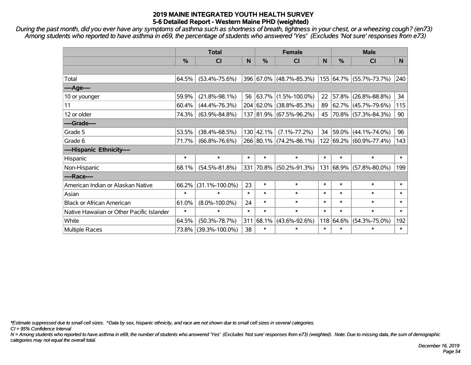*During the past month, did you ever have any symptoms of asthma such as shortness of breath, tightness in your chest, or a wheezing cough? (en73) Among students who reported to have asthma in e69, the percentage of students who answered 'Yes' (Excludes 'Not sure' responses from e73)*

|                                           | <b>Total</b>  |                      |        |               | <b>Female</b>           | <b>Male</b> |        |                         |        |
|-------------------------------------------|---------------|----------------------|--------|---------------|-------------------------|-------------|--------|-------------------------|--------|
|                                           | $\frac{0}{0}$ | <b>CI</b>            | N      | $\frac{0}{0}$ | <b>CI</b>               | N           | %      | <b>CI</b>               | N.     |
|                                           |               |                      |        |               |                         |             |        |                         |        |
| Total                                     | 64.5%         | $(53.4\% - 75.6\%)$  |        |               | 396 67.0% (48.7%-85.3%) |             |        | 155 64.7% (55.7%-73.7%) | 240    |
| ----Age----                               |               |                      |        |               |                         |             |        |                         |        |
| 10 or younger                             | 59.9%         | $(21.8\% - 98.1\%)$  | 56     |               | 63.7% (1.5%-100.0%)     | 22          | 57.8%  | $(26.8\% - 88.8\%)$     | 34     |
| 11                                        | 60.4%         | $(44.4\% - 76.3\%)$  |        |               | 204 62.0% (38.8%-85.3%) | 89          | 62.7%  | $(45.7\% - 79.6\%)$     | 115    |
| 12 or older                               | 74.3%         | $(63.9\% - 84.8\%)$  |        |               | 137 81.9% (67.5%-96.2%) | 45          |        | 70.8% (57.3%-84.3%)     | 90     |
| ----Grade----                             |               |                      |        |               |                         |             |        |                         |        |
| Grade 5                                   | 53.5%         | $(38.4\% - 68.5\%)$  |        | 130   42.1%   | $(7.1\% - 77.2\%)$      | 34          | 59.0%  | $(44.1\% - 74.0\%)$     | 96     |
| Grade 6                                   | 71.7%         | $(66.8\% - 76.6\%)$  |        |               | 266 80.1% (74.2%-86.1%) |             |        | 122 69.2% (60.9%-77.4%) | 143    |
| ----Hispanic Ethnicity----                |               |                      |        |               |                         |             |        |                         |        |
| Hispanic                                  | $\ast$        | $\ast$               | $\ast$ | $\ast$        | $\ast$                  | $\ast$      | $\ast$ | $\ast$                  | $\ast$ |
| Non-Hispanic                              | 68.1%         | $(54.5\% - 81.8\%)$  | 331    |               | 70.8% (50.2%-91.3%)     | 131         | 68.9%  | $(57.8\% - 80.0\%)$     | 199    |
| ----Race----                              |               |                      |        |               |                         |             |        |                         |        |
| American Indian or Alaskan Native         | 66.2%         | $(31.1\% - 100.0\%)$ | 23     | $\ast$        | $\ast$                  | $\ast$      | $\ast$ | $\ast$                  | $\ast$ |
| Asian                                     | $\ast$        | $\ast$               | $\ast$ | $\ast$        | $\ast$                  | $\ast$      | $\ast$ | $\ast$                  | $\ast$ |
| <b>Black or African American</b>          | 61.0%         | $(8.0\% - 100.0\%)$  | 24     | $\ast$        | $\ast$                  | $\ast$      | $\ast$ | $\ast$                  | $\ast$ |
| Native Hawaiian or Other Pacific Islander | $\ast$        | $\ast$               | $\ast$ | $\ast$        | $\ast$                  | $\ast$      | $\ast$ | $\ast$                  | $\ast$ |
| White                                     | 64.5%         | $(50.3\% - 78.7\%)$  | 311    | 68.1%         | $(43.6\% - 92.6\%)$     | 118         | 64.6%  | $(54.3\% - 75.0\%)$     | 192    |
| Multiple Races                            |               | 73.8% (39.3%-100.0%) | 38     | $\ast$        | $\ast$                  | $\ast$      | $\ast$ | $\ast$                  | $\ast$ |

*\*Estimate suppressed due to small cell sizes. ^Data by sex, hispanic ethnicity, and race are not shown due to small cell sizes in several categories.*

*CI = 95% Confidence Interval*

*N = Among students who reported to have asthma in e69, the number of students who answered 'Yes' (Excludes 'Not sure' responses from e73) (weighted). Note: Due to missing data, the sum of demographic categories may not equal the overall total.*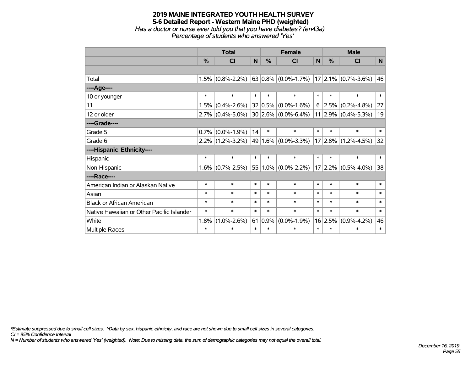### **2019 MAINE INTEGRATED YOUTH HEALTH SURVEY 5-6 Detailed Report - Western Maine PHD (weighted)** *Has a doctor or nurse ever told you that you have diabetes? (en43a) Percentage of students who answered 'Yes'*

|                                           | <b>Total</b> |                     |        |        | <b>Female</b>            |        | <b>Male</b> |                          |        |  |
|-------------------------------------------|--------------|---------------------|--------|--------|--------------------------|--------|-------------|--------------------------|--------|--|
|                                           | %            | CI                  | N      | %      | <b>CI</b>                | N      | %           | <b>CI</b>                | N      |  |
|                                           |              |                     |        |        |                          |        |             |                          |        |  |
| Total                                     | 1.5%         | $(0.8\% - 2.2\%)$   |        |        | 63 0.8% $(0.0\% -1.7\%)$ |        |             | $ 17 2.1\% $ (0.7%-3.6%) | 46     |  |
| ----Age----                               |              |                     |        |        |                          |        |             |                          |        |  |
| 10 or younger                             | $\ast$       | $\ast$              | $\ast$ | $\ast$ | $\ast$                   | $\ast$ | $\ast$      | $\ast$                   | $\ast$ |  |
| 11                                        | 1.5%         | $(0.4\% - 2.6\%)$   |        |        | $32 0.5\% $ (0.0%-1.6%)  |        | $6$   2.5%  | $(0.2\% - 4.8\%)$        | 27     |  |
| 12 or older                               |              | $2.7\%$ (0.4%-5.0%) |        |        | $30 2.6\% $ (0.0%-6.4%)  |        |             | $11 2.9\% $ (0.4%-5.3%)  | 19     |  |
| ----Grade----                             |              |                     |        |        |                          |        |             |                          |        |  |
| Grade 5                                   | 0.7%         | $(0.0\% - 1.9\%)$   | 14     | $\ast$ | $\ast$                   | $\ast$ | $\ast$      | $\ast$                   | $\ast$ |  |
| Grade 6                                   |              | $2.2\%$ (1.2%-3.2%) |        |        | 49 $1.6\%$ (0.0%-3.3%)   |        | $17 2.8\% $ | $(1.2\% - 4.5\%)$        | 32     |  |
| ----Hispanic Ethnicity----                |              |                     |        |        |                          |        |             |                          |        |  |
| Hispanic                                  | $\ast$       | $\ast$              | $\ast$ | $\ast$ | $\ast$                   | $\ast$ | $\ast$      | $\ast$                   | $\ast$ |  |
| Non-Hispanic                              | 1.6%         | $(0.7\% - 2.5\%)$   |        |        | 55 1.0% (0.0%-2.2%)      |        |             | $17 2.2\% $ (0.5%-4.0%)  | 38     |  |
| ----Race----                              |              |                     |        |        |                          |        |             |                          |        |  |
| American Indian or Alaskan Native         | $\ast$       | $\ast$              | $\ast$ | $\ast$ | $\ast$                   | $\ast$ | $\ast$      | $\ast$                   | $\ast$ |  |
| Asian                                     | $\ast$       | $\ast$              | $\ast$ | $\ast$ | $\ast$                   | $\ast$ | $\ast$      | $\ast$                   | $\ast$ |  |
| <b>Black or African American</b>          | $\ast$       | $\ast$              | $\ast$ | $\ast$ | $\ast$                   | $\ast$ | $\ast$      | $\ast$                   | $\ast$ |  |
| Native Hawaiian or Other Pacific Islander | *            | $\ast$              | $\ast$ | $\ast$ | $\ast$                   | $\ast$ | $\ast$      | $\ast$                   | $\ast$ |  |
| White                                     | 1.8%         | $(1.0\% - 2.6\%)$   | 61     | 0.9%   | $(0.0\% - 1.9\%)$        |        | 16 2.5%     | $(0.9\% - 4.2\%)$        | 46     |  |
| Multiple Races                            | $\ast$       | $\ast$              | $\ast$ | $\ast$ | $\ast$                   | $\ast$ | $\ast$      | $\ast$                   | $\ast$ |  |

*\*Estimate suppressed due to small cell sizes. ^Data by sex, hispanic ethnicity, and race are not shown due to small cell sizes in several categories.*

*CI = 95% Confidence Interval*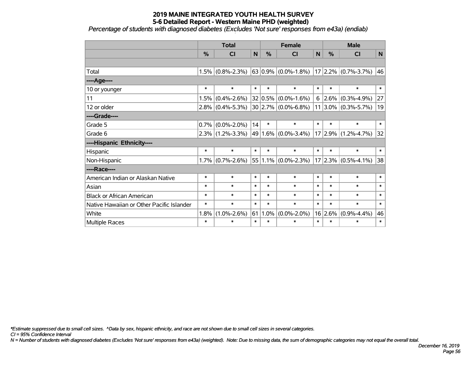*Percentage of students with diagnosed diabetes (Excludes 'Not sure' responses from e43a) (endiab)*

|                                           | <b>Total</b> |                   |             |         | <b>Female</b>             | <b>Male</b> |               |                         |        |
|-------------------------------------------|--------------|-------------------|-------------|---------|---------------------------|-------------|---------------|-------------------------|--------|
|                                           | %            | <b>CI</b>         | $\mathbf N$ | %       | <b>CI</b>                 | N           | $\frac{0}{0}$ | <b>CI</b>               | N.     |
|                                           |              |                   |             |         |                           |             |               |                         |        |
| Total                                     | 1.5%         | $(0.8\% - 2.3\%)$ |             |         | 63 0.9% $(0.0\% - 1.8\%)$ |             |               | 17 2.2% (0.7%-3.7%) 46  |        |
| ----Age----                               |              |                   |             |         |                           |             |               |                         |        |
| 10 or younger                             | $\ast$       | $\ast$            | $\ast$      | $\ast$  | $\ast$                    | $\ast$      | $\ast$        | $\ast$                  | $\ast$ |
| 11                                        | 1.5%         | $(0.4\% - 2.6\%)$ |             | 32 0.5% | $(0.0\% - 1.6\%)$         | 6           | $ 2.6\% $     | $(0.3\% - 4.9\%)$       | 27     |
| 12 or older                               | 2.8%         | $(0.4\% - 5.3\%)$ |             |         | $30 2.7\% $ (0.0%-6.8%)   |             |               | $11 3.0\% $ (0.3%-5.7%) | 19     |
| ----Grade----                             |              |                   |             |         |                           |             |               |                         |        |
| Grade 5                                   | 0.7%         | $(0.0\% - 2.0\%)$ | 14          | $\ast$  | $\ast$                    | $\ast$      | $\ast$        | $\ast$                  | $\ast$ |
| Grade 6                                   | 2.3%         | $(1.2\% - 3.3\%)$ |             |         | $49 1.6\% $ (0.0%-3.4%)   |             |               | $17 2.9\% $ (1.2%-4.7%) | 32     |
| ----Hispanic Ethnicity----                |              |                   |             |         |                           |             |               |                         |        |
| Hispanic                                  | $\ast$       | $\ast$            | $\ast$      | $\ast$  | $\ast$                    | $\ast$      | $\ast$        | $\ast$                  | $\ast$ |
| Non-Hispanic                              | 1.7%         | $(0.7\% - 2.6\%)$ |             |         | $55 1.1\% $ (0.0%-2.3%)   |             |               | $17 2.3\% $ (0.5%-4.1%) | 38     |
| ----Race----                              |              |                   |             |         |                           |             |               |                         |        |
| American Indian or Alaskan Native         | $\ast$       | $\ast$            | $\ast$      | $\ast$  | $\ast$                    | $\ast$      | $\ast$        | $\ast$                  | $\ast$ |
| Asian                                     | $\ast$       | $\ast$            | $\ast$      | $\ast$  | $\ast$                    | $\ast$      | $\ast$        | $\ast$                  | $\ast$ |
| <b>Black or African American</b>          | $\ast$       | $\ast$            | $\ast$      | $\ast$  | $\ast$                    | $\ast$      | $\ast$        | $\ast$                  | $\ast$ |
| Native Hawaiian or Other Pacific Islander | $\ast$       | $\ast$            | $\ast$      | $\ast$  | $\ast$                    | $\ast$      | $\ast$        | $\ast$                  | $\ast$ |
| White                                     | 1.8%         | $(1.0\% - 2.6\%)$ | 61          | 1.0%    | $(0.0\% - 2.0\%)$         |             | 16 2.6%       | $(0.9\% - 4.4\%)$       | 46     |
| Multiple Races                            | $\ast$       | $\ast$            | $\ast$      | $\ast$  | *                         | $\ast$      | $\ast$        | $\ast$                  | $\ast$ |

*\*Estimate suppressed due to small cell sizes. ^Data by sex, hispanic ethnicity, and race are not shown due to small cell sizes in several categories.*

*CI = 95% Confidence Interval*

*N = Number of students with diagnosed diabetes (Excludes 'Not sure' responses from e43a) (weighted). Note: Due to missing data, the sum of demographic categories may not equal the overall total.*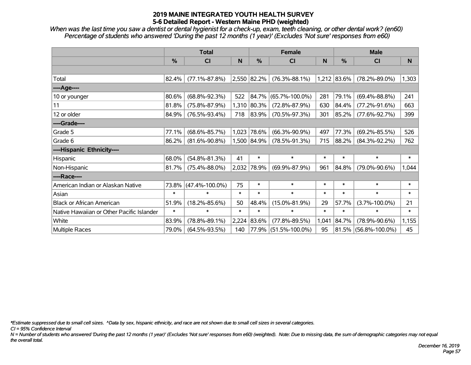*When was the last time you saw a dentist or dental hygienist for a check-up, exam, teeth cleaning, or other dental work? (en60) Percentage of students who answered 'During the past 12 months (1 year)' (Excludes 'Not sure' responses from e60)*

|                                           |        | <b>Total</b>         |        | <b>Female</b> |                      | <b>Male</b> |             |                      |              |
|-------------------------------------------|--------|----------------------|--------|---------------|----------------------|-------------|-------------|----------------------|--------------|
|                                           | %      | <b>CI</b>            | N      | %             | <b>CI</b>            | N           | %           | <b>CI</b>            | <sub>N</sub> |
|                                           |        |                      |        |               |                      |             |             |                      |              |
| Total                                     | 82.4%  | $(77.1\% - 87.8\%)$  |        | 2,550 82.2%   | $(76.3\% - 88.1\%)$  |             | 1,212 83.6% | $(78.2\% - 89.0\%)$  | 1,303        |
| ----Age----                               |        |                      |        |               |                      |             |             |                      |              |
| 10 or younger                             | 80.6%  | $(68.8\% - 92.3\%)$  | 522    | 84.7%         | $(65.7\% - 100.0\%)$ | 281         | 79.1%       | $(69.4\% - 88.8\%)$  | 241          |
| 11                                        | 81.8%  | $(75.8\% - 87.9\%)$  | 1,310  | 80.3%         | $(72.8\% - 87.9\%)$  | 630         | 84.4%       | $(77.2\% - 91.6\%)$  | 663          |
| 12 or older                               | 84.9%  | $(76.5\% - 93.4\%)$  | 718    | 83.9%         | $(70.5\% - 97.3\%)$  | 301         | 85.2%       | $(77.6\% - 92.7\%)$  | 399          |
| ----Grade----                             |        |                      |        |               |                      |             |             |                      |              |
| Grade 5                                   | 77.1%  | $(68.6\% - 85.7\%)$  | 1,023  | 78.6%         | $(66.3\% - 90.9\%)$  | 497         | 77.3%       | $(69.2\% - 85.5\%)$  | 526          |
| Grade 6                                   | 86.2%  | $(81.6\% - 90.8\%)$  |        | 1,500 84.9%   | $(78.5\% - 91.3\%)$  | 715         | $ 88.2\% $  | $(84.3\% - 92.2\%)$  | 762          |
| ----Hispanic Ethnicity----                |        |                      |        |               |                      |             |             |                      |              |
| Hispanic                                  | 68.0%  | $(54.8\% - 81.3\%)$  | 41     | $\ast$        | $\ast$               | $\ast$      | $\ast$      | $\ast$               | $\ast$       |
| Non-Hispanic                              | 81.7%  | $(75.4\% - 88.0\%)$  |        | 2,032 78.9%   | $(69.9\% - 87.9\%)$  | 961         | 84.8%       | $(79.0\% - 90.6\%)$  | 1,044        |
| ----Race----                              |        |                      |        |               |                      |             |             |                      |              |
| American Indian or Alaskan Native         | 73.8%  | $(47.4\% - 100.0\%)$ | 75     | $\ast$        | $\ast$               | $\ast$      | $\ast$      | $\ast$               | $\ast$       |
| Asian                                     | $\ast$ | $\ast$               | $\ast$ | $\ast$        | $\ast$               | $\ast$      | $\ast$      | $\ast$               | $\ast$       |
| <b>Black or African American</b>          | 51.9%  | $(18.2\% - 85.6\%)$  | 50     | 48.4%         | $(15.0\% - 81.9\%)$  | 29          | 57.7%       | $(3.7\% - 100.0\%)$  | 21           |
| Native Hawaiian or Other Pacific Islander | $\ast$ | $\ast$               | $\ast$ | $\ast$        | $\ast$               | $\ast$      | $\ast$      | $\ast$               | $\ast$       |
| White                                     | 83.9%  | $(78.8\% - 89.1\%)$  | 2,224  | 83.6%         | $(77.8\% - 89.5\%)$  | 1,041       | 84.7%       | $(78.9\% - 90.6\%)$  | 1,155        |
| Multiple Races                            | 79.0%  | $(64.5\% - 93.5\%)$  | 140    | 77.9%         | $(51.5\% - 100.0\%)$ | 95          |             | 81.5% (56.8%-100.0%) | 45           |

*\*Estimate suppressed due to small cell sizes. ^Data by sex, hispanic ethnicity, and race are not shown due to small cell sizes in several categories.*

*CI = 95% Confidence Interval*

*N = Number of students who answered 'During the past 12 months (1 year)' (Excludes 'Not sure' responses from e60) (weighted). Note: Due to missing data, the sum of demographic categories may not equal the overall total.*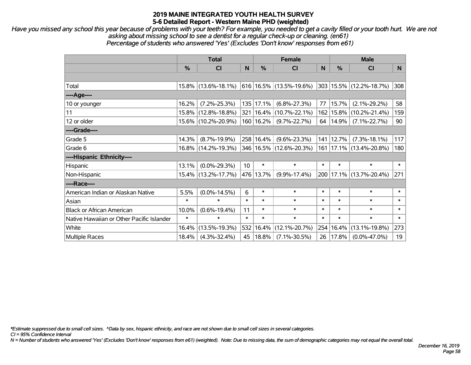*Have you missed any school this year because of problems with your teeth? For example, you needed to get a cavity filled or your tooth hurt. We are not asking about missing school to see a dentist for a regular check-up or cleaning. (en61) Percentage of students who answered 'Yes' (Excludes 'Don't know' responses from e61)*

|                                           | <b>Total</b>  |                     |                 |               | <b>Female</b>               |        | <b>Male</b> |                             |        |  |
|-------------------------------------------|---------------|---------------------|-----------------|---------------|-----------------------------|--------|-------------|-----------------------------|--------|--|
|                                           | $\frac{0}{0}$ | C <sub>l</sub>      | N               | $\frac{0}{0}$ | CI                          | N      | %           | CI                          | N.     |  |
|                                           |               |                     |                 |               |                             |        |             |                             |        |  |
| Total                                     |               | 15.8% (13.6%-18.1%) |                 |               | 616 16.5% (13.5%-19.6%)     |        |             | 303 15.5% (12.2%-18.7%)     | 308    |  |
| ----Age----                               |               |                     |                 |               |                             |        |             |                             |        |  |
| 10 or younger                             | 16.2%         | $(7.2\% - 25.3\%)$  |                 | 135 17.1%     | $(6.8\% - 27.3\%)$          | 77     | 15.7%       | $(2.1\% - 29.2\%)$          | 58     |  |
| 11                                        |               | 15.8% (12.8%-18.8%) |                 |               | 321   16.4%   (10.7%-22.1%) |        | 162 15.8%   | $(10.2\% - 21.4\%)$         | 159    |  |
| 12 or older                               |               | 15.6% (10.2%-20.9%) |                 | 160   16.2%   | $(9.7\% - 22.7\%)$          |        | 64   14.9%  | $(7.1\% - 22.7\%)$          | 90     |  |
| ----Grade----                             |               |                     |                 |               |                             |        |             |                             |        |  |
| Grade 5                                   | 14.3%         | $(8.7\% - 19.9\%)$  |                 | 258 16.4%     | $(9.6\% - 23.3\%)$          |        | 141 12.7%   | $(7.3\% - 18.1\%)$          | 117    |  |
| Grade 6                                   |               | 16.8% (14.2%-19.3%) |                 |               | 346 16.5% (12.6%-20.3%)     |        |             | 161   17.1%   (13.4%-20.8%) | 180    |  |
| ----Hispanic Ethnicity----                |               |                     |                 |               |                             |        |             |                             |        |  |
| Hispanic                                  | 13.1%         | $(0.0\% - 29.3\%)$  | 10 <sup>°</sup> | $\ast$        | $\ast$                      | $\ast$ | $\ast$      | $\ast$                      | $\ast$ |  |
| Non-Hispanic                              |               | 15.4% (13.2%-17.7%) |                 | 476 13.7%     | $(9.9\% - 17.4\%)$          |        |             | 200   17.1%   (13.7%-20.4%) | 271    |  |
| ----Race----                              |               |                     |                 |               |                             |        |             |                             |        |  |
| American Indian or Alaskan Native         | 5.5%          | $(0.0\% - 14.5\%)$  | 6               | $\ast$        | $\ast$                      | $\ast$ | $\ast$      | $\ast$                      | $\ast$ |  |
| Asian                                     | $\ast$        | $\ast$              | $\ast$          | $\ast$        | $\ast$                      | $\ast$ | $\ast$      | $\ast$                      | $\ast$ |  |
| <b>Black or African American</b>          | 10.0%         | $(0.6\% - 19.4\%)$  | 11              | $\ast$        | $\ast$                      | $\ast$ | $\ast$      | $\ast$                      | $\ast$ |  |
| Native Hawaiian or Other Pacific Islander | $\ast$        | $\ast$              | $\ast$          | $\ast$        | $\ast$                      | $\ast$ | $\ast$      | $\ast$                      | $\ast$ |  |
| White                                     | 16.4%         | $(13.5\% - 19.3\%)$ | 532             | 16.4%         | $(12.1\% - 20.7\%)$         | 254    | 16.4%       | $(13.1\% - 19.8\%)$         | 273    |  |
| <b>Multiple Races</b>                     | 18.4%         | $(4.3\% - 32.4\%)$  | 45              | 18.8%         | $(7.1\% - 30.5\%)$          |        | 26   17.8%  | $(0.0\% - 47.0\%)$          | 19     |  |

*\*Estimate suppressed due to small cell sizes. ^Data by sex, hispanic ethnicity, and race are not shown due to small cell sizes in several categories.*

*CI = 95% Confidence Interval*

*N = Number of students who answered 'Yes' (Excludes 'Don't know' responses from e61) (weighted). Note: Due to missing data, the sum of demographic categories may not equal the overall total.*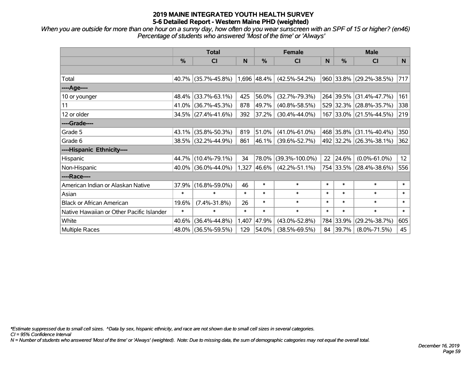*When you are outside for more than one hour on a sunny day, how often do you wear sunscreen with an SPF of 15 or higher? (en46) Percentage of students who answered 'Most of the time' or 'Always'*

|                                           | <b>Total</b>  |                     |        |             | <b>Female</b>        | <b>Male</b> |           |                         |        |
|-------------------------------------------|---------------|---------------------|--------|-------------|----------------------|-------------|-----------|-------------------------|--------|
|                                           | $\frac{0}{0}$ | <b>CI</b>           | N      | $\%$        | <b>CI</b>            | N           | $\%$      | <b>CI</b>               | N.     |
|                                           |               |                     |        |             |                      |             |           |                         |        |
| Total                                     |               | 40.7% (35.7%-45.8%) |        | 1,696 48.4% | $(42.5\% - 54.2\%)$  |             |           | 960 33.8% (29.2%-38.5%) | 717    |
| ----Age----                               |               |                     |        |             |                      |             |           |                         |        |
| 10 or younger                             | 48.4%         | $(33.7\% - 63.1\%)$ | 425    | 56.0%       | $(32.7\% - 79.3\%)$  |             | 264 39.5% | $(31.4\% - 47.7\%)$     | 161    |
| 11                                        |               | 41.0% (36.7%-45.3%) | 878    | 49.7%       | $(40.8\% - 58.5\%)$  |             |           | 529 32.3% (28.8%-35.7%) | 338    |
| 12 or older                               |               | 34.5% (27.4%-41.6%) | 392    | 37.2%       | $(30.4\% - 44.0\%)$  |             |           | 167 33.0% (21.5%-44.5%) | 219    |
| ----Grade----                             |               |                     |        |             |                      |             |           |                         |        |
| Grade 5                                   | 43.1%         | $(35.8\% - 50.3\%)$ | 819    | 51.0%       | $(41.0\% - 61.0\%)$  |             |           | 468 35.8% (31.1%-40.4%) | 350    |
| Grade 6                                   |               | 38.5% (32.2%-44.9%) | 861    | $ 46.1\% $  | $(39.6\% - 52.7\%)$  |             |           | 492 32.2% (26.3%-38.1%) | 362    |
| ----Hispanic Ethnicity----                |               |                     |        |             |                      |             |           |                         |        |
| Hispanic                                  | 44.7%         | $(10.4\% - 79.1\%)$ | 34     | 78.0%       | $(39.3\% - 100.0\%)$ | 22          | 24.6%     | $(0.0\% - 61.0\%)$      | 12     |
| Non-Hispanic                              |               | 40.0% (36.0%-44.0%) |        | 1,327 46.6% | $(42.2\% - 51.1\%)$  |             |           | 754 33.5% (28.4%-38.6%) | 556    |
| ----Race----                              |               |                     |        |             |                      |             |           |                         |        |
| American Indian or Alaskan Native         | 37.9%         | $(16.8\% - 59.0\%)$ | 46     | $\ast$      | $\ast$               | $\ast$      | $\ast$    | $\ast$                  | $\ast$ |
| Asian                                     | $\ast$        | $\ast$              | $\ast$ | $\ast$      | $\ast$               | $\ast$      | $\ast$    | $\ast$                  | $\ast$ |
| <b>Black or African American</b>          | 19.6%         | $(7.4\% - 31.8\%)$  | 26     | $\ast$      | $\ast$               | $\ast$      | $\ast$    | $\ast$                  | $\ast$ |
| Native Hawaiian or Other Pacific Islander | $\ast$        | $\ast$              | $\ast$ | $\ast$      | $\ast$               | $\ast$      | $\ast$    | $\ast$                  | $\ast$ |
| White                                     | 40.6%         | $(36.4\% - 44.8\%)$ | 1,407  | 47.9%       | $(43.0\% - 52.8\%)$  |             | 784 33.9% | $(29.2\% - 38.7\%)$     | 605    |
| Multiple Races                            |               | 48.0% (36.5%-59.5%) | 129    | 54.0%       | $(38.5\% - 69.5\%)$  |             | 84 39.7%  | $(8.0\% - 71.5\%)$      | 45     |

*\*Estimate suppressed due to small cell sizes. ^Data by sex, hispanic ethnicity, and race are not shown due to small cell sizes in several categories.*

*CI = 95% Confidence Interval*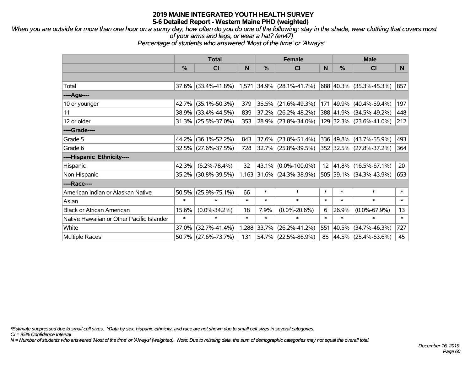*When you are outside for more than one hour on a sunny day, how often do you do one of the following: stay in the shade, wear clothing that covers most of your arms and legs, or wear a hat? (en47)*

*Percentage of students who answered 'Most of the time' or 'Always'*

|                                           | <b>Total</b> |                        |        |          | <b>Female</b>                   |                 | <b>Male</b> |                         |        |  |
|-------------------------------------------|--------------|------------------------|--------|----------|---------------------------------|-----------------|-------------|-------------------------|--------|--|
|                                           | %            | CI                     | N      | %        | <b>CI</b>                       | N               | %           | <b>CI</b>               | N      |  |
|                                           |              |                        |        |          |                                 |                 |             |                         |        |  |
| Total                                     |              | $37.6\%$ (33.4%-41.8%) |        |          | $ 1,571 34.9\% 28.1\% -41.7\% $ |                 |             | 688 40.3% (35.3%-45.3%) | 857    |  |
| ----Age----                               |              |                        |        |          |                                 |                 |             |                         |        |  |
| 10 or younger                             | 42.7%        | $(35.1\% - 50.3\%)$    | 379    | 35.5%    | $(21.6\% - 49.3\%)$             | 171             |             | 49.9% (40.4%-59.4%)     | 197    |  |
| 11                                        |              | 38.9% (33.4%-44.5%)    | 839    |          | 37.2% (26.2%-48.2%)             |                 |             | 388 41.9% (34.5%-49.2%) | 448    |  |
| 12 or older                               |              | $31.3\%$ (25.5%-37.0%) | 353    |          | 28.9% (23.8%-34.0%)             |                 |             | 129 32.3% (23.6%-41.0%) | 212    |  |
| ----Grade----                             |              |                        |        |          |                                 |                 |             |                         |        |  |
| Grade 5                                   | 44.2%        | $(36.1\% - 52.2\%)$    | 843    | $37.6\%$ | $(23.8\% - 51.4\%)$             |                 | 336 49.8%   | $(43.7\% - 55.9\%)$     | 493    |  |
| Grade 6                                   |              | 32.5% (27.6%-37.5%)    | 728    |          | 32.7% (25.8%-39.5%)             |                 |             | 352 32.5% (27.8%-37.2%) | 364    |  |
| ----Hispanic Ethnicity----                |              |                        |        |          |                                 |                 |             |                         |        |  |
| Hispanic                                  | 42.3%        | $(6.2\% - 78.4\%)$     | 32     | 43.1%    | $(0.0\% - 100.0\%)$             | 12 <sup>2</sup> | 41.8%       | $(16.5\% - 67.1\%)$     | 20     |  |
| Non-Hispanic                              |              | 35.2% (30.8%-39.5%)    |        |          | 1,163 31.6% (24.3%-38.9%)       |                 |             | 505 39.1% (34.3%-43.9%) | 653    |  |
| ----Race----                              |              |                        |        |          |                                 |                 |             |                         |        |  |
| American Indian or Alaskan Native         | 50.5%        | $(25.9\% - 75.1\%)$    | 66     | $\ast$   | $\ast$                          | $\ast$          | $\ast$      | $\ast$                  | $\ast$ |  |
| Asian                                     | $\ast$       | $\ast$                 | $\ast$ | $\ast$   | $\ast$                          | $\ast$          | $\ast$      | $\ast$                  | $\ast$ |  |
| <b>Black or African American</b>          | 15.6%        | $(0.0\% - 34.2\%)$     | 18     | 7.9%     | $(0.0\% - 20.6\%)$              | 6               | 26.9%       | $(0.0\% - 67.9\%)$      | 13     |  |
| Native Hawaiian or Other Pacific Islander | $\ast$       | $\ast$                 | $\ast$ | $\ast$   | $\ast$                          | $\ast$          | $\ast$      | $\ast$                  | $\ast$ |  |
| White                                     | 37.0%        | $(32.7\% - 41.4\%)$    | 1,288  | 33.7%    | $(26.2\% - 41.2\%)$             | 551             | 40.5%       | $(34.7\% - 46.3\%)$     | 727    |  |
| <b>Multiple Races</b>                     |              | 50.7% (27.6%-73.7%)    | 131    |          | 54.7% (22.5%-86.9%)             | 85              |             | 44.5% (25.4%-63.6%)     | 45     |  |

*\*Estimate suppressed due to small cell sizes. ^Data by sex, hispanic ethnicity, and race are not shown due to small cell sizes in several categories.*

*CI = 95% Confidence Interval*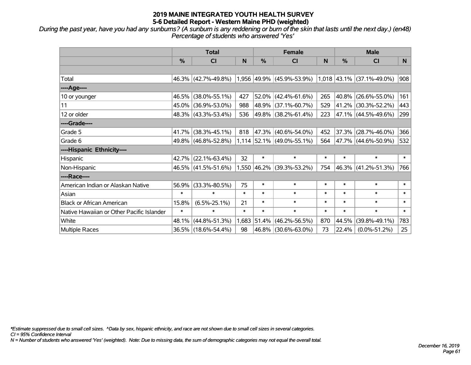*During the past year, have you had any sunburns? (A sunburn is any reddening or burn of the skin that lasts until the next day.) (en48) Percentage of students who answered 'Yes'*

|                                           | <b>Total</b> |                     |        | <b>Female</b> |                             |        | <b>Male</b>   |                             |              |
|-------------------------------------------|--------------|---------------------|--------|---------------|-----------------------------|--------|---------------|-----------------------------|--------------|
|                                           | %            | <b>CI</b>           | N      | %             | <b>CI</b>                   | N      | $\frac{0}{0}$ | <b>CI</b>                   | <sub>N</sub> |
|                                           |              |                     |        |               |                             |        |               |                             |              |
| Total                                     |              | 46.3% (42.7%-49.8%) |        |               | 1,956 49.9% (45.9%-53.9%)   |        |               | $1,018$ 43.1% (37.1%-49.0%) | 908          |
| ----Age----                               |              |                     |        |               |                             |        |               |                             |              |
| 10 or younger                             | 46.5%        | $(38.0\% - 55.1\%)$ | 427    |               | $52.0\%$ (42.4%-61.6%)      | 265    |               | 40.8% (26.6%-55.0%)         | 161          |
| 11                                        | 45.0%        | $(36.9\% - 53.0\%)$ | 988    |               | 48.9% (37.1%-60.7%)         | 529    |               | 41.2% (30.3%-52.2%)         | 443          |
| 12 or older                               |              | 48.3% (43.3%-53.4%) | 536    |               | 49.8% (38.2%-61.4%)         | 223    |               | 47.1% (44.5%-49.6%)         | 299          |
| ----Grade----                             |              |                     |        |               |                             |        |               |                             |              |
| Grade 5                                   | 41.7%        | $(38.3\% - 45.1\%)$ | 818    |               | 47.3% (40.6%-54.0%)         | 452    |               | $37.3\%$ (28.7%-46.0%)      | 366          |
| Grade 6                                   |              | 49.8% (46.8%-52.8%) |        |               | $1,114$ 52.1% (49.0%-55.1%) | 564    |               | 47.7% (44.6%-50.9%)         | 532          |
| ----Hispanic Ethnicity----                |              |                     |        |               |                             |        |               |                             |              |
| Hispanic                                  | 42.7%        | $(22.1\% - 63.4\%)$ | 32     | $\ast$        | $\ast$                      | $\ast$ | $\ast$        | $\ast$                      | $\ast$       |
| Non-Hispanic                              |              | 46.5% (41.5%-51.6%) |        |               | 1,550 46.2% (39.3%-53.2%)   | 754    |               | 46.3% (41.2%-51.3%)         | 766          |
| ----Race----                              |              |                     |        |               |                             |        |               |                             |              |
| American Indian or Alaskan Native         | 56.9%        | $(33.3\% - 80.5\%)$ | 75     | $\ast$        | $\ast$                      | $\ast$ | $\ast$        | $\ast$                      | $\ast$       |
| Asian                                     | $\ast$       | $\ast$              | $\ast$ | $\ast$        | $\ast$                      | $\ast$ | $\ast$        | $\ast$                      | $\ast$       |
| <b>Black or African American</b>          | 15.8%        | $(6.5\% - 25.1\%)$  | 21     | $\ast$        | $\ast$                      | $\ast$ | $\ast$        | $\ast$                      | $\ast$       |
| Native Hawaiian or Other Pacific Islander | $\ast$       | $\ast$              | $\ast$ | $\ast$        | $\ast$                      | $\ast$ | $\ast$        | $\ast$                      | $\ast$       |
| White                                     | 48.1%        | $(44.8\% - 51.3\%)$ | 1,683  | 51.4%         | $(46.2\% - 56.5\%)$         | 870    | 44.5%         | $(39.8\% - 49.1\%)$         | 783          |
| <b>Multiple Races</b>                     |              | 36.5% (18.6%-54.4%) | 98     |               | 46.8% (30.6%-63.0%)         | 73     | 22.4%         | $(0.0\% - 51.2\%)$          | 25           |

*\*Estimate suppressed due to small cell sizes. ^Data by sex, hispanic ethnicity, and race are not shown due to small cell sizes in several categories.*

*CI = 95% Confidence Interval*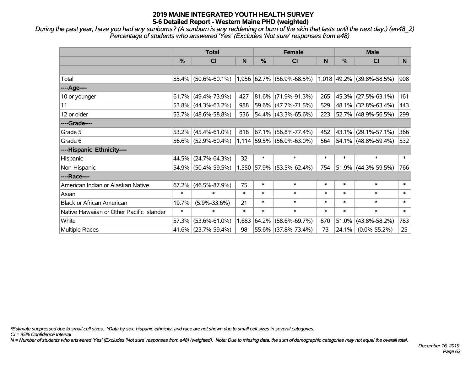*During the past year, have you had any sunburns? (A sunburn is any reddening or burn of the skin that lasts until the next day.) (en48\_2) Percentage of students who answered 'Yes' (Excludes 'Not sure' responses from e48)*

|                                           | <b>Total</b> |                                                     |        | <b>Female</b> |                             |        | <b>Male</b> |                             |              |
|-------------------------------------------|--------------|-----------------------------------------------------|--------|---------------|-----------------------------|--------|-------------|-----------------------------|--------------|
|                                           | %            | <b>CI</b>                                           | N      | $\frac{0}{0}$ | <b>CI</b>                   | N      | %           | <b>CI</b>                   | N            |
|                                           |              |                                                     |        |               |                             |        |             |                             |              |
| Total                                     | 55.4%        | $(50.6\% - 60.1\%)$   1,956   62.7%   (56.9%-68.5%) |        |               |                             |        |             | $1,018$ 49.2% (39.8%-58.5%) | 908          |
| ----Age----                               |              |                                                     |        |               |                             |        |             |                             |              |
| 10 or younger                             | 61.7%        | $(49.4\% - 73.9\%)$                                 | 427    |               | $81.6\%$ (71.9%-91.3%)      | 265    |             | 45.3% (27.5%-63.1%)         | 161          |
| 11                                        | 53.8%        | $(44.3\% - 63.2\%)$                                 | 988    |               | 59.6% (47.7%-71.5%)         | 529    |             | 48.1% (32.8%-63.4%)         | 443          |
| 12 or older                               |              | 53.7% (48.6%-58.8%)                                 | 536    |               | $54.4\%$ (43.3%-65.6%)      | 223    |             | 52.7% (48.9%-56.5%)         | 299          |
| ----Grade----                             |              |                                                     |        |               |                             |        |             |                             |              |
| Grade 5                                   | 53.2%        | $(45.4\% - 61.0\%)$                                 | 818    |               | $67.1\%$ (56.8%-77.4%)      | 452    | 43.1%       | $(29.1\% - 57.1\%)$         | 366          |
| Grade 6                                   |              | $56.6\%$ (52.9%-60.4%)                              |        |               | $1,114$ 59.5% (56.0%-63.0%) | 564    |             | 54.1% (48.8%-59.4%)         | 532          |
| ----Hispanic Ethnicity----                |              |                                                     |        |               |                             |        |             |                             |              |
| Hispanic                                  | 44.5%        | $(24.7\% - 64.3\%)$                                 | 32     | $\ast$        | $\ast$                      | $\ast$ | $\ast$      | $\ast$                      | $\ast$       |
| Non-Hispanic                              |              | 54.9% (50.4%-59.5%)                                 |        |               | 1,550 57.9% (53.5%-62.4%)   | 754    |             | $51.9\%$ (44.3%-59.5%)      | 766          |
| ----Race----                              |              |                                                     |        |               |                             |        |             |                             |              |
| American Indian or Alaskan Native         | 67.2%        | $(46.5\% - 87.9\%)$                                 | 75     | $\ast$        | $\ast$                      | $\ast$ | $\ast$      | $\ast$                      | $\ast$       |
| Asian                                     | $\ast$       | $\ast$                                              | $\ast$ | $\ast$        | $\ast$                      | $\ast$ | $\ast$      | $\ast$                      | $\ast$       |
| <b>Black or African American</b>          | 19.7%        | $(5.9\% - 33.6\%)$                                  | 21     | $\ast$        | $\ast$                      | $\ast$ | $\ast$      | $\ast$                      | $\ast$       |
| Native Hawaiian or Other Pacific Islander | $\ast$       | $\ast$                                              | $\ast$ | $\ast$        | $\ast$                      | $\ast$ | $\ast$      | $\ast$                      | $\pmb{\ast}$ |
| White                                     | 57.3%        | $(53.6\% - 61.0\%)$                                 | 1,683  |               | 64.2% (58.6%-69.7%)         | 870    | 51.0%       | $(43.8\% - 58.2\%)$         | 783          |
| <b>Multiple Races</b>                     | $41.6\%$     | $(23.7\% - 59.4\%)$                                 | 98     |               | 55.6% (37.8%-73.4%)         | 73     | 24.1%       | $(0.0\% - 55.2\%)$          | 25           |

*\*Estimate suppressed due to small cell sizes. ^Data by sex, hispanic ethnicity, and race are not shown due to small cell sizes in several categories.*

*CI = 95% Confidence Interval*

*N = Number of students who answered 'Yes' (Excludes 'Not sure' responses from e48) (weighted). Note: Due to missing data, the sum of demographic categories may not equal the overall total.*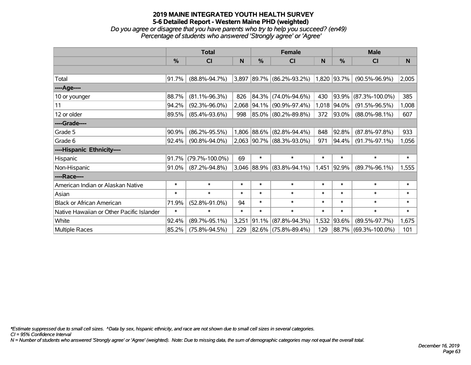*Do you agree or disagree that you have parents who try to help you succeed? (en49) Percentage of students who answered 'Strongly agree' or 'Agree'*

|                                           | <b>Total</b>  |                      |        | <b>Female</b> |                              |        | <b>Male</b>        |                      |        |  |
|-------------------------------------------|---------------|----------------------|--------|---------------|------------------------------|--------|--------------------|----------------------|--------|--|
|                                           | $\frac{0}{0}$ | <b>CI</b>            | N      | $\frac{0}{0}$ | <b>CI</b>                    | N      | %                  | <b>CI</b>            | N      |  |
|                                           |               |                      |        |               |                              |        |                    |                      |        |  |
| Total                                     | 91.7%         | $(88.8\% - 94.7\%)$  |        |               | $3,897$ 89.7% (86.2%-93.2%)  |        | $1,820$ $ 93.7\% $ | $(90.5\% - 96.9\%)$  | 2,005  |  |
| ----Age----                               |               |                      |        |               |                              |        |                    |                      |        |  |
| 10 or younger                             | 88.7%         | $(81.1\% - 96.3\%)$  | 826    |               | 84.3% (74.0%-94.6%)          | 430    | $ 93.9\% $         | $(87.3\% - 100.0\%)$ | 385    |  |
| 11                                        | 94.2%         | $(92.3\% - 96.0\%)$  | 2,068  |               | 94.1% (90.9%-97.4%)          | 1,018  | 94.0%              | $(91.5\% - 96.5\%)$  | 1,008  |  |
| 12 or older                               | 89.5%         | $(85.4\% - 93.6\%)$  | 998    |               | 85.0% (80.2%-89.8%)          | 372    | $ 93.0\% $         | $(88.0\% - 98.1\%)$  | 607    |  |
| ----Grade----                             |               |                      |        |               |                              |        |                    |                      |        |  |
| Grade 5                                   | 90.9%         | $(86.2\% - 95.5\%)$  |        |               | 1,806 88.6% (82.8%-94.4%)    | 848    | 92.8%              | $(87.8\% - 97.8\%)$  | 933    |  |
| Grade 6                                   | 92.4%         | $(90.8\% - 94.0\%)$  |        |               | $2,063$  90.7% (88.3%-93.0%) | 971    | 94.4%              | $(91.7\% - 97.1\%)$  | 1,056  |  |
| ----Hispanic Ethnicity----                |               |                      |        |               |                              |        |                    |                      |        |  |
| Hispanic                                  | 91.7%         | $(79.7\% - 100.0\%)$ | 69     | $\ast$        | $\ast$                       | $\ast$ | $\ast$             | $\ast$               | $\ast$ |  |
| Non-Hispanic                              | 91.0%         | $(87.2\% - 94.8\%)$  |        |               | 3,046 88.9% (83.8%-94.1%)    | 1,451  | $ 92.9\% $         | $(89.7\% - 96.1\%)$  | 1,555  |  |
| ----Race----                              |               |                      |        |               |                              |        |                    |                      |        |  |
| American Indian or Alaskan Native         | $\ast$        | $\ast$               | $\ast$ | $\ast$        | $\ast$                       | $\ast$ | $\ast$             | $\ast$               | $\ast$ |  |
| Asian                                     | $\ast$        | $\ast$               | $\ast$ | $\ast$        | $\ast$                       | $\ast$ | $\ast$             | $\ast$               | $\ast$ |  |
| <b>Black or African American</b>          | 71.9%         | $(52.8\% - 91.0\%)$  | 94     | $\ast$        | $\ast$                       | $\ast$ | $\ast$             | $\ast$               | $\ast$ |  |
| Native Hawaiian or Other Pacific Islander | $\ast$        | $\ast$               | $\ast$ | $\ast$        | $\ast$                       | $\ast$ | $\ast$             | $\ast$               | $\ast$ |  |
| White                                     | 92.4%         | $(89.7\% - 95.1\%)$  | 3,251  | 91.1%         | $(87.8\% - 94.3\%)$          | 1,532  | 93.6%              | $(89.5\% - 97.7\%)$  | 1,675  |  |
| Multiple Races                            | 85.2%         | $(75.8\% - 94.5\%)$  | 229    |               | 82.6% (75.8%-89.4%)          | 129    |                    | 88.7% (69.3%-100.0%) | 101    |  |

*\*Estimate suppressed due to small cell sizes. ^Data by sex, hispanic ethnicity, and race are not shown due to small cell sizes in several categories.*

*CI = 95% Confidence Interval*